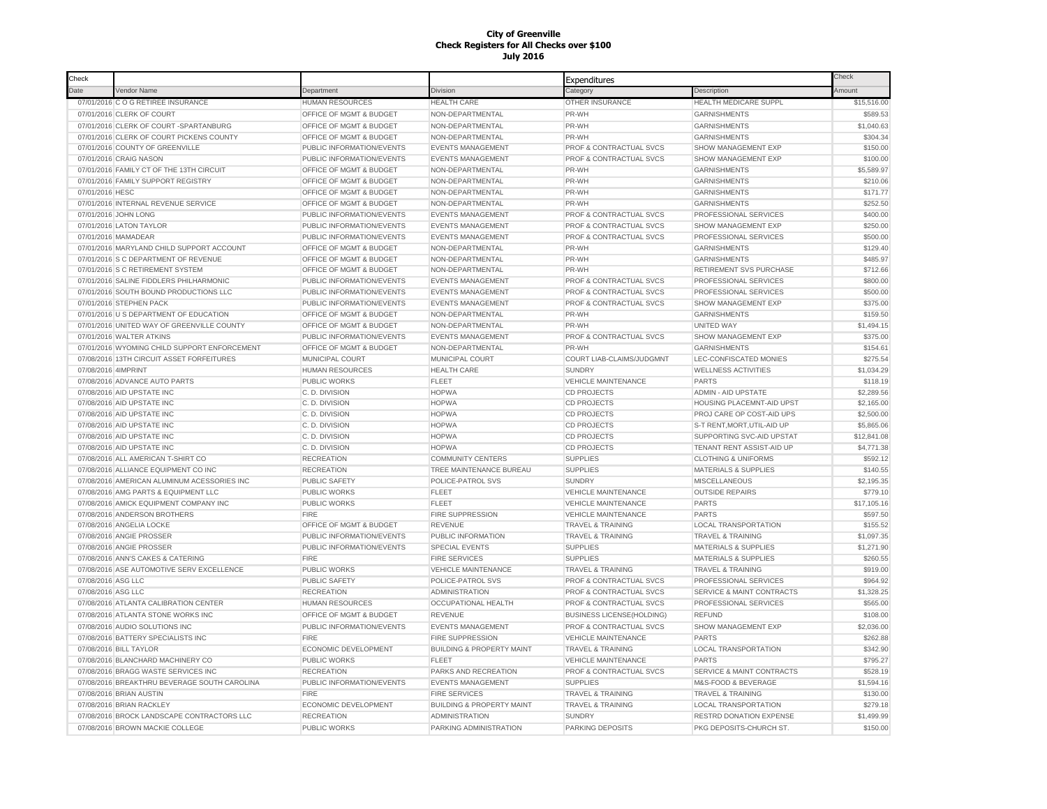| Check               |                                              |                           |                                      | Expenditures                       |                                 | Check       |
|---------------------|----------------------------------------------|---------------------------|--------------------------------------|------------------------------------|---------------------------------|-------------|
| Date                | Vendor Name                                  | Department                | Division                             | Category                           | Description                     | Amount      |
|                     | 07/01/2016 C O G RETIREE INSURANCE           | <b>HUMAN RESOURCES</b>    | <b>HEALTH CARE</b>                   | OTHER INSURANCE                    | HEALTH MEDICARE SUPPL           | \$15,516.00 |
|                     | 07/01/2016 CLERK OF COURT                    | OFFICE OF MGMT & BUDGET   | NON-DEPARTMENTAL                     | PR-WH                              | <b>GARNISHMENTS</b>             | \$589.53    |
|                     | 07/01/2016 CLERK OF COURT -SPARTANBURG       | OFFICE OF MGMT & BUDGET   | NON-DEPARTMENTAL                     | PR-WH                              | <b>GARNISHMENTS</b>             | \$1,040.63  |
|                     | 07/01/2016 CLERK OF COURT PICKENS COUNTY     | OFFICE OF MGMT & BUDGET   | NON-DEPARTMENTAL                     | PR-WH                              | <b>GARNISHMENTS</b>             | \$304.34    |
|                     | 07/01/2016 COUNTY OF GREENVILLE              | PUBLIC INFORMATION/EVENTS | <b>EVENTS MANAGEMENT</b>             | PROF & CONTRACTUAL SVCS            | SHOW MANAGEMENT EXP             | \$150.00    |
|                     | 07/01/2016 CRAIG NASON                       | PUBLIC INFORMATION/EVENTS | <b>EVENTS MANAGEMENT</b>             | PROF & CONTRACTUAL SVCS            | SHOW MANAGEMENT EXP             | \$100.00    |
|                     | 07/01/2016 FAMILY CT OF THE 13TH CIRCUIT     | OFFICE OF MGMT & BUDGET   | NON-DEPARTMENTAL                     | PR-WH                              | <b>GARNISHMENTS</b>             | \$5,589.97  |
|                     | 07/01/2016 FAMILY SUPPORT REGISTRY           | OFFICE OF MGMT & BUDGET   | NON-DEPARTMENTAL                     | PR-WH                              | <b>GARNISHMENTS</b>             | \$210.06    |
| 07/01/2016 HESC     |                                              | OFFICE OF MGMT & BUDGET   | NON-DEPARTMENTAL                     | PR-WH                              | <b>GARNISHMENTS</b>             | \$171.77    |
|                     | 07/01/2016 INTERNAL REVENUE SERVICE          | OFFICE OF MGMT & BUDGET   | NON-DEPARTMENTAL                     | PR-WH                              | <b>GARNISHMENTS</b>             | \$252.50    |
|                     | 07/01/2016 JOHN LONG                         | PUBLIC INFORMATION/EVENTS | <b>EVENTS MANAGEMENT</b>             | PROF & CONTRACTUAL SVCS            | PROFESSIONAL SERVICES           | \$400.00    |
|                     | 07/01/2016 LATON TAYLOR                      | PUBLIC INFORMATION/EVENTS | <b>EVENTS MANAGEMENT</b>             | PROF & CONTRACTUAL SVCS            | SHOW MANAGEMENT EXP             | \$250.00    |
|                     | 07/01/2016 MAMADEAR                          | PUBLIC INFORMATION/EVENTS | <b>EVENTS MANAGEMENT</b>             | PROF & CONTRACTUAL SVCS            | PROFESSIONAL SERVICES           | \$500.00    |
|                     | 07/01/2016 MARYLAND CHILD SUPPORT ACCOUNT    | OFFICE OF MGMT & BUDGET   | NON-DEPARTMENTAL                     | PR-WH                              | <b>GARNISHMENTS</b>             | \$129.40    |
|                     | 07/01/2016 S C DEPARTMENT OF REVENUE         | OFFICE OF MGMT & BUDGET   | NON-DEPARTMENTAL                     | PR-WH                              | <b>GARNISHMENTS</b>             | \$485.97    |
|                     | 07/01/2016 S C RETIREMENT SYSTEM             | OFFICE OF MGMT & BUDGET   | NON-DEPARTMENTAL                     | PR-WH                              | RETIREMENT SVS PURCHASE         | \$712.66    |
|                     | 07/01/2016 SALINE FIDDLERS PHILHARMONIC      | PUBLIC INFORMATION/EVENTS | <b>EVENTS MANAGEMENT</b>             | PROF & CONTRACTUAL SVCS            | PROFESSIONAL SERVICES           | \$800.00    |
|                     | 07/01/2016 SOUTH BOUND PRODUCTIONS LLC       | PUBLIC INFORMATION/EVENTS | <b>EVENTS MANAGEMENT</b>             | PROF & CONTRACTUAL SVCS            | PROFESSIONAL SERVICES           | \$500.00    |
|                     | 07/01/2016 STEPHEN PACK                      | PUBLIC INFORMATION/EVENTS | <b>EVENTS MANAGEMENT</b>             | PROF & CONTRACTUAL SVCS            | SHOW MANAGEMENT EXP             | \$375.00    |
|                     | 07/01/2016 U S DEPARTMENT OF EDUCATION       | OFFICE OF MGMT & BUDGET   | NON-DEPARTMENTAL                     | PR-WH                              | <b>GARNISHMENTS</b>             | \$159.50    |
|                     | 07/01/2016 UNITED WAY OF GREENVILLE COUNTY   | OFFICE OF MGMT & BUDGET   | NON-DEPARTMENTAL                     | PR-WH                              | UNITED WAY                      | \$1,494.15  |
|                     | 07/01/2016 WALTER ATKINS                     | PUBLIC INFORMATION/EVENTS | <b>EVENTS MANAGEMENT</b>             | PROF & CONTRACTUAL SVCS            | SHOW MANAGEMENT EXP             | \$375.00    |
|                     | 07/01/2016 WYOMING CHILD SUPPORT ENFORCEMENT | OFFICE OF MGMT & BUDGET   | NON-DEPARTMENTAL                     | PR-WH                              | <b>GARNISHMENTS</b>             | \$154.61    |
|                     | 07/08/2016 13TH CIRCUIT ASSET FORFEITURES    | MUNICIPAL COURT           | MUNICIPAL COURT                      | COURT LIAB-CLAIMS/JUDGMNT          | LEC-CONFISCATED MONIES          | \$275.54    |
| 07/08/2016 4IMPRINT |                                              | <b>HUMAN RESOURCES</b>    | <b>HEALTH CARE</b>                   | <b>SUNDRY</b>                      | <b>WELLNESS ACTIVITIES</b>      | \$1,034.29  |
|                     | 07/08/2016 ADVANCE AUTO PARTS                | <b>PUBLIC WORKS</b>       | <b>FLEET</b>                         | <b>VEHICLE MAINTENANCE</b>         | <b>PARTS</b>                    | \$118.19    |
|                     | 07/08/2016 AID UPSTATE INC                   | C.D. DIVISION             | <b>HOPWA</b>                         | <b>CD PROJECTS</b>                 | <b>ADMIN - AID UPSTATE</b>      | \$2,289.56  |
|                     | 07/08/2016 AID UPSTATE INC                   | C.D. DIVISION             | <b>HOPWA</b>                         | <b>CD PROJECTS</b>                 | HOUSING PLACEMNT-AID UPST       | \$2,165.00  |
|                     | 07/08/2016 AID UPSTATE INC                   | C.D. DIVISION             | <b>HOPWA</b>                         | <b>CD PROJECTS</b>                 | PROJ CARE OP COST-AID UPS       | \$2,500.00  |
|                     | 07/08/2016 AID UPSTATE INC                   | C.D. DIVISION             | <b>HOPWA</b>                         | <b>CD PROJECTS</b>                 | S-T RENT, MORT, UTIL-AID UP     | \$5,865.06  |
|                     | 07/08/2016 AID UPSTATE INC                   | C.D. DIVISION             | <b>HOPWA</b>                         | <b>CD PROJECTS</b>                 | SUPPORTING SVC-AID UPSTAT       | \$12,841.08 |
|                     | 07/08/2016 AID UPSTATE INC                   | C.D. DIVISION             | <b>HOPWA</b>                         | <b>CD PROJECTS</b>                 | TENANT RENT ASSIST-AID UP       | \$4,771.38  |
|                     | 07/08/2016 ALL AMERICAN T-SHIRT CO           | <b>RECREATION</b>         | <b>COMMUNITY CENTERS</b>             | <b>SUPPLIES</b>                    | <b>CLOTHING &amp; UNIFORMS</b>  | \$592.12    |
|                     | 07/08/2016 ALLIANCE EQUIPMENT CO INC         | <b>RECREATION</b>         | TREE MAINTENANCE BUREAU              | <b>SUPPLIES</b>                    | <b>MATERIALS &amp; SUPPLIES</b> | \$140.55    |
|                     | 07/08/2016 AMERICAN ALUMINUM ACESSORIES INC  | <b>PUBLIC SAFETY</b>      | POLICE-PATROL SVS                    | <b>SUNDRY</b>                      | <b>MISCELLANEOUS</b>            | \$2,195.35  |
|                     | 07/08/2016 AMG PARTS & EQUIPMENT LLC         | PUBLIC WORKS              | <b>FLEET</b>                         | <b>VEHICLE MAINTENANCE</b>         | <b>OUTSIDE REPAIRS</b>          | \$779.10    |
|                     | 07/08/2016 AMICK EQUIPMENT COMPANY INC       | <b>PUBLIC WORKS</b>       | <b>FLEET</b>                         | <b>VEHICLE MAINTENANCE</b>         | <b>PARTS</b>                    | \$17,105.16 |
|                     | 07/08/2016 ANDERSON BROTHERS                 | <b>FIRE</b>               | FIRE SUPPRESSION                     | <b>VEHICLE MAINTENANCE</b>         | PARTS                           | \$597.50    |
|                     | 07/08/2016 ANGELIA LOCKE                     | OFFICE OF MGMT & BUDGET   | <b>REVENUE</b>                       | <b>TRAVEL &amp; TRAINING</b>       | <b>LOCAL TRANSPORTATION</b>     | \$155.52    |
|                     | 07/08/2016 ANGIE PROSSER                     | PUBLIC INFORMATION/EVENTS | PUBLIC INFORMATION                   | TRAVEL & TRAINING                  | <b>TRAVEL &amp; TRAINING</b>    | \$1,097.35  |
|                     | 07/08/2016 ANGIE PROSSER                     | PUBLIC INFORMATION/EVENTS | <b>SPECIAL EVENTS</b>                | <b>SUPPLIES</b>                    | <b>MATERIALS &amp; SUPPLIES</b> | \$1,271.90  |
|                     | 07/08/2016 ANN'S CAKES & CATERING            | FIRE                      | <b>FIRE SERVICES</b>                 | <b>SUPPLIES</b>                    | MATERIALS & SUPPLIES            | \$260.55    |
|                     | 07/08/2016 ASE AUTOMOTIVE SERV EXCELLENCE    | <b>PUBLIC WORKS</b>       | <b>VEHICLE MAINTENANCE</b>           | TRAVEL & TRAINING                  | <b>TRAVEL &amp; TRAINING</b>    | \$919.00    |
| 07/08/2016 ASG LLC  |                                              | PUBLIC SAFETY             | POLICE-PATROL SVS                    | PROF & CONTRACTUAL SVCS            | PROFESSIONAL SERVICES           | \$964.92    |
| 07/08/2016 ASG LLC  |                                              | <b>RECREATION</b>         | <b>ADMINISTRATION</b>                | PROF & CONTRACTUAL SVCS            | SERVICE & MAINT CONTRACTS       | \$1,328.25  |
|                     | 07/08/2016 ATLANTA CALIBRATION CENTER        | <b>HUMAN RESOURCES</b>    | OCCUPATIONAL HEALTH                  | PROF & CONTRACTUAL SVCS            | PROFESSIONAL SERVICES           | \$565.00    |
|                     | 07/08/2016 ATLANTA STONE WORKS INC           | OFFICE OF MGMT & BUDGET   | <b>REVENUE</b>                       | <b>BUSINESS LICENSE(HOLDING)</b>   | <b>REFUND</b>                   | \$108.00    |
|                     | 07/08/2016 AUDIO SOLUTIONS INC               | PUBLIC INFORMATION/EVENTS | <b>EVENTS MANAGEMENT</b>             | PROF & CONTRACTUAL SVCS            | SHOW MANAGEMENT EXP             | \$2,036.00  |
|                     | 07/08/2016 BATTERY SPECIALISTS INC           | <b>FIRE</b>               | FIRE SUPPRESSION                     | VEHICLE MAINTENANCE                | <b>PARTS</b>                    | \$262.88    |
|                     | 07/08/2016 BILL TAYLOR                       | ECONOMIC DEVELOPMENT      | <b>BUILDING &amp; PROPERTY MAINT</b> | TRAVEL & TRAINING                  | <b>LOCAL TRANSPORTATION</b>     | \$342.90    |
|                     | 07/08/2016 BLANCHARD MACHINERY CO            | <b>PUBLIC WORKS</b>       | <b>FLEET</b>                         | <b>VEHICLE MAINTENANCE</b>         | <b>PARTS</b>                    | \$795.27    |
|                     | 07/08/2016 BRAGG WASTE SERVICES INC          | <b>RECREATION</b>         | PARKS AND RECREATION                 | <b>PROF &amp; CONTRACTUAL SVCS</b> | SERVICE & MAINT CONTRACTS       | \$528.19    |
|                     | 07/08/2016 BREAKTHRU BEVERAGE SOUTH CAROLINA | PUBLIC INFORMATION/EVENTS | <b>EVENTS MANAGEMENT</b>             | <b>SUPPLIES</b>                    | M&S-FOOD & BEVERAGE             | \$1,594.16  |
|                     | 07/08/2016 BRIAN AUSTIN                      | <b>FIRE</b>               | <b>FIRE SERVICES</b>                 | TRAVEL & TRAINING                  | <b>TRAVEL &amp; TRAINING</b>    | \$130.00    |
|                     | 07/08/2016 BRIAN RACKLEY                     | ECONOMIC DEVELOPMENT      | <b>BUILDING &amp; PROPERTY MAINT</b> | <b>TRAVEL &amp; TRAINING</b>       | <b>LOCAL TRANSPORTATION</b>     | \$279.18    |
|                     | 07/08/2016 BROCK LANDSCAPE CONTRACTORS LLC   | <b>RECREATION</b>         | <b>ADMINISTRATION</b>                | <b>SUNDRY</b>                      | <b>RESTRD DONATION EXPENSE</b>  | \$1,499.99  |
|                     | 07/08/2016 BROWN MACKIE COLLEGE              | PUBLIC WORKS              | PARKING ADMINISTRATION               | PARKING DEPOSITS                   | PKG DEPOSITS-CHURCH ST.         | \$150.00    |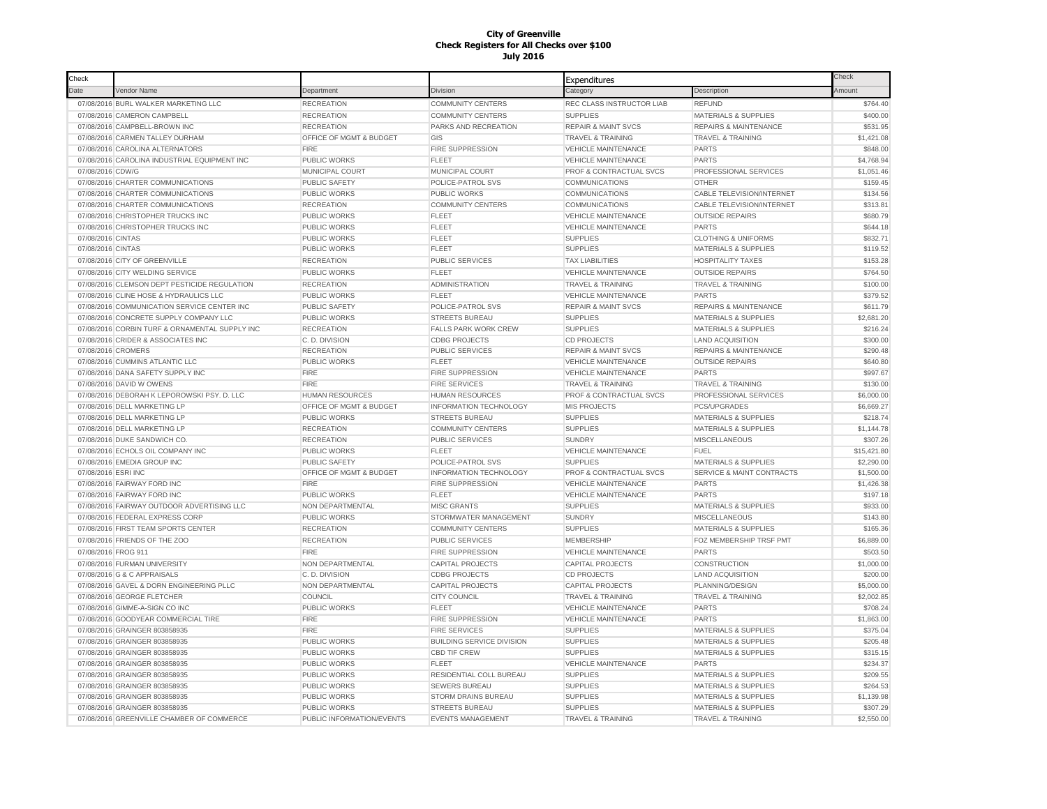| Check               |                                                                         |                                         |                                                 | Expenditures                                                 |                                                       | Check                |
|---------------------|-------------------------------------------------------------------------|-----------------------------------------|-------------------------------------------------|--------------------------------------------------------------|-------------------------------------------------------|----------------------|
| Date                | Vendor Name                                                             | Department                              | Division                                        | Category                                                     | Description                                           | Amount               |
|                     | 07/08/2016 BURL WALKER MARKETING LLC                                    | <b>RECREATION</b>                       | <b>COMMUNITY CENTERS</b>                        | REC CLASS INSTRUCTOR LIAB                                    | <b>REFUND</b>                                         | \$764.40             |
|                     | 07/08/2016 CAMERON CAMPBELL                                             | <b>RECREATION</b>                       | <b>COMMUNITY CENTERS</b>                        | <b>SUPPLIES</b>                                              | <b>MATERIALS &amp; SUPPLIES</b>                       | \$400.00             |
|                     | 07/08/2016 CAMPBELL-BROWN INC                                           | <b>RECREATION</b>                       | PARKS AND RECREATION                            | <b>REPAIR &amp; MAINT SVCS</b>                               | <b>REPAIRS &amp; MAINTENANCE</b>                      | \$531.95             |
|                     | 07/08/2016 CARMEN TALLEY DURHAM                                         | OFFICE OF MGMT & BUDGET                 | GIS                                             | <b>TRAVEL &amp; TRAINING</b>                                 | <b>TRAVEL &amp; TRAINING</b>                          | \$1,421.08           |
|                     | 07/08/2016 CAROLINA ALTERNATORS                                         | <b>FIRE</b>                             | <b>FIRE SUPPRESSION</b>                         | <b>VEHICLE MAINTENANCE</b>                                   | <b>PARTS</b>                                          | \$848.00             |
|                     | 07/08/2016 CAROLINA INDUSTRIAL EQUIPMENT INC                            | PUBLIC WORKS                            | <b>FLEET</b>                                    | <b>VEHICLE MAINTENANCE</b>                                   | <b>PARTS</b>                                          | \$4,768.94           |
| 07/08/2016 CDW/G    |                                                                         | MUNICIPAL COURT                         | MUNICIPAL COURT                                 | PROF & CONTRACTUAL SVCS                                      | PROFESSIONAL SERVICES                                 | \$1,051.46           |
|                     | 07/08/2016 CHARTER COMMUNICATIONS                                       | PUBLIC SAFETY                           | POLICE-PATROL SVS                               | <b>COMMUNICATIONS</b>                                        | <b>OTHER</b>                                          | \$159.45             |
|                     | 07/08/2016 CHARTER COMMUNICATIONS                                       | PUBLIC WORKS                            | PUBLIC WORKS                                    | <b>COMMUNICATIONS</b>                                        | <b>CABLE TELEVISION/INTERNET</b>                      | \$134.56             |
|                     | 07/08/2016 CHARTER COMMUNICATIONS                                       | <b>RECREATION</b>                       | <b>COMMUNITY CENTERS</b>                        | <b>COMMUNICATIONS</b>                                        | CABLE TELEVISION/INTERNET                             | \$313.81             |
|                     | 07/08/2016 CHRISTOPHER TRUCKS INC                                       | PUBLIC WORKS                            | <b>FLEET</b>                                    | <b>VEHICLE MAINTENANCE</b>                                   | <b>OUTSIDE REPAIRS</b>                                | \$680.79             |
|                     | 07/08/2016 CHRISTOPHER TRUCKS INC                                       | <b>PUBLIC WORKS</b>                     | <b>FLEET</b>                                    | <b>VEHICLE MAINTENANCE</b>                                   | <b>PARTS</b>                                          | \$644.18             |
| 07/08/2016 CINTAS   |                                                                         | PUBLIC WORKS                            | <b>FLEET</b>                                    | <b>SUPPLIES</b>                                              | <b>CLOTHING &amp; UNIFORMS</b>                        | \$832.71             |
| 07/08/2016 CINTAS   |                                                                         | PUBLIC WORKS                            | <b>FLEET</b>                                    | <b>SUPPLIES</b>                                              | <b>MATERIALS &amp; SUPPLIES</b>                       | \$119.52             |
|                     | 07/08/2016 CITY OF GREENVILLE                                           | <b>RECREATION</b>                       | PUBLIC SERVICES                                 | <b>TAX LIABILITIES</b>                                       | <b>HOSPITALITY TAXES</b>                              | \$153.28             |
|                     | 07/08/2016 CITY WELDING SERVICE                                         | PUBLIC WORKS                            | <b>FLEET</b>                                    | VEHICLE MAINTENANCE                                          | <b>OUTSIDE REPAIRS</b>                                | \$764.50             |
|                     | 07/08/2016 CLEMSON DEPT PESTICIDE REGULATION                            | <b>RECREATION</b>                       | <b>ADMINISTRATION</b>                           | <b>TRAVEL &amp; TRAINING</b>                                 | <b>TRAVEL &amp; TRAINING</b>                          | \$100.00             |
|                     | 07/08/2016 CLINE HOSE & HYDRAULICS LLC                                  | PUBLIC WORKS                            | <b>FLEET</b>                                    | <b>VEHICLE MAINTENANCE</b>                                   | <b>PARTS</b>                                          | \$379.52             |
|                     | 07/08/2016 COMMUNICATION SERVICE CENTER INC                             | PUBLIC SAFETY                           | POLICE-PATROL SVS                               | <b>REPAIR &amp; MAINT SVCS</b>                               | <b>REPAIRS &amp; MAINTENANCE</b>                      | \$611.79             |
|                     | 07/08/2016 CONCRETE SUPPLY COMPANY LLC                                  |                                         | <b>STREETS BUREAU</b>                           |                                                              |                                                       |                      |
|                     |                                                                         | PUBLIC WORKS                            |                                                 | <b>SUPPLIES</b>                                              | <b>MATERIALS &amp; SUPPLIES</b>                       | \$2,681.20           |
|                     | 07/08/2016 CORBIN TURF & ORNAMENTAL SUPPLY INC                          | <b>RECREATION</b>                       | FALLS PARK WORK CREW                            | <b>SUPPLIES</b>                                              | <b>MATERIALS &amp; SUPPLIES</b>                       | \$216.24             |
|                     | 07/08/2016 CRIDER & ASSOCIATES INC                                      | C.D. DIVISION                           | <b>CDBG PROJECTS</b>                            | <b>CD PROJECTS</b>                                           | <b>LAND ACQUISITION</b>                               | \$300.00             |
|                     | 07/08/2016 CROMERS                                                      | <b>RECREATION</b>                       | <b>PUBLIC SERVICES</b><br><b>FLEET</b>          | <b>REPAIR &amp; MAINT SVCS</b><br><b>VEHICLE MAINTENANCE</b> | <b>REPAIRS &amp; MAINTENANCE</b>                      | \$290.48             |
|                     | 07/08/2016 CUMMINS ATLANTIC LLC<br>07/08/2016 DANA SAFETY SUPPLY INC    | PUBLIC WORKS                            |                                                 | <b>VEHICLE MAINTENANCE</b>                                   | <b>OUTSIDE REPAIRS</b><br>PARTS                       | \$640.80             |
|                     |                                                                         | <b>FIRE</b>                             | <b>FIRE SUPPRESSION</b>                         |                                                              |                                                       | \$997.67             |
|                     | 07/08/2016 DAVID W OWENS<br>07/08/2016 DEBORAH K LEPOROWSKI PSY. D. LLC | <b>FIRE</b><br><b>HUMAN RESOURCES</b>   | <b>FIRE SERVICES</b><br><b>HUMAN RESOURCES</b>  | <b>TRAVEL &amp; TRAINING</b><br>PROF & CONTRACTUAL SVCS      | <b>TRAVEL &amp; TRAINING</b><br>PROFESSIONAL SERVICES | \$130.00             |
|                     | 07/08/2016 DELL MARKETING LP                                            |                                         |                                                 | <b>MIS PROJECTS</b>                                          | PCS/UPGRADES                                          | \$6,000.00           |
|                     | 07/08/2016 DELL MARKETING LP                                            | OFFICE OF MGMT & BUDGET<br>PUBLIC WORKS | INFORMATION TECHNOLOGY<br><b>STREETS BUREAU</b> | <b>SUPPLIES</b>                                              | MATERIALS & SUPPLIES                                  | \$6,669.27           |
|                     |                                                                         |                                         |                                                 |                                                              |                                                       | \$218.74             |
|                     | 07/08/2016 DELL MARKETING LP                                            | <b>RECREATION</b>                       | <b>COMMUNITY CENTERS</b>                        | <b>SUPPLIES</b>                                              | <b>MATERIALS &amp; SUPPLIES</b>                       | \$1,144.78           |
|                     | 07/08/2016 DUKE SANDWICH CO                                             | <b>RECREATION</b>                       | <b>PUBLIC SERVICES</b><br>FLEET                 | <b>SUNDRY</b>                                                | <b>MISCELLANEOUS</b><br><b>FUEL</b>                   | \$307.26             |
|                     | 07/08/2016 ECHOLS OIL COMPANY INC                                       | PUBLIC WORKS                            |                                                 | <b>VEHICLE MAINTENANCE</b>                                   |                                                       | \$15,421.80          |
| 07/08/2016 ESRI INC | 07/08/2016 EMEDIA GROUP INC                                             | <b>PUBLIC SAFETY</b>                    | POLICE-PATROL SVS                               | <b>SUPPLIES</b><br>PROF & CONTRACTUAL SVCS                   | <b>MATERIALS &amp; SUPPLIES</b>                       | \$2,290.00           |
|                     | 07/08/2016 FAIRWAY FORD INC                                             | OFFICE OF MGMT & BUDGET                 | INFORMATION TECHNOLOGY<br>FIRE SUPPRESSION      | <b>VEHICLE MAINTENANCE</b>                                   | SERVICE & MAINT CONTRACTS                             | \$1,500.00           |
|                     | 07/08/2016 FAIRWAY FORD INC                                             | <b>FIRE</b><br>PUBLIC WORKS             | <b>FLEET</b>                                    |                                                              | <b>PARTS</b><br>PARTS                                 | \$1,426.38           |
|                     | 07/08/2016 FAIRWAY OUTDOOR ADVERTISING LLC                              | NON DEPARTMENTAL                        | <b>MISC GRANTS</b>                              | <b>VEHICLE MAINTENANCE</b><br><b>SUPPLIES</b>                | <b>MATERIALS &amp; SUPPLIES</b>                       | \$197.18<br>\$933.00 |
|                     | 07/08/2016 FEDERAL EXPRESS CORP                                         | PUBLIC WORKS                            | STORMWATER MANAGEMENT                           | <b>SUNDRY</b>                                                | <b>MISCELLANEOUS</b>                                  |                      |
|                     | 07/08/2016 FIRST TEAM SPORTS CENTER                                     | <b>RECREATION</b>                       | <b>COMMUNITY CENTERS</b>                        | <b>SUPPLIES</b>                                              | <b>MATERIALS &amp; SUPPLIES</b>                       | \$143.80             |
|                     |                                                                         |                                         |                                                 |                                                              |                                                       | \$165.36             |
|                     | 07/08/2016 FRIENDS OF THE ZOO                                           | <b>RECREATION</b>                       | <b>PUBLIC SERVICES</b>                          | MEMBERSHIP                                                   | FOZ MEMBERSHIP TRSF PMT                               | \$6,889.00           |
| 07/08/2016 FROG 911 |                                                                         | <b>FIRE</b>                             | FIRE SUPPRESSION                                | <b>VEHICLE MAINTENANCE</b>                                   | <b>PARTS</b>                                          | \$503.50             |
|                     | 07/08/2016 FURMAN UNIVERSITY                                            | NON DEPARTMENTAL                        | <b>CAPITAL PROJECTS</b>                         | <b>CAPITAL PROJECTS</b>                                      | CONSTRUCTION                                          | \$1,000.00           |
|                     | 07/08/2016 G & C APPRAISALS                                             | C.D. DIVISION                           | <b>CDBG PROJECTS</b>                            | <b>CD PROJECTS</b>                                           | <b>LAND ACQUISITION</b>                               | \$200.00             |
|                     | 07/08/2016 GAVEL & DORN ENGINEERING PLLC                                | NON DEPARTMENTAL                        | <b>CAPITAL PROJECTS</b>                         | <b>CAPITAL PROJECTS</b>                                      | PLANNING/DESIGN                                       | \$5,000.00           |
|                     | 07/08/2016 GEORGE FLETCHER                                              | COUNCIL                                 | <b>CITY COUNCIL</b>                             | <b>TRAVEL &amp; TRAINING</b>                                 | <b>TRAVEL &amp; TRAINING</b>                          | \$2,002.85           |
|                     | 07/08/2016 GIMME-A-SIGN CO INC                                          | PUBLIC WORKS                            | <b>FLEET</b>                                    | <b>VEHICLE MAINTENANCE</b>                                   | PARTS                                                 | \$708.24             |
|                     | 07/08/2016 GOODYEAR COMMERCIAL TIRE                                     | <b>FIRE</b>                             | FIRE SUPPRESSION                                | <b>VEHICLE MAINTENANCE</b>                                   | <b>PARTS</b>                                          | \$1,863.00           |
|                     | 07/08/2016 GRAINGER 803858935                                           | <b>FIRE</b>                             | <b>FIRE SERVICES</b>                            | <b>SUPPLIES</b>                                              | <b>MATERIALS &amp; SUPPLIES</b>                       | \$375.04             |
|                     | 07/08/2016 GRAINGER 803858935                                           | PUBLIC WORKS                            | <b>BUILDING SERVICE DIVISION</b>                | <b>SUPPLIES</b>                                              | <b>MATERIALS &amp; SUPPLIES</b>                       | \$205.48             |
|                     | 07/08/2016 GRAINGER 803858935                                           | PUBLIC WORKS                            | <b>CBD TIF CREW</b>                             | <b>SUPPLIES</b>                                              | <b>MATERIALS &amp; SUPPLIES</b>                       | \$315.15             |
|                     | 07/08/2016 GRAINGER 803858935                                           | PUBLIC WORKS                            | <b>FLEET</b>                                    | VEHICLE MAINTENANCE                                          | <b>PARTS</b>                                          | \$234.37             |
|                     | 07/08/2016 GRAINGER 803858935                                           | PUBLIC WORKS                            | RESIDENTIAL COLL BUREAU                         | <b>SUPPLIES</b>                                              | <b>MATERIALS &amp; SUPPLIES</b>                       | \$209.55             |
|                     | 07/08/2016 GRAINGER 803858935                                           | <b>PUBLIC WORKS</b>                     | <b>SEWERS BUREAU</b>                            | <b>SUPPLIES</b>                                              | <b>MATERIALS &amp; SUPPLIES</b>                       | \$264.53             |
|                     | 07/08/2016 GRAINGER 803858935                                           | <b>PUBLIC WORKS</b>                     | <b>STORM DRAINS BUREAU</b>                      | <b>SUPPLIES</b>                                              | <b>MATERIALS &amp; SUPPLIES</b>                       | \$1,139.98           |
|                     | 07/08/2016 GRAINGER 803858935                                           | PUBLIC WORKS                            | <b>STREETS BUREAU</b>                           | <b>SUPPLIES</b>                                              | <b>MATERIALS &amp; SUPPLIES</b>                       | \$307.29             |
|                     | 07/08/2016 GREENVILLE CHAMBER OF COMMERCE                               | PUBLIC INFORMATION/EVENTS               | <b>EVENTS MANAGEMENT</b>                        | TRAVEL & TRAINING                                            | TRAVEL & TRAINING                                     | \$2,550.00           |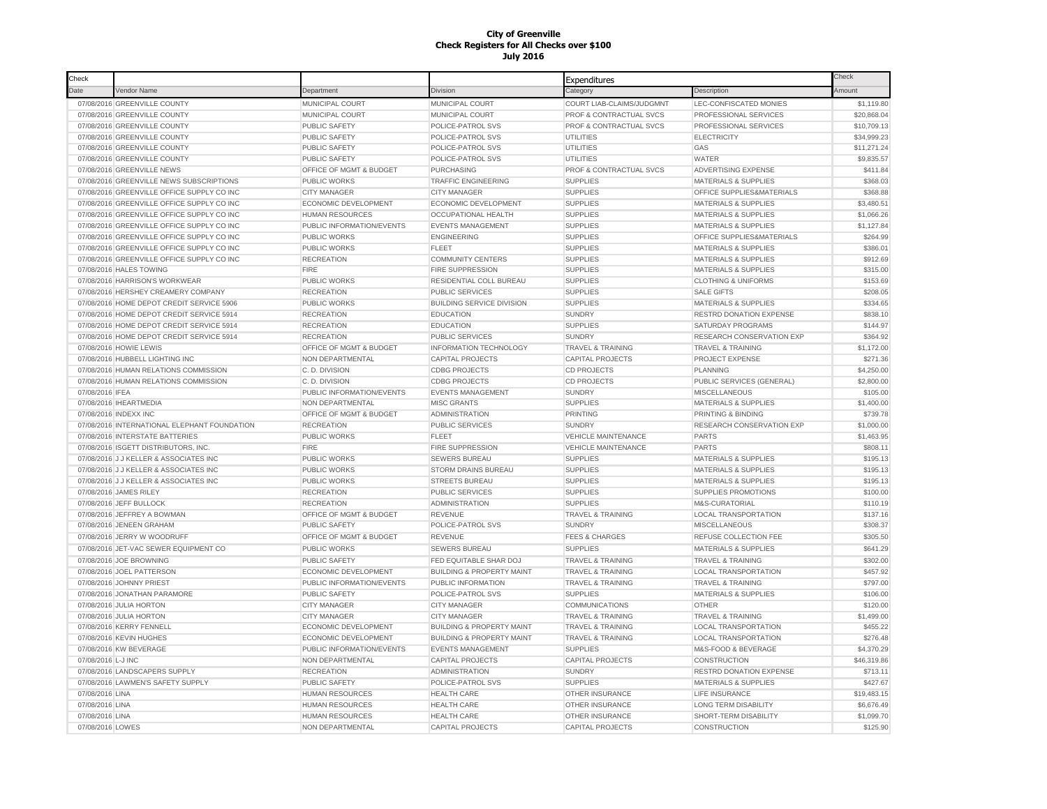| Check              |                                              |                             |                                      | Expenditures                     |                                 | Check       |
|--------------------|----------------------------------------------|-----------------------------|--------------------------------------|----------------------------------|---------------------------------|-------------|
| Date               | Vendor Name                                  | Department                  | Division                             | Category                         | Description                     | Amount      |
|                    | 07/08/2016 GREENVILLE COUNTY                 | MUNICIPAL COURT             | <b>MUNICIPAL COURT</b>               | <b>COURT LIAB-CLAIMS/JUDGMNT</b> | LEC-CONFISCATED MONIES          | \$1,119.80  |
|                    | 07/08/2016 GREENVILLE COUNTY                 | MUNICIPAL COURT             | MUNICIPAL COURT                      | PROF & CONTRACTUAL SVCS          | PROFESSIONAL SERVICES           | \$20,868.04 |
|                    | 07/08/2016 GREENVILLE COUNTY                 | PUBLIC SAFETY               | POLICE-PATROL SVS                    | PROF & CONTRACTUAL SVCS          | PROFESSIONAL SERVICES           | \$10,709.13 |
|                    | 07/08/2016 GREENVILLE COUNTY                 | PUBLIC SAFETY               | POLICE-PATROL SVS                    | UTILITIES                        | <b>ELECTRICITY</b>              | \$34,999.23 |
|                    | 07/08/2016 GREENVILLE COUNTY                 | PUBLIC SAFETY               | POLICE-PATROL SVS                    | UTILITIES                        | GAS                             | \$11,271.24 |
|                    | 07/08/2016 GREENVILLE COUNTY                 | PUBLIC SAFETY               | POLICE-PATROL SVS                    | UTILITIES                        | WATER                           | \$9,835.57  |
|                    | 07/08/2016 GREENVILLE NEWS                   | OFFICE OF MGMT & BUDGET     | <b>PURCHASING</b>                    | PROF & CONTRACTUAL SVCS          | ADVERTISING EXPENSE             | \$411.84    |
|                    | 07/08/2016 GREENVILLE NEWS SUBSCRIPTIONS     | PUBLIC WORKS                | <b>TRAFFIC ENGINEERING</b>           | <b>SUPPLIES</b>                  | <b>MATERIALS &amp; SUPPLIES</b> | \$368.03    |
|                    | 07/08/2016 GREENVILLE OFFICE SUPPLY CO INC   | <b>CITY MANAGER</b>         | <b>CITY MANAGER</b>                  | <b>SUPPLIES</b>                  | OFFICE SUPPLIES&MATERIALS       | \$368.88    |
|                    | 07/08/2016 GREENVILLE OFFICE SUPPLY CO INC   | ECONOMIC DEVELOPMENT        | ECONOMIC DEVELOPMENT                 | <b>SUPPLIES</b>                  | <b>MATERIALS &amp; SUPPLIES</b> | \$3,480.51  |
|                    | 07/08/2016 GREENVILLE OFFICE SUPPLY CO INC   | <b>HUMAN RESOURCES</b>      | <b>OCCUPATIONAL HEALTH</b>           | <b>SUPPLIES</b>                  | <b>MATERIALS &amp; SUPPLIES</b> | \$1,066.26  |
|                    | 07/08/2016 GREENVILLE OFFICE SUPPLY CO INC   | PUBLIC INFORMATION/EVENTS   | <b>EVENTS MANAGEMENT</b>             | <b>SUPPLIES</b>                  | <b>MATERIALS &amp; SUPPLIES</b> | \$1,127.84  |
|                    | 07/08/2016 GREENVILLE OFFICE SUPPLY CO INC   | PUBLIC WORKS                | <b>ENGINEERING</b>                   | <b>SUPPLIES</b>                  | OFFICE SUPPLIES&MATERIALS       | \$264.99    |
|                    | 07/08/2016 GREENVILLE OFFICE SUPPLY CO INC   | PUBLIC WORKS                | <b>FLEET</b>                         | <b>SUPPLIES</b>                  | <b>MATERIALS &amp; SUPPLIES</b> | \$386.01    |
|                    | 07/08/2016 GREENVILLE OFFICE SUPPLY CO INC   | <b>RECREATION</b>           | <b>COMMUNITY CENTERS</b>             | <b>SUPPLIES</b>                  | MATERIALS & SUPPLIES            | \$912.69    |
|                    | 07/08/2016 HALES TOWING                      | <b>FIRE</b>                 | <b>FIRE SUPPRESSION</b>              | <b>SUPPLIES</b>                  | <b>MATERIALS &amp; SUPPLIES</b> | \$315.00    |
|                    | 07/08/2016 HARRISON'S WORKWEAR               | <b>PUBLIC WORKS</b>         | RESIDENTIAL COLL BUREAU              | <b>SUPPLIES</b>                  | <b>CLOTHING &amp; UNIFORMS</b>  | \$153.69    |
|                    | 07/08/2016 HERSHEY CREAMERY COMPANY          | <b>RECREATION</b>           | PUBLIC SERVICES                      | <b>SUPPLIES</b>                  | <b>SALE GIFTS</b>               | \$208.05    |
|                    | 07/08/2016 HOME DEPOT CREDIT SERVICE 5906    | <b>PUBLIC WORKS</b>         | <b>BUILDING SERVICE DIVISION</b>     | <b>SUPPLIES</b>                  | <b>MATERIALS &amp; SUPPLIES</b> | \$334.65    |
|                    | 07/08/2016 HOME DEPOT CREDIT SERVICE 5914    | <b>RECREATION</b>           | <b>EDUCATION</b>                     | <b>SUNDRY</b>                    | <b>RESTRD DONATION EXPENSE</b>  | \$838.10    |
|                    | 07/08/2016 HOME DEPOT CREDIT SERVICE 5914    | <b>RECREATION</b>           | <b>EDUCATION</b>                     | <b>SUPPLIES</b>                  | <b>SATURDAY PROGRAMS</b>        | \$144.97    |
|                    | 07/08/2016 HOME DEPOT CREDIT SERVICE 5914    | <b>RECREATION</b>           | PUBLIC SERVICES                      | <b>SUNDRY</b>                    | RESEARCH CONSERVATION EXP       | \$364.92    |
|                    | 07/08/2016 HOWIE LEWIS                       | OFFICE OF MGMT & BUDGET     | INFORMATION TECHNOLOGY               | <b>TRAVEL &amp; TRAINING</b>     | <b>TRAVEL &amp; TRAINING</b>    | \$1,172.00  |
|                    | 07/08/2016 HUBBELL LIGHTING INC              | NON DEPARTMENTAL            | <b>CAPITAL PROJECTS</b>              | <b>CAPITAL PROJECTS</b>          | PROJECT EXPENSE                 | \$271.36    |
|                    | 07/08/2016 HUMAN RELATIONS COMMISSION        | C.D. DIVISION               | <b>CDBG PROJECTS</b>                 | <b>CD PROJECTS</b>               | PLANNING                        | \$4,250.00  |
|                    | 07/08/2016 HUMAN RELATIONS COMMISSION        | C.D. DIVISION               | <b>CDBG PROJECTS</b>                 | <b>CD PROJECTS</b>               | PUBLIC SERVICES (GENERAL)       | \$2,800.00  |
| 07/08/2016 IFEA    |                                              | PUBLIC INFORMATION/EVENTS   | <b>EVENTS MANAGEMENT</b>             | <b>SUNDRY</b>                    | <b>MISCELLANEOUS</b>            | \$105.00    |
|                    | 07/08/2016 IHEARTMEDIA                       | NON DEPARTMENTAL            | <b>MISC GRANTS</b>                   | <b>SUPPLIES</b>                  | MATERIALS & SUPPLIES            | \$1,400.00  |
|                    | 07/08/2016 INDEXX INC                        | OFFICE OF MGMT & BUDGET     | <b>ADMINISTRATION</b>                | <b>PRINTING</b>                  | PRINTING & BINDING              | \$739.78    |
|                    | 07/08/2016 INTERNATIONAL ELEPHANT FOUNDATION | <b>RECREATION</b>           | <b>PUBLIC SERVICES</b>               | <b>SUNDRY</b>                    | RESEARCH CONSERVATION EXP       | \$1,000.00  |
|                    | 07/08/2016 INTERSTATE BATTERIES              | PUBLIC WORKS                | <b>FLEET</b>                         | <b>VEHICLE MAINTENANCE</b>       | <b>PARTS</b>                    | \$1,463.95  |
|                    | 07/08/2016 ISGETT DISTRIBUTORS, INC.         | <b>FIRE</b>                 | <b>FIRE SUPPRESSION</b>              | <b>VEHICLE MAINTENANCE</b>       | <b>PARTS</b>                    | \$808.11    |
|                    | 07/08/2016 J J KELLER & ASSOCIATES INC       | <b>PUBLIC WORKS</b>         | <b>SEWERS BUREAU</b>                 | <b>SUPPLIES</b>                  | <b>MATERIALS &amp; SUPPLIES</b> | \$195.13    |
|                    | 07/08/2016 J J KELLER & ASSOCIATES INC       | PUBLIC WORKS                | <b>STORM DRAINS BUREAU</b>           | <b>SUPPLIES</b>                  | <b>MATERIALS &amp; SUPPLIES</b> | \$195.13    |
|                    | 07/08/2016 J J KELLER & ASSOCIATES INC       | PUBLIC WORKS                | <b>STREETS BUREAU</b>                | <b>SUPPLIES</b>                  | <b>MATERIALS &amp; SUPPLIES</b> | \$195.13    |
|                    | 07/08/2016 JAMES RILEY                       | <b>RECREATION</b>           | PUBLIC SERVICES                      | <b>SUPPLIES</b>                  | SUPPLIES PROMOTIONS             | \$100.00    |
|                    | 07/08/2016 JEFF BULLOCK                      | <b>RECREATION</b>           | <b>ADMINISTRATION</b>                | <b>SUPPLIES</b>                  | M&S-CURATORIAL                  | \$110.19    |
|                    | 07/08/2016 JEFFREY A BOWMAN                  | OFFICE OF MGMT & BUDGET     | REVENUE                              | <b>TRAVEL &amp; TRAINING</b>     | <b>LOCAL TRANSPORTATION</b>     | \$137.16    |
|                    | 07/08/2016 JENEEN GRAHAM                     | <b>PUBLIC SAFETY</b>        | POLICE-PATROL SVS                    | <b>SUNDRY</b>                    | <b>MISCELLANEOUS</b>            | \$308.37    |
|                    | 07/08/2016 JERRY W WOODRUFF                  | OFFICE OF MGMT & BUDGET     | <b>REVENUE</b>                       | <b>FEES &amp; CHARGES</b>        | REFUSE COLLECTION FEE           | \$305.50    |
|                    | 07/08/2016 JET-VAC SEWER EQUIPMENT CO        | <b>PUBLIC WORKS</b>         | <b>SEWERS BUREAU</b>                 | <b>SUPPLIES</b>                  | <b>MATERIALS &amp; SUPPLIES</b> | \$641.29    |
|                    | 07/08/2016 JOE BROWNING                      | <b>PUBLIC SAFETY</b>        | FED EQUITABLE SHAR DOJ               | <b>TRAVEL &amp; TRAINING</b>     | <b>TRAVEL &amp; TRAINING</b>    | \$302.00    |
|                    | 07/08/2016 JOEL PATTERSON                    | ECONOMIC DEVELOPMENT        | <b>BUILDING &amp; PROPERTY MAINT</b> | <b>TRAVEL &amp; TRAINING</b>     | <b>LOCAL TRANSPORTATION</b>     | \$457.92    |
|                    | 07/08/2016 JOHNNY PRIEST                     | PUBLIC INFORMATION/EVENTS   | PUBLIC INFORMATION                   | <b>TRAVEL &amp; TRAINING</b>     | <b>TRAVEL &amp; TRAINING</b>    | \$797.00    |
|                    | 07/08/2016 JONATHAN PARAMORE                 | PUBLIC SAFETY               | POLICE-PATROL SVS                    | <b>SUPPLIES</b>                  | <b>MATERIALS &amp; SUPPLIES</b> | \$106.00    |
|                    | 07/08/2016 JULIA HORTON                      | CITY MANAGER                | <b>CITY MANAGER</b>                  | COMMUNICATIONS                   | <b>OTHER</b>                    | \$120.00    |
|                    | 07/08/2016 JULIA HORTON                      | <b>CITY MANAGER</b>         | <b>CITY MANAGER</b>                  | <b>TRAVEL &amp; TRAINING</b>     | <b>TRAVEL &amp; TRAINING</b>    | \$1,499.00  |
|                    | 07/08/2016 KERRY FENNELL                     | <b>ECONOMIC DEVELOPMENT</b> | <b>BUILDING &amp; PROPERTY MAINT</b> | <b>TRAVEL &amp; TRAINING</b>     | <b>LOCAL TRANSPORTATION</b>     | \$455.22    |
|                    | 07/08/2016 KEVIN HUGHES                      | ECONOMIC DEVELOPMENT        | <b>BUILDING &amp; PROPERTY MAINT</b> | <b>TRAVEL &amp; TRAINING</b>     | <b>LOCAL TRANSPORTATION</b>     | \$276.48    |
|                    | 07/08/2016 KW BEVERAGE                       | PUBLIC INFORMATION/EVENTS   | <b>EVENTS MANAGEMENT</b>             | <b>SUPPLIES</b>                  | M&S-FOOD & BEVERAGE             | \$4,370.29  |
| 07/08/2016 L-J INC |                                              | NON DEPARTMENTAL            | <b>CAPITAL PROJECTS</b>              | <b>CAPITAL PROJECTS</b>          | <b>CONSTRUCTION</b>             | \$46,319.86 |
|                    | 07/08/2016 LANDSCAPERS SUPPLY                | <b>RECREATION</b>           | <b>ADMINISTRATION</b>                | SUNDRY                           | RESTRD DONATION EXPENSE         | \$713.11    |
|                    | 07/08/2016 LAWMEN'S SAFETY SUPPLY            | PUBLIC SAFETY               | POLICE-PATROL SVS                    | <b>SUPPLIES</b>                  | MATERIALS & SUPPLIES            | \$427.67    |
| 07/08/2016 LINA    |                                              | <b>HUMAN RESOURCES</b>      | <b>HEALTH CARE</b>                   | OTHER INSURANCE                  | LIFE INSURANCE                  | \$19,483.15 |
| 07/08/2016 LINA    |                                              | <b>HUMAN RESOURCES</b>      | <b>HEALTH CARE</b>                   | OTHER INSURANCE                  | <b>LONG TERM DISABILITY</b>     | \$6,676.49  |
| 07/08/2016 LINA    |                                              | HUMAN RESOURCES             | <b>HEALTH CARE</b>                   | OTHER INSURANCE                  | SHORT-TERM DISABILITY           | \$1,099.70  |
| 07/08/2016 LOWES   |                                              | NON DEPARTMENTAL            | <b>CAPITAL PROJECTS</b>              | <b>CAPITAL PROJECTS</b>          | CONSTRUCTION                    | \$125.90    |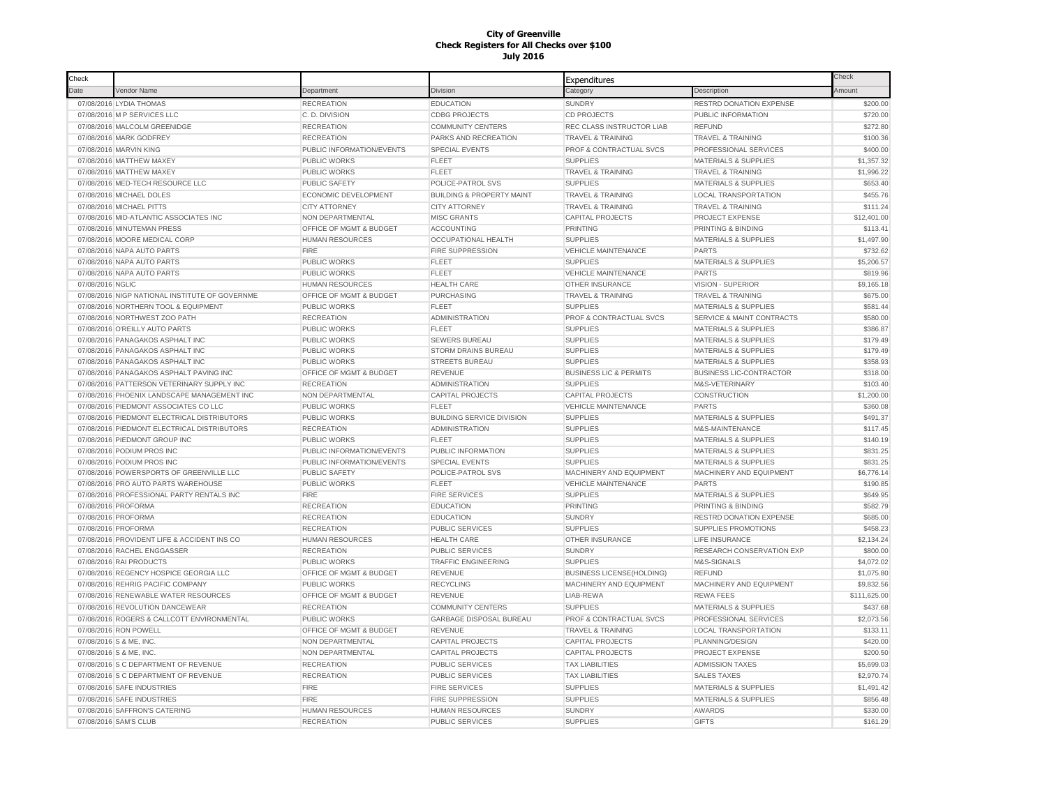| Check            |                                                |                           |                                      | Expenditures                      |                                      | Check        |
|------------------|------------------------------------------------|---------------------------|--------------------------------------|-----------------------------------|--------------------------------------|--------------|
| Date             | Vendor Name                                    | Department                | Division                             | Category                          | Description                          | Amount       |
|                  | 07/08/2016 LYDIA THOMAS                        | <b>RECREATION</b>         | <b>EDUCATION</b>                     | <b>SUNDRY</b>                     | RESTRD DONATION EXPENSE              | \$200.00     |
|                  | 07/08/2016 M P SERVICES LLC                    | C.D. DIVISION             | <b>CDBG PROJECTS</b>                 | <b>CD PROJECTS</b>                | PUBLIC INFORMATION                   | \$720.00     |
|                  | 07/08/2016 MALCOLM GREENIDGE                   | <b>RECREATION</b>         | <b>COMMUNITY CENTERS</b>             | <b>REC CLASS INSTRUCTOR LIAB</b>  | <b>REFUND</b>                        | \$272.80     |
|                  | 07/08/2016 MARK GODFREY                        | <b>RECREATION</b>         | PARKS AND RECREATION                 | <b>TRAVEL &amp; TRAINING</b>      | <b>TRAVEL &amp; TRAINING</b>         | \$100.36     |
|                  | 07/08/2016 MARVIN KING                         | PUBLIC INFORMATION/EVENTS | <b>SPECIAL EVENTS</b>                | PROF & CONTRACTUAL SVCS           | PROFESSIONAL SERVICES                | \$400.00     |
|                  | 07/08/2016 MATTHEW MAXEY                       | PUBLIC WORKS              | <b>FLEET</b>                         | <b>SUPPLIES</b>                   | <b>MATERIALS &amp; SUPPLIES</b>      | \$1,357.32   |
|                  | 07/08/2016 MATTHEW MAXEY                       | PUBLIC WORKS              | <b>FLEET</b>                         | TRAVEL & TRAINING                 | <b>TRAVEL &amp; TRAINING</b>         | \$1,996.22   |
|                  | 07/08/2016 MED-TECH RESOURCE LLC               | PUBLIC SAFETY             | POLICE-PATROL SVS                    | <b>SUPPLIES</b>                   | <b>MATERIALS &amp; SUPPLIES</b>      | \$653.40     |
|                  | 07/08/2016 MICHAEL DOLES                       | ECONOMIC DEVELOPMENT      | <b>BUILDING &amp; PROPERTY MAINT</b> | <b>TRAVEL &amp; TRAINING</b>      | <b>LOCAL TRANSPORTATION</b>          | \$455.76     |
|                  | 07/08/2016 MICHAEL PITTS                       | <b>CITY ATTORNEY</b>      | <b>CITY ATTORNEY</b>                 | TRAVEL & TRAINING                 | <b>TRAVEL &amp; TRAINING</b>         | \$111.24     |
|                  | 07/08/2016 MID-ATLANTIC ASSOCIATES INC         | NON DEPARTMENTAL          | <b>MISC GRANTS</b>                   | <b>CAPITAL PROJECTS</b>           | PROJECT EXPENSE                      | \$12,401.00  |
|                  | 07/08/2016 MINUTEMAN PRESS                     | OFFICE OF MGMT & BUDGET   | <b>ACCOUNTING</b>                    | <b>PRINTING</b>                   | PRINTING & BINDING                   | \$113.41     |
|                  | 07/08/2016 MOORE MEDICAL CORP                  | <b>HUMAN RESOURCES</b>    | OCCUPATIONAL HEALTH                  | <b>SUPPLIES</b>                   | MATERIALS & SUPPLIES                 | \$1,497.90   |
|                  | 07/08/2016 NAPA AUTO PARTS                     | <b>FIRE</b>               | <b>FIRE SUPPRESSION</b>              | <b>VEHICLE MAINTENANCE</b>        | <b>PARTS</b>                         | \$732.62     |
|                  | 07/08/2016 NAPA AUTO PARTS                     | PUBLIC WORKS              | <b>FLEET</b>                         | <b>SUPPLIES</b>                   | <b>MATERIALS &amp; SUPPLIES</b>      | \$5,206.57   |
|                  | 07/08/2016 NAPA AUTO PARTS                     | <b>PUBLIC WORKS</b>       | <b>FLEET</b>                         | <b>VEHICLE MAINTENANCE</b>        | <b>PARTS</b>                         | \$819.96     |
| 07/08/2016 NGLIC |                                                | <b>HUMAN RESOURCES</b>    | <b>HEALTH CARE</b>                   | OTHER INSURANCE                   | VISION - SUPERIOR                    | \$9,165.18   |
|                  | 07/08/2016 NIGP NATIONAL INSTITUTE OF GOVERNME | OFFICE OF MGMT & BUDGET   | PURCHASING                           | <b>TRAVEL &amp; TRAINING</b>      | <b>TRAVEL &amp; TRAINING</b>         | \$675.00     |
|                  | 07/08/2016 NORTHERN TOOL & EQUIPMENT           | PUBLIC WORKS              | <b>FLEET</b>                         | <b>SUPPLIES</b>                   | <b>MATERIALS &amp; SUPPLIES</b>      | \$581.44     |
|                  | 07/08/2016 NORTHWEST ZOO PATH                  | <b>RECREATION</b>         | <b>ADMINISTRATION</b>                | PROF & CONTRACTUAL SVCS           | <b>SERVICE &amp; MAINT CONTRACTS</b> | \$580.00     |
|                  | 07/08/2016 O'REILLY AUTO PARTS                 | PUBLIC WORKS              | <b>FLEET</b>                         | <b>SUPPLIES</b>                   | <b>MATERIALS &amp; SUPPLIES</b>      | \$386.87     |
|                  | 07/08/2016 PANAGAKOS ASPHALT INC               | PUBLIC WORKS              | SEWERS BUREAU                        | <b>SUPPLIES</b>                   | <b>MATERIALS &amp; SUPPLIES</b>      | \$179.49     |
|                  | 07/08/2016 PANAGAKOS ASPHALT INC               | PUBLIC WORKS              | STORM DRAINS BUREAU                  | <b>SUPPLIES</b>                   | MATERIALS & SUPPLIES                 | \$179.49     |
|                  | 07/08/2016 PANAGAKOS ASPHALT INC               | PUBLIC WORKS              | <b>STREETS BUREAU</b>                | <b>SUPPLIES</b>                   | <b>MATERIALS &amp; SUPPLIES</b>      | \$358.93     |
|                  | 07/08/2016 PANAGAKOS ASPHALT PAVING INC        | OFFICE OF MGMT & BUDGET   | <b>REVENUE</b>                       | <b>BUSINESS LIC &amp; PERMITS</b> | <b>BUSINESS LIC-CONTRACTOR</b>       | \$318.00     |
|                  | 07/08/2016 PATTERSON VETERINARY SUPPLY INC     | <b>RECREATION</b>         | <b>ADMINISTRATION</b>                | <b>SUPPLIES</b>                   | M&S-VETERINARY                       | \$103.40     |
|                  | 07/08/2016 PHOENIX LANDSCAPE MANAGEMENT INC    | NON DEPARTMENTAL          | <b>CAPITAL PROJECTS</b>              | <b>CAPITAL PROJECTS</b>           | CONSTRUCTION                         | \$1,200.00   |
|                  | 07/08/2016 PIEDMONT ASSOCIATES CO LLC          | <b>PUBLIC WORKS</b>       | <b>FLEET</b>                         | <b>VEHICLE MAINTENANCE</b>        | <b>PARTS</b>                         | \$360.08     |
|                  | 07/08/2016 PIEDMONT ELECTRICAL DISTRIBUTORS    | PUBLIC WORKS              | <b>BUILDING SERVICE DIVISION</b>     | <b>SUPPLIES</b>                   | MATERIALS & SUPPLIES                 | \$491.37     |
|                  | 07/08/2016 PIEDMONT ELECTRICAL DISTRIBUTORS    | <b>RECREATION</b>         | <b>ADMINISTRATION</b>                | <b>SUPPLIES</b>                   | M&S-MAINTENANCE                      | \$117.45     |
|                  | 07/08/2016 PIEDMONT GROUP INC                  | PUBLIC WORKS              | <b>FLEET</b>                         | <b>SUPPLIES</b>                   | <b>MATERIALS &amp; SUPPLIES</b>      | \$140.19     |
|                  | 07/08/2016 PODIUM PROS INC                     | PUBLIC INFORMATION/EVENTS | PUBLIC INFORMATION                   | <b>SUPPLIES</b>                   | <b>MATERIALS &amp; SUPPLIES</b>      | \$831.25     |
|                  | 07/08/2016 PODIUM PROS INC                     | PUBLIC INFORMATION/EVENTS | <b>SPECIAL EVENTS</b>                | <b>SUPPLIES</b>                   | <b>MATERIALS &amp; SUPPLIES</b>      | \$831.25     |
|                  | 07/08/2016 POWERSPORTS OF GREENVILLE LLC       | PUBLIC SAFETY             | POLICE-PATROL SVS                    | MACHINERY AND EQUIPMENT           | MACHINERY AND EQUIPMENT              | \$6,776.14   |
|                  | 07/08/2016 PRO AUTO PARTS WAREHOUSE            | PUBLIC WORKS              | <b>FLEET</b>                         | VEHICLE MAINTENANCE               | PARTS                                | \$190.85     |
|                  | 07/08/2016 PROFESSIONAL PARTY RENTALS INC      | <b>FIRE</b>               | <b>FIRE SERVICES</b>                 | <b>SUPPLIES</b>                   | <b>MATERIALS &amp; SUPPLIES</b>      | \$649.95     |
|                  | 07/08/2016 PROFORMA                            | <b>RECREATION</b>         | <b>EDUCATION</b>                     | <b>PRINTING</b>                   | PRINTING & BINDING                   | \$582.79     |
|                  | 07/08/2016 PROFORMA                            | <b>RECREATION</b>         | <b>EDUCATION</b>                     | <b>SUNDRY</b>                     | RESTRD DONATION EXPENSE              | \$685.00     |
|                  | 07/08/2016 PROFORMA                            | <b>RECREATION</b>         | PUBLIC SERVICES                      | <b>SUPPLIES</b>                   | SUPPLIES PROMOTIONS                  | \$458.23     |
|                  | 07/08/2016 PROVIDENT LIFE & ACCIDENT INS CO    | <b>HUMAN RESOURCES</b>    | <b>HEALTH CARE</b>                   | OTHER INSURANCE                   | LIFE INSURANCE                       | \$2,134.24   |
|                  | 07/08/2016 RACHEL ENGGASSER                    | <b>RECREATION</b>         | <b>PUBLIC SERVICES</b>               | <b>SUNDRY</b>                     | RESEARCH CONSERVATION EXP            | \$800.00     |
|                  | 07/08/2016 RAI PRODUCTS                        | <b>PUBLIC WORKS</b>       | <b>TRAFFIC ENGINEERING</b>           | <b>SUPPLIES</b>                   | M&S-SIGNALS                          | \$4,072.02   |
|                  | 07/08/2016 REGENCY HOSPICE GEORGIA LLC         | OFFICE OF MGMT & BUDGET   | <b>REVENUE</b>                       | <b>BUSINESS LICENSE(HOLDING)</b>  | REFUND                               | \$1,075.80   |
|                  | 07/08/2016 REHRIG PACIFIC COMPANY              | PUBLIC WORKS              | <b>RECYCLING</b>                     | MACHINERY AND EQUIPMENT           | MACHINERY AND EQUIPMENT              | \$9,832.56   |
|                  | 07/08/2016 RENEWABLE WATER RESOURCES           | OFFICE OF MGMT & BUDGET   | REVENUE                              | LIAB-REWA                         | <b>REWA FEES</b>                     | \$111,625.00 |
|                  | 07/08/2016 REVOLUTION DANCEWEAR                | <b>RECREATION</b>         | <b>COMMUNITY CENTERS</b>             | <b>SUPPLIES</b>                   | <b>MATERIALS &amp; SUPPLIES</b>      | \$437.68     |
|                  | 07/08/2016 ROGERS & CALLCOTT ENVIRONMENTAL     | PUBLIC WORKS              | <b>GARBAGE DISPOSAL BUREAU</b>       | PROF & CONTRACTUAL SVCS           | PROFESSIONAL SERVICES                | \$2,073.56   |
|                  | 07/08/2016 RON POWELL                          | OFFICE OF MGMT & BUDGET   | <b>REVENUE</b>                       | <b>TRAVEL &amp; TRAINING</b>      | <b>LOCAL TRANSPORTATION</b>          | \$133.11     |
|                  | 07/08/2016 S & ME, INC.                        | NON DEPARTMENTAL          | <b>CAPITAL PROJECTS</b>              | <b>CAPITAL PROJECTS</b>           | PLANNING/DESIGN                      | \$420.00     |
|                  | 07/08/2016 S & ME, INC.                        | NON DEPARTMENTAL          | <b>CAPITAL PROJECTS</b>              | <b>CAPITAL PROJECTS</b>           | PROJECT EXPENSE                      | \$200.50     |
|                  | 07/08/2016 S C DEPARTMENT OF REVENUE           | <b>RECREATION</b>         | PUBLIC SERVICES                      | <b>TAX LIABILITIES</b>            | <b>ADMISSION TAXES</b>               | \$5,699.03   |
|                  |                                                |                           |                                      |                                   |                                      |              |
|                  | 07/08/2016 S C DEPARTMENT OF REVENUE           | <b>RECREATION</b>         | <b>PUBLIC SERVICES</b>               | <b>TAX LIABILITIES</b>            | <b>SALES TAXES</b>                   | \$2,970.74   |
|                  | 07/08/2016 SAFE INDUSTRIES                     | <b>FIRE</b>               | <b>FIRE SERVICES</b>                 | <b>SUPPLIES</b>                   | <b>MATERIALS &amp; SUPPLIES</b>      | \$1,491.42   |
|                  | 07/08/2016 SAFE INDUSTRIES                     | <b>FIRE</b>               | <b>FIRE SUPPRESSION</b>              | <b>SUPPLIES</b>                   | <b>MATERIALS &amp; SUPPLIES</b>      | \$856.48     |
|                  | 07/08/2016 SAFFRON'S CATERING                  | HUMAN RESOURCES           | <b>HUMAN RESOURCES</b>               | <b>SUNDRY</b>                     | AWARDS                               | \$330.00     |
|                  | 07/08/2016 SAM'S CLUB                          | <b>RECREATION</b>         | PUBLIC SERVICES                      | <b>SUPPLIES</b>                   | <b>GIFTS</b>                         | \$161.29     |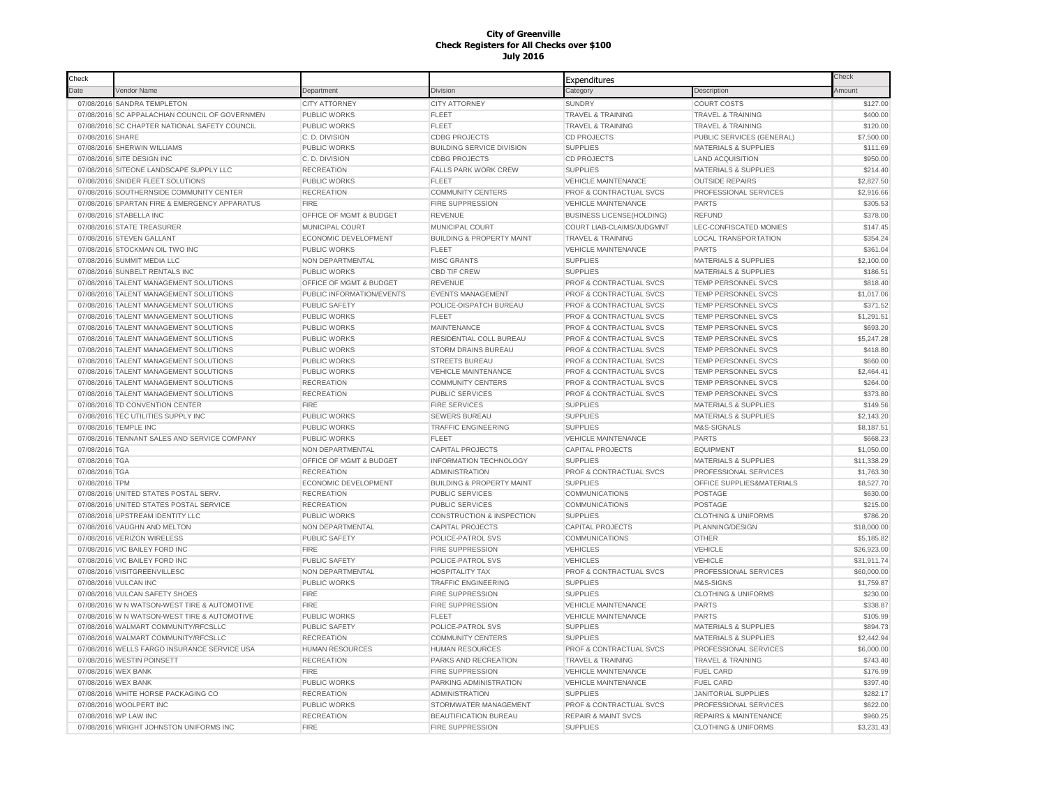| Check            |                                                |                           |                                      | Expenditures                     |                                  | Check       |
|------------------|------------------------------------------------|---------------------------|--------------------------------------|----------------------------------|----------------------------------|-------------|
| Date             | Vendor Name                                    | Department                | Division                             | Category                         | Description                      | Amount      |
|                  | 07/08/2016 SANDRA TEMPLETON                    | <b>CITY ATTORNEY</b>      | <b>CITY ATTORNEY</b>                 | <b>SUNDRY</b>                    | <b>COURT COSTS</b>               | \$127.00    |
|                  | 07/08/2016 SC APPALACHIAN COUNCIL OF GOVERNMEN | <b>PUBLIC WORKS</b>       | <b>FLEET</b>                         | <b>TRAVEL &amp; TRAINING</b>     | <b>TRAVEL &amp; TRAINING</b>     | \$400.00    |
|                  | 07/08/2016 SC CHAPTER NATIONAL SAFETY COUNCIL  | <b>PUBLIC WORKS</b>       | FLEET                                | <b>TRAVEL &amp; TRAINING</b>     | <b>TRAVEL &amp; TRAINING</b>     | \$120.00    |
| 07/08/2016 SHARE |                                                | C.D. DIVISION             | <b>CDBG PROJECTS</b>                 | <b>CD PROJECTS</b>               | PUBLIC SERVICES (GENERAL)        | \$7,500.00  |
|                  | 07/08/2016 SHERWIN WILLIAMS                    | PUBLIC WORKS              | <b>BUILDING SERVICE DIVISION</b>     | <b>SUPPLIES</b>                  | MATERIALS & SUPPLIES             | \$111.69    |
|                  | 07/08/2016 SITE DESIGN INC                     | C.D. DIVISION             | <b>CDBG PROJECTS</b>                 | <b>CD PROJECTS</b>               | <b>LAND ACQUISITION</b>          | \$950.00    |
|                  | 07/08/2016 SITEONE LANDSCAPE SUPPLY LLC        | <b>RECREATION</b>         | <b>FALLS PARK WORK CREW</b>          | <b>SUPPLIES</b>                  | <b>MATERIALS &amp; SUPPLIES</b>  | \$214.40    |
|                  | 07/08/2016 SNIDER FLEET SOLUTIONS              | <b>PUBLIC WORKS</b>       | <b>FLEET</b>                         | <b>VEHICLE MAINTENANCE</b>       | <b>OUTSIDE REPAIRS</b>           | \$2,827.50  |
|                  | 07/08/2016 SOUTHERNSIDE COMMUNITY CENTER       | <b>RECREATION</b>         | <b>COMMUNITY CENTERS</b>             | PROF & CONTRACTUAL SVCS          | PROFESSIONAL SERVICES            | \$2,916.66  |
|                  | 07/08/2016 SPARTAN FIRE & EMERGENCY APPARATUS  | <b>FIRE</b>               | <b>FIRE SUPPRESSION</b>              | VEHICLE MAINTENANCE              | <b>PARTS</b>                     | \$305.53    |
|                  | 07/08/2016 STABELLA INC                        | OFFICE OF MGMT & BUDGET   | <b>REVENUE</b>                       | <b>BUSINESS LICENSE(HOLDING)</b> | <b>REFUND</b>                    | \$378.00    |
|                  | 07/08/2016 STATE TREASURER                     | MUNICIPAL COURT           | MUNICIPAL COURT                      | COURT LIAB-CLAIMS/JUDGMNT        | LEC-CONFISCATED MONIES           | \$147.45    |
|                  | 07/08/2016 STEVEN GALLANT                      | ECONOMIC DEVELOPMENT      | <b>BUILDING &amp; PROPERTY MAINT</b> | TRAVEL & TRAINING                | <b>LOCAL TRANSPORTATION</b>      | \$354.24    |
|                  | 07/08/2016 STOCKMAN OIL TWO INC                | <b>PUBLIC WORKS</b>       | <b>FLEET</b>                         | <b>VEHICLE MAINTENANCE</b>       | <b>PARTS</b>                     | \$361.04    |
|                  | 07/08/2016 SUMMIT MEDIA LLC                    | NON DEPARTMENTAL          | <b>MISC GRANTS</b>                   | <b>SUPPLIES</b>                  | <b>MATERIALS &amp; SUPPLIES</b>  | \$2,100.00  |
|                  | 07/08/2016 SUNBELT RENTALS INC                 | PUBLIC WORKS              | <b>CBD TIF CREW</b>                  | <b>SUPPLIES</b>                  | <b>MATERIALS &amp; SUPPLIES</b>  | \$186.51    |
|                  | 07/08/2016 TALENT MANAGEMENT SOLUTIONS         | OFFICE OF MGMT & BUDGET   | <b>REVENUE</b>                       | PROF & CONTRACTUAL SVCS          | TEMP PERSONNEL SVCS              | \$818.40    |
|                  | 07/08/2016 TALENT MANAGEMENT SOLUTIONS         | PUBLIC INFORMATION/EVENTS | <b>EVENTS MANAGEMENT</b>             | PROF & CONTRACTUAL SVCS          | TEMP PERSONNEL SVCS              | \$1,017.06  |
|                  | 07/08/2016 TALENT MANAGEMENT SOLUTIONS         | PUBLIC SAFETY             | POLICE-DISPATCH BUREAU               | PROF & CONTRACTUAL SVCS          | <b>TEMP PERSONNEL SVCS</b>       | \$371.52    |
|                  | 07/08/2016 TALENT MANAGEMENT SOLUTIONS         | PUBLIC WORKS              | FLEET                                | PROF & CONTRACTUAL SVCS          | TEMP PERSONNEL SVCS              | \$1,291.51  |
|                  | 07/08/2016 TALENT MANAGEMENT SOLUTIONS         | PUBLIC WORKS              | <b>MAINTENANCE</b>                   | PROF & CONTRACTUAL SVCS          | <b>TEMP PERSONNEL SVCS</b>       | \$693.20    |
|                  | 07/08/2016 TALENT MANAGEMENT SOLUTIONS         | PUBLIC WORKS              | RESIDENTIAL COLL BUREAU              | PROF & CONTRACTUAL SVCS          | TEMP PERSONNEL SVCS              | \$5,247.28  |
|                  | 07/08/2016 TALENT MANAGEMENT SOLUTIONS         | PUBLIC WORKS              | <b>STORM DRAINS BUREAU</b>           | PROF & CONTRACTUAL SVCS          | TEMP PERSONNEL SVCS              | \$418.80    |
|                  | 07/08/2016 TALENT MANAGEMENT SOLUTIONS         | <b>PUBLIC WORKS</b>       | <b>STREETS BUREAU</b>                | PROF & CONTRACTUAL SVCS          | TEMP PERSONNEL SVCS              | \$660.00    |
|                  | 07/08/2016 TALENT MANAGEMENT SOLUTIONS         | <b>PUBLIC WORKS</b>       | <b>VEHICLE MAINTENANCE</b>           | PROF & CONTRACTUAL SVCS          | TEMP PERSONNEL SVCS              | \$2,464.41  |
|                  | 07/08/2016 TALENT MANAGEMENT SOLUTIONS         | <b>RECREATION</b>         | <b>COMMUNITY CENTERS</b>             | PROF & CONTRACTUAL SVCS          | TEMP PERSONNEL SVCS              | \$264.00    |
|                  | 07/08/2016 TALENT MANAGEMENT SOLUTIONS         | <b>RECREATION</b>         | <b>PUBLIC SERVICES</b>               | PROF & CONTRACTUAL SVCS          | TEMP PERSONNEL SVCS              | \$373.80    |
|                  | 07/08/2016 TD CONVENTION CENTER                | <b>FIRE</b>               | <b>FIRE SERVICES</b>                 | <b>SUPPLIES</b>                  | <b>MATERIALS &amp; SUPPLIES</b>  | \$149.56    |
|                  | 07/08/2016 TEC UTILITIES SUPPLY INC            | PUBLIC WORKS              | <b>SEWERS BUREAU</b>                 | <b>SUPPLIES</b>                  | <b>MATERIALS &amp; SUPPLIES</b>  | \$2,143.20  |
|                  | 07/08/2016 TEMPLE INC                          | PUBLIC WORKS              | <b>TRAFFIC ENGINEERING</b>           | <b>SUPPLIES</b>                  | M&S-SIGNALS                      | \$8,187.51  |
|                  | 07/08/2016 TENNANT SALES AND SERVICE COMPANY   | PUBLIC WORKS              | FLEET                                | <b>VEHICLE MAINTENANCE</b>       | <b>PARTS</b>                     | \$668.23    |
| 07/08/2016 TGA   |                                                | NON DEPARTMENTAL          | <b>CAPITAL PROJECTS</b>              | <b>CAPITAL PROJECTS</b>          | <b>EQUIPMENT</b>                 | \$1,050.00  |
| 07/08/2016 TGA   |                                                | OFFICE OF MGMT & BUDGET   | INFORMATION TECHNOLOGY               | <b>SUPPLIES</b>                  | <b>MATERIALS &amp; SUPPLIES</b>  | \$11,338.29 |
| 07/08/2016 TGA   |                                                | <b>RECREATION</b>         | <b>ADMINISTRATION</b>                | PROF & CONTRACTUAL SVCS          | PROFESSIONAL SERVICES            | \$1,763.30  |
| 07/08/2016 TPM   |                                                | ECONOMIC DEVELOPMENT      | <b>BUILDING &amp; PROPERTY MAINT</b> | <b>SUPPLIES</b>                  | OFFICE SUPPLIES&MATERIALS        | \$8,527.70  |
|                  | 07/08/2016 UNITED STATES POSTAL SERV           | <b>RECREATION</b>         | <b>PUBLIC SERVICES</b>               | <b>COMMUNICATIONS</b>            | POSTAGE                          | \$630.00    |
|                  | 07/08/2016 UNITED STATES POSTAL SERVICE        | <b>RECREATION</b>         | <b>PUBLIC SERVICES</b>               | <b>COMMUNICATIONS</b>            | <b>POSTAGE</b>                   | \$215.00    |
|                  | 07/08/2016 UPSTREAM IDENTITY LLC               | PUBLIC WORKS              | <b>CONSTRUCTION &amp; INSPECTION</b> | <b>SUPPLIES</b>                  | <b>CLOTHING &amp; UNIFORMS</b>   | \$786.20    |
|                  | 07/08/2016 VAUGHN AND MELTON                   | NON DEPARTMENTAL          | <b>CAPITAL PROJECTS</b>              | <b>CAPITAL PROJECTS</b>          | PLANNING/DESIGN                  | \$18,000.00 |
|                  | 07/08/2016 VERIZON WIRELESS                    | PUBLIC SAFETY             | POLICE-PATROL SVS                    | COMMUNICATIONS                   | <b>OTHER</b>                     | \$5,185.82  |
|                  | 07/08/2016 VIC BAILEY FORD INC                 | <b>FIRE</b>               | FIRE SUPPRESSION                     | <b>VEHICLES</b>                  | VEHICLE                          | \$26,923.00 |
|                  | 07/08/2016 VIC BAILEY FORD INC                 | <b>PUBLIC SAFETY</b>      | POLICE-PATROL SVS                    | <b>VEHICLES</b>                  | <b>VEHICLE</b>                   | \$31,911.74 |
|                  | 07/08/2016 VISITGREENVILLESC                   | NON DEPARTMENTAL          | <b>HOSPITALITY TAX</b>               | PROF & CONTRACTUAL SVCS          | PROFESSIONAL SERVICES            | \$60,000.00 |
|                  | 07/08/2016 VULCAN INC                          | PUBLIC WORKS              | TRAFFIC ENGINEERING                  | <b>SUPPLIES</b>                  | M&S-SIGNS                        | \$1,759.87  |
|                  | 07/08/2016 VULCAN SAFETY SHOES                 | <b>FIRE</b>               | <b>FIRE SUPPRESSION</b>              | <b>SUPPLIES</b>                  | <b>CLOTHING &amp; UNIFORMS</b>   | \$230.00    |
|                  | 07/08/2016 W N WATSON-WEST TIRE & AUTOMOTIVE   | <b>FIRE</b>               | <b>FIRE SUPPRESSION</b>              | <b>VEHICLE MAINTENANCE</b>       | <b>PARTS</b>                     | \$338.87    |
|                  | 07/08/2016 W N WATSON-WEST TIRE & AUTOMOTIVE   | PUBLIC WORKS              | <b>FLEET</b>                         | <b>VEHICLE MAINTENANCE</b>       | <b>PARTS</b>                     | \$105.99    |
|                  | 07/08/2016 WALMART COMMUNITY/RFCSLLC           | PUBLIC SAFETY             | POLICE-PATROL SVS                    | <b>SUPPLIES</b>                  | <b>MATERIALS &amp; SUPPLIES</b>  | \$894.73    |
|                  | 07/08/2016 WALMART COMMUNITY/RFCSLLC           | <b>RECREATION</b>         | <b>COMMUNITY CENTERS</b>             | <b>SUPPLIES</b>                  | <b>MATERIALS &amp; SUPPLIES</b>  | \$2,442.94  |
|                  | 07/08/2016 WELLS FARGO INSURANCE SERVICE USA   | <b>HUMAN RESOURCES</b>    | <b>HUMAN RESOURCES</b>               | PROF & CONTRACTUAL SVCS          | PROFESSIONAL SERVICES            | \$6,000.00  |
|                  | 07/08/2016 WESTIN POINSETT                     | <b>RECREATION</b>         | PARKS AND RECREATION                 | <b>TRAVEL &amp; TRAINING</b>     | <b>TRAVEL &amp; TRAINING</b>     | \$743.40    |
|                  | 07/08/2016 WEX BANK                            | <b>FIRE</b>               | <b>FIRE SUPPRESSION</b>              | <b>VEHICLE MAINTENANCE</b>       | <b>FUEL CARD</b>                 | \$176.99    |
|                  | 07/08/2016 WEX BANK                            | PUBLIC WORKS              | PARKING ADMINISTRATION               | <b>VEHICLE MAINTENANCE</b>       | <b>FUEL CARD</b>                 | \$397.40    |
|                  | 07/08/2016 WHITE HORSE PACKAGING CO            | <b>RECREATION</b>         | <b>ADMINISTRATION</b>                | <b>SUPPLIES</b>                  | <b>JANITORIAL SUPPLIES</b>       | \$282.17    |
|                  | 07/08/2016 WOOLPERT INC                        | <b>PUBLIC WORKS</b>       | STORMWATER MANAGEMENT                | PROF & CONTRACTUAL SVCS          | PROFESSIONAL SERVICES            | \$622.00    |
|                  | 07/08/2016 WP LAW INC                          | <b>RECREATION</b>         | BEAUTIFICATION BUREAU                | <b>REPAIR &amp; MAINT SVCS</b>   | <b>REPAIRS &amp; MAINTENANCE</b> | \$960.25    |
|                  | 07/08/2016 WRIGHT JOHNSTON UNIFORMS INC        | <b>FIRE</b>               | FIRE SUPPRESSION                     | <b>SUPPLIES</b>                  | <b>CLOTHING &amp; UNIFORMS</b>   | \$3.231.43  |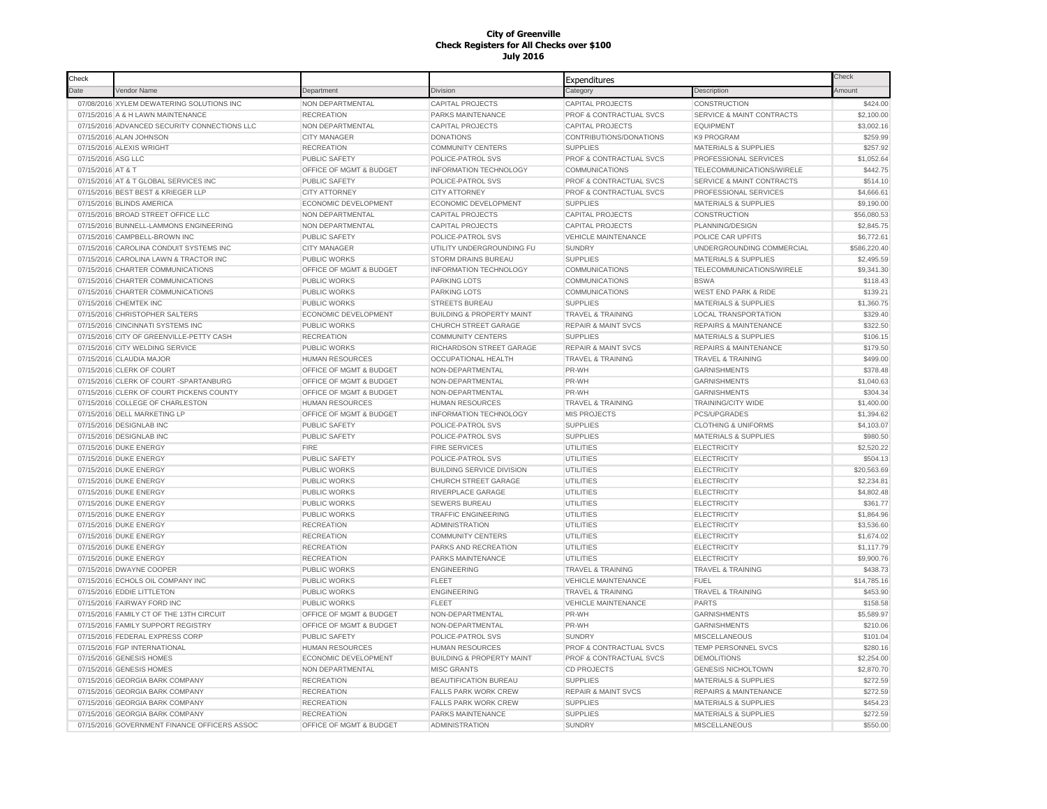| Check              |                                              |                         |                                      | Expenditures                       |                                      | Check        |
|--------------------|----------------------------------------------|-------------------------|--------------------------------------|------------------------------------|--------------------------------------|--------------|
| Date               | Vendor Name                                  | Department              | Division                             | Category                           | Description                          | Amount       |
|                    | 07/08/2016 XYLEM DEWATERING SOLUTIONS INC    | NON DEPARTMENTAL        | <b>CAPITAL PROJECTS</b>              | <b>CAPITAL PROJECTS</b>            | CONSTRUCTION                         | \$424.00     |
|                    | 07/15/2016 A & H LAWN MAINTENANCE            | <b>RECREATION</b>       | PARKS MAINTENANCE                    | PROF & CONTRACTUAL SVCS            | <b>SERVICE &amp; MAINT CONTRACTS</b> | \$2,100.00   |
|                    | 07/15/2016 ADVANCED SECURITY CONNECTIONS LLC | NON DEPARTMENTAL        | <b>CAPITAL PROJECTS</b>              | <b>CAPITAL PROJECTS</b>            | <b>EQUIPMENT</b>                     | \$3,002.16   |
|                    | 07/15/2016 ALAN JOHNSON                      | <b>CITY MANAGER</b>     | <b>DONATIONS</b>                     | CONTRIBUTIONS/DONATIONS            | <b>K9 PROGRAM</b>                    | \$259.99     |
|                    | 07/15/2016 ALEXIS WRIGHT                     | <b>RECREATION</b>       | <b>COMMUNITY CENTERS</b>             | <b>SUPPLIES</b>                    | <b>MATERIALS &amp; SUPPLIES</b>      | \$257.92     |
| 07/15/2016 ASG LLC |                                              | PUBLIC SAFETY           | POLICE-PATROL SVS                    | PROF & CONTRACTUAL SVCS            | PROFESSIONAL SERVICES                | \$1,052.64   |
| 07/15/2016 AT & T  |                                              | OFFICE OF MGMT & BUDGET | <b>INFORMATION TECHNOLOGY</b>        | <b>COMMUNICATIONS</b>              | TELECOMMUNICATIONS/WIRELE            | \$442.75     |
|                    | 07/15/2016 AT & T GLOBAL SERVICES INC        | PUBLIC SAFETY           | POLICE-PATROL SVS                    | PROF & CONTRACTUAL SVCS            | SERVICE & MAINT CONTRACTS            | \$514.10     |
|                    | 07/15/2016 BEST BEST & KRIEGER LLP           | <b>CITY ATTORNEY</b>    | <b>CITY ATTORNEY</b>                 | PROF & CONTRACTUAL SVCS            | PROFESSIONAL SERVICES                | \$4,666.61   |
|                    | 07/15/2016 BLINDS AMERICA                    | ECONOMIC DEVELOPMENT    | <b>ECONOMIC DEVELOPMENT</b>          | <b>SUPPLIES</b>                    | <b>MATERIALS &amp; SUPPLIES</b>      | \$9,190.00   |
|                    | 07/15/2016 BROAD STREET OFFICE LLC           | NON DEPARTMENTAL        | <b>CAPITAL PROJECTS</b>              | <b>CAPITAL PROJECTS</b>            | CONSTRUCTION                         | \$56,080.53  |
|                    | 07/15/2016 BUNNELL-LAMMONS ENGINEERING       | NON DEPARTMENTAL        | <b>CAPITAL PROJECTS</b>              | <b>CAPITAL PROJECTS</b>            | PLANNING/DESIGN                      | \$2,845.75   |
|                    | 07/15/2016 CAMPBELL-BROWN INC                | PUBLIC SAFETY           | POLICE-PATROL SVS                    | <b>VEHICLE MAINTENANCE</b>         | POLICE CAR UPFITS                    | \$6,772.61   |
|                    | 07/15/2016 CAROLINA CONDUIT SYSTEMS INC      | <b>CITY MANAGER</b>     | UTILITY UNDERGROUNDING FU            | <b>SUNDRY</b>                      | UNDERGROUNDING COMMERCIAL            | \$586,220.40 |
|                    | 07/15/2016 CAROLINA LAWN & TRACTOR INC       | PUBLIC WORKS            | <b>STORM DRAINS BUREAU</b>           | <b>SUPPLIES</b>                    | <b>MATERIALS &amp; SUPPLIES</b>      | \$2,495.59   |
|                    | 07/15/2016 CHARTER COMMUNICATIONS            | OFFICE OF MGMT & BUDGET | INFORMATION TECHNOLOGY               | <b>COMMUNICATIONS</b>              | TELECOMMUNICATIONS/WIRELE            | \$9,341.30   |
|                    | 07/15/2016 CHARTER COMMUNICATIONS            | PUBLIC WORKS            | <b>PARKING LOTS</b>                  | <b>COMMUNICATIONS</b>              | <b>BSWA</b>                          | \$118.43     |
|                    | 07/15/2016 CHARTER COMMUNICATIONS            | PUBLIC WORKS            | <b>PARKING LOTS</b>                  | <b>COMMUNICATIONS</b>              | WEST END PARK & RIDE                 | \$139.21     |
|                    | 07/15/2016 CHEMTEK INC                       | PUBLIC WORKS            | <b>STREETS BUREAU</b>                | <b>SUPPLIES</b>                    | <b>MATERIALS &amp; SUPPLIES</b>      | \$1,360.75   |
|                    | 07/15/2016 CHRISTOPHER SALTERS               | ECONOMIC DEVELOPMENT    | <b>BUILDING &amp; PROPERTY MAINT</b> | TRAVEL & TRAINING                  | <b>LOCAL TRANSPORTATION</b>          | \$329.40     |
|                    | 07/15/2016 CINCINNATI SYSTEMS INC            | <b>PUBLIC WORKS</b>     | <b>CHURCH STREET GARAGE</b>          | <b>REPAIR &amp; MAINT SVCS</b>     | <b>REPAIRS &amp; MAINTENANCE</b>     | \$322.50     |
|                    | 07/15/2016 CITY OF GREENVILLE-PETTY CASH     | <b>RECREATION</b>       | <b>COMMUNITY CENTERS</b>             | <b>SUPPLIES</b>                    | <b>MATERIALS &amp; SUPPLIES</b>      | \$106.15     |
|                    | 07/15/2016 CITY WELDING SERVICE              | <b>PUBLIC WORKS</b>     | RICHARDSON STREET GARAGE             | <b>REPAIR &amp; MAINT SVCS</b>     | <b>REPAIRS &amp; MAINTENANCE</b>     | \$179.50     |
|                    | 07/15/2016 CLAUDIA MAJOR                     | <b>HUMAN RESOURCES</b>  | <b>OCCUPATIONAL HEALTH</b>           | <b>TRAVEL &amp; TRAINING</b>       | <b>TRAVEL &amp; TRAINING</b>         | \$499.00     |
|                    | 07/15/2016 CLERK OF COURT                    | OFFICE OF MGMT & BUDGET | NON-DEPARTMENTAL                     | PR-WH                              | <b>GARNISHMENTS</b>                  | \$378.48     |
|                    | 07/15/2016 CLERK OF COURT -SPARTANBURG       | OFFICE OF MGMT & BUDGET | NON-DEPARTMENTAL                     | PR-WH                              | <b>GARNISHMENTS</b>                  | \$1,040.63   |
|                    | 07/15/2016 CLERK OF COURT PICKENS COUNTY     | OFFICE OF MGMT & BUDGET | NON-DEPARTMENTAL                     | PR-WH                              | <b>GARNISHMENTS</b>                  | \$304.34     |
|                    | 07/15/2016 COLLEGE OF CHARLESTON             | <b>HUMAN RESOURCES</b>  | <b>HUMAN RESOURCES</b>               | <b>TRAVEL &amp; TRAINING</b>       | TRAINING/CITY WIDE                   | \$1,400.00   |
|                    | 07/15/2016 DELL MARKETING LP                 | OFFICE OF MGMT & BUDGET | <b>INFORMATION TECHNOLOGY</b>        | <b>MIS PROJECTS</b>                | PCS/UPGRADES                         | \$1,394.62   |
|                    | 07/15/2016 DESIGNLAB INC                     | PUBLIC SAFETY           | POLICE-PATROL SVS                    | <b>SUPPLIES</b>                    | <b>CLOTHING &amp; UNIFORMS</b>       | \$4,103.07   |
|                    | 07/15/2016 DESIGNLAB INC                     | <b>PUBLIC SAFETY</b>    | POLICE-PATROL SVS                    | <b>SUPPLIES</b>                    | <b>MATERIALS &amp; SUPPLIES</b>      | \$980.50     |
|                    | 07/15/2016 DUKE ENERGY                       | <b>FIRE</b>             | <b>FIRE SERVICES</b>                 | UTILITIES                          | <b>ELECTRICITY</b>                   | \$2,520.22   |
|                    | 07/15/2016 DUKE ENERGY                       | PUBLIC SAFETY           | POLICE-PATROL SVS                    | UTILITIES                          | <b>ELECTRICITY</b>                   | \$504.13     |
|                    | 07/15/2016 DUKE ENERGY                       | PUBLIC WORKS            | <b>BUILDING SERVICE DIVISION</b>     | <b>UTILITIES</b>                   | <b>ELECTRICITY</b>                   | \$20,563.69  |
|                    | 07/15/2016 DUKE ENERGY                       | <b>PUBLIC WORKS</b>     | <b>CHURCH STREET GARAGE</b>          | UTILITIES                          | <b>ELECTRICITY</b>                   | \$2,234.81   |
|                    | 07/15/2016 DUKE ENERGY                       | PUBLIC WORKS            | RIVERPLACE GARAGE                    | UTILITIES                          | <b>ELECTRICITY</b>                   | \$4,802.48   |
|                    | 07/15/2016 DUKE ENERGY                       | PUBLIC WORKS            | <b>SEWERS BUREAU</b>                 | UTILITIES                          | <b>ELECTRICITY</b>                   | \$361.77     |
|                    | 07/15/2016 DUKE ENERGY                       | PUBLIC WORKS            | <b>TRAFFIC ENGINEERING</b>           | <b>UTILITIES</b>                   | <b>ELECTRICITY</b>                   | \$1,864.96   |
|                    | 07/15/2016 DUKE ENERGY                       | <b>RECREATION</b>       | <b>ADMINISTRATION</b>                | UTILITIES                          | <b>ELECTRICITY</b>                   | \$3,536.60   |
|                    | 07/15/2016 DUKE ENERGY                       | <b>RECREATION</b>       | <b>COMMUNITY CENTERS</b>             | UTILITIES                          | <b>ELECTRICITY</b>                   | \$1,674.02   |
|                    | 07/15/2016 DUKE ENERGY                       | <b>RECREATION</b>       | PARKS AND RECREATION                 | <b>UTILITIES</b>                   | <b>ELECTRICITY</b>                   | \$1,117.79   |
|                    | 07/15/2016 DUKE ENERGY                       | <b>RECREATION</b>       | PARKS MAINTENANCE                    | <b>UTILITIES</b>                   | <b>ELECTRICITY</b>                   | \$9,900.76   |
|                    | 07/15/2016 DWAYNE COOPER                     | PUBLIC WORKS            | <b>ENGINEERING</b>                   | <b>TRAVEL &amp; TRAINING</b>       | <b>TRAVEL &amp; TRAINING</b>         | \$438.73     |
|                    | 07/15/2016 ECHOLS OIL COMPANY INC            | PUBLIC WORKS            | <b>FLEET</b>                         | <b>VEHICLE MAINTENANCE</b>         | <b>FUEL</b>                          | \$14,785.16  |
|                    | 07/15/2016 EDDIE LITTLETON                   | PUBLIC WORKS            | <b>ENGINEERING</b>                   | TRAVEL & TRAINING                  | <b>TRAVEL &amp; TRAINING</b>         | \$453.90     |
|                    | 07/15/2016 FAIRWAY FORD INC                  | <b>PUBLIC WORKS</b>     | <b>FLEET</b>                         | <b>VEHICLE MAINTENANCE</b>         | PARTS                                | \$158.58     |
|                    | 07/15/2016 FAMILY CT OF THE 13TH CIRCUIT     | OFFICE OF MGMT & BUDGET | NON-DEPARTMENTAL                     | PR-WH                              | <b>GARNISHMENTS</b>                  | \$5,589.97   |
|                    | 07/15/2016 FAMILY SUPPORT REGISTRY           | OFFICE OF MGMT & BUDGET | NON-DEPARTMENTAL                     | PR-WH                              | <b>GARNISHMENTS</b>                  | \$210.06     |
|                    | 07/15/2016 FEDERAL EXPRESS CORP              | PUBLIC SAFETY           | POLICE-PATROL SVS                    | <b>SUNDRY</b>                      | <b>MISCELLANEOUS</b>                 | \$101.04     |
|                    | 07/15/2016 FGP INTERNATIONAL                 | <b>HUMAN RESOURCES</b>  | <b>HUMAN RESOURCES</b>               | <b>PROF &amp; CONTRACTUAL SVCS</b> | TEMP PERSONNEL SVCS                  | \$280.16     |
|                    | 07/15/2016 GENESIS HOMES                     | ECONOMIC DEVELOPMENT    | <b>BUILDING &amp; PROPERTY MAINT</b> | <b>PROF &amp; CONTRACTUAL SVCS</b> | <b>DEMOLITIONS</b>                   | \$2,254.00   |
|                    | 07/15/2016 GENESIS HOMES                     | NON DEPARTMENTAL        | <b>MISC GRANTS</b>                   | <b>CD PROJECTS</b>                 | <b>GENESIS NICHOLTOWN</b>            | \$2,870.70   |
|                    | 07/15/2016 GEORGIA BARK COMPANY              | <b>RECREATION</b>       | BEAUTIFICATION BUREAU                | <b>SUPPLIES</b>                    | <b>MATERIALS &amp; SUPPLIES</b>      | \$272.59     |
|                    |                                              |                         |                                      |                                    |                                      |              |
|                    | 07/15/2016 GEORGIA BARK COMPANY              | <b>RECREATION</b>       | <b>FALLS PARK WORK CREW</b>          | <b>REPAIR &amp; MAINT SVCS</b>     | <b>REPAIRS &amp; MAINTENANCE</b>     | \$272.59     |
|                    | 07/15/2016 GEORGIA BARK COMPANY              | <b>RECREATION</b>       | <b>FALLS PARK WORK CREW</b>          | <b>SUPPLIES</b>                    | <b>MATERIALS &amp; SUPPLIES</b>      | \$454.23     |
|                    | 07/15/2016 GEORGIA BARK COMPANY              | <b>RECREATION</b>       | PARKS MAINTENANCE                    | <b>SUPPLIES</b>                    | <b>MATERIALS &amp; SUPPLIES</b>      | \$272.59     |
|                    | 07/15/2016 GOVERNMENT FINANCE OFFICERS ASSOC | OFFICE OF MGMT & BUDGET | <b>ADMINISTRATION</b>                | <b>SUNDRY</b>                      | <b>MISCELLANEOUS</b>                 | \$550.00     |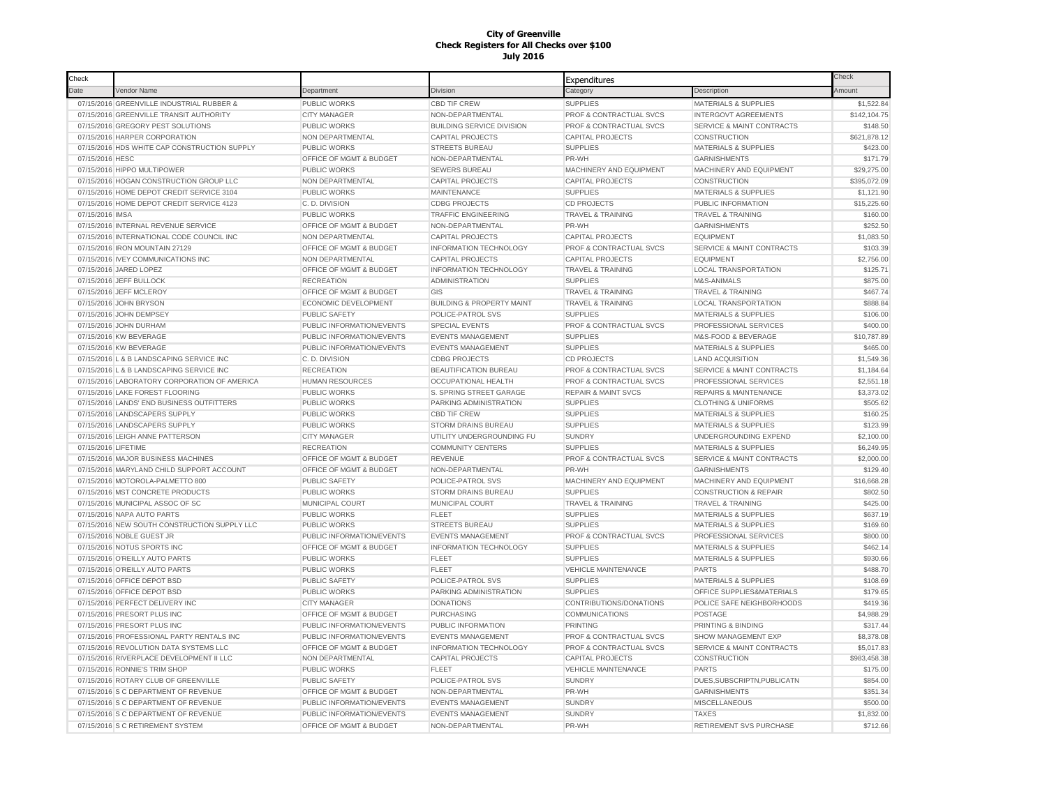| Check               |                                                                               |                                              |                                                   | Expenditures                               |                                                              | Check                    |
|---------------------|-------------------------------------------------------------------------------|----------------------------------------------|---------------------------------------------------|--------------------------------------------|--------------------------------------------------------------|--------------------------|
| Date                | Vendor Name                                                                   | Department                                   | Division                                          | Category                                   | Description                                                  | Amount                   |
|                     | 07/15/2016 GREENVILLE INDUSTRIAL RUBBER &                                     | <b>PUBLIC WORKS</b>                          | <b>CBD TIF CREW</b>                               | <b>SUPPLIES</b>                            | <b>MATERIALS &amp; SUPPLIES</b>                              | \$1,522.84               |
|                     | 07/15/2016 GREENVILLE TRANSIT AUTHORITY                                       | <b>CITY MANAGER</b>                          | NON-DEPARTMENTAL                                  | PROF & CONTRACTUAL SVCS                    | <b>INTERGOVT AGREEMENTS</b>                                  | \$142,104.75             |
|                     | 07/15/2016 GREGORY PEST SOLUTIONS                                             | PUBLIC WORKS                                 | <b>BUILDING SERVICE DIVISION</b>                  | PROF & CONTRACTUAL SVCS                    | SERVICE & MAINT CONTRACTS                                    | \$148.50                 |
|                     | 07/15/2016 HARPER CORPORATION                                                 | NON DEPARTMENTAL                             | <b>CAPITAL PROJECTS</b>                           | <b>CAPITAL PROJECTS</b>                    | CONSTRUCTION                                                 | \$621,878.12             |
|                     | 07/15/2016 HDS WHITE CAP CONSTRUCTION SUPPLY                                  | PUBLIC WORKS                                 | <b>STREETS BUREAU</b>                             | <b>SUPPLIES</b>                            | <b>MATERIALS &amp; SUPPLIES</b>                              | \$423.00                 |
| 07/15/2016 HESC     |                                                                               | OFFICE OF MGMT & BUDGET                      | NON-DEPARTMENTAL                                  | PR-WH                                      | <b>GARNISHMENTS</b>                                          | \$171.79                 |
|                     | 07/15/2016 HIPPO MULTIPOWER                                                   | <b>PUBLIC WORKS</b>                          | <b>SEWERS BUREAU</b>                              | MACHINERY AND EQUIPMENT                    | MACHINERY AND EQUIPMENT                                      | \$29,275.00              |
|                     | 07/15/2016 HOGAN CONSTRUCTION GROUP LLC                                       | NON DEPARTMENTAL                             | <b>CAPITAL PROJECTS</b>                           | <b>CAPITAL PROJECTS</b>                    | CONSTRUCTION                                                 | \$395,072.09             |
|                     | 07/15/2016 HOME DEPOT CREDIT SERVICE 3104                                     | PUBLIC WORKS                                 | <b>MAINTENANCE</b>                                | <b>SUPPLIES</b>                            | <b>MATERIALS &amp; SUPPLIES</b>                              | \$1,121.90               |
|                     | 07/15/2016 HOME DEPOT CREDIT SERVICE 4123                                     | C.D. DIVISION                                | <b>CDBG PROJECTS</b>                              | <b>CD PROJECTS</b>                         | PUBLIC INFORMATION                                           | \$15,225.60              |
| 07/15/2016 IMSA     |                                                                               | PUBLIC WORKS                                 | <b>TRAFFIC ENGINEERING</b>                        | TRAVEL & TRAINING                          | <b>TRAVEL &amp; TRAINING</b>                                 | \$160.00                 |
|                     | 07/15/2016 INTERNAL REVENUE SERVICE                                           | OFFICE OF MGMT & BUDGET                      | NON-DEPARTMENTAL                                  | PR-WH                                      | <b>GARNISHMENTS</b>                                          | \$252.50                 |
|                     | 07/15/2016 INTERNATIONAL CODE COUNCIL INC                                     | NON DEPARTMENTAL                             | <b>CAPITAL PROJECTS</b>                           | <b>CAPITAL PROJECTS</b>                    | <b>EQUIPMENT</b>                                             | \$1,083.50               |
|                     | 07/15/2016 IRON MOUNTAIN 27129                                                | OFFICE OF MGMT & BUDGET                      | <b>INFORMATION TECHNOLOGY</b>                     | PROF & CONTRACTUAL SVCS                    | <b>SERVICE &amp; MAINT CONTRACTS</b>                         | \$103.39                 |
|                     | 07/15/2016 IVEY COMMUNICATIONS INC                                            | NON DEPARTMENTAL                             | <b>CAPITAL PROJECTS</b>                           | <b>CAPITAL PROJECTS</b>                    | <b>EQUIPMENT</b>                                             | \$2,756.00               |
|                     | 07/15/2016 JARED LOPEZ                                                        | OFFICE OF MGMT & BUDGET                      | INFORMATION TECHNOLOGY                            | TRAVEL & TRAINING                          | <b>LOCAL TRANSPORTATION</b>                                  | \$125.71                 |
|                     | 07/15/2016 JEFF BULLOCK                                                       | <b>RECREATION</b>                            | <b>ADMINISTRATION</b>                             | <b>SUPPLIES</b>                            | M&S-ANIMALS                                                  | \$875.00                 |
|                     | 07/15/2016 JEFF MCLEROY                                                       | OFFICE OF MGMT & BUDGET                      | GIS                                               | TRAVEL & TRAINING                          | TRAVEL & TRAINING                                            | \$467.74                 |
|                     | 07/15/2016 JOHN BRYSON                                                        | ECONOMIC DEVELOPMENT                         | <b>BUILDING &amp; PROPERTY MAINT</b>              | <b>TRAVEL &amp; TRAINING</b>               | <b>LOCAL TRANSPORTATION</b>                                  | \$888.84                 |
|                     | 07/15/2016 JOHN DEMPSEY                                                       | PUBLIC SAFETY                                | POLICE-PATROL SVS                                 | <b>SUPPLIES</b>                            | <b>MATERIALS &amp; SUPPLIES</b>                              | \$106.00                 |
|                     | 07/15/2016 JOHN DURHAM                                                        | PUBLIC INFORMATION/EVENTS                    | <b>SPECIAL EVENTS</b>                             | PROF & CONTRACTUAL SVCS                    | PROFESSIONAL SERVICES                                        | \$400.00                 |
|                     | 07/15/2016 KW BEVERAGE                                                        | PUBLIC INFORMATION/EVENTS                    | <b>EVENTS MANAGEMENT</b>                          | <b>SUPPLIES</b>                            | M&S-FOOD & BEVERAGE                                          | \$10,787.89              |
|                     | 07/15/2016 KW BEVERAGE                                                        | PUBLIC INFORMATION/EVENTS                    | <b>EVENTS MANAGEMENT</b>                          | <b>SUPPLIES</b>                            | <b>MATERIALS &amp; SUPPLIES</b>                              | \$465.00                 |
|                     | 07/15/2016 L & B LANDSCAPING SERVICE INC                                      | C.D. DIVISION                                | <b>CDBG PROJECTS</b>                              | <b>CD PROJECTS</b>                         | <b>LAND ACQUISITION</b>                                      | \$1,549.36               |
|                     | 07/15/2016 L & B LANDSCAPING SERVICE INC                                      | <b>RECREATION</b>                            | <b>BEAUTIFICATION BUREAU</b>                      | PROF & CONTRACTUAL SVCS                    | SERVICE & MAINT CONTRACTS                                    | \$1,184.64               |
|                     | 07/15/2016 LABORATORY CORPORATION OF AMERICA                                  | <b>HUMAN RESOURCES</b>                       | <b>OCCUPATIONAL HEALTH</b>                        | PROF & CONTRACTUAL SVCS                    | PROFESSIONAL SERVICES                                        | \$2,551.18               |
|                     | 07/15/2016 LAKE FOREST FLOORING                                               | PUBLIC WORKS                                 | S. SPRING STREET GARAGE                           | <b>REPAIR &amp; MAINT SVCS</b>             | <b>REPAIRS &amp; MAINTENANCE</b>                             | \$3,373.02               |
|                     | 07/15/2016 LANDS' END BUSINESS OUTFITTERS                                     | PUBLIC WORKS                                 | PARKING ADMINISTRATION                            | <b>SUPPLIES</b>                            | <b>CLOTHING &amp; UNIFORMS</b>                               | \$505.62                 |
|                     | 07/15/2016 LANDSCAPERS SUPPLY<br>07/15/2016 LANDSCAPERS SUPPLY                | PUBLIC WORKS                                 | <b>CBD TIF CREW</b><br><b>STORM DRAINS BUREAU</b> | <b>SUPPLIES</b>                            | MATERIALS & SUPPLIES                                         | \$160.25                 |
|                     |                                                                               | PUBLIC WORKS                                 |                                                   | <b>SUPPLIES</b>                            | MATERIALS & SUPPLIES                                         | \$123.99                 |
|                     | 07/15/2016 LEIGH ANNE PATTERSON                                               | <b>CITY MANAGER</b>                          | UTILITY UNDERGROUNDING FU                         | <b>SUNDRY</b>                              | UNDERGROUNDING EXPEND                                        | \$2,100.00               |
| 07/15/2016 LIFETIME | 07/15/2016 MAJOR BUSINESS MACHINES                                            | <b>RECREATION</b><br>OFFICE OF MGMT & BUDGET | <b>COMMUNITY CENTERS</b><br>REVENUE               | <b>SUPPLIES</b><br>PROF & CONTRACTUAL SVCS | <b>MATERIALS &amp; SUPPLIES</b><br>SERVICE & MAINT CONTRACTS | \$6,249.95<br>\$2,000.00 |
|                     |                                                                               |                                              |                                                   | PR-WH                                      | <b>GARNISHMENTS</b>                                          |                          |
|                     | 07/15/2016 MARYLAND CHILD SUPPORT ACCOUNT<br>07/15/2016 MOTOROLA-PALMETTO 800 | OFFICE OF MGMT & BUDGET<br>PUBLIC SAFETY     | NON-DEPARTMENTAL<br>POLICE-PATROL SVS             | MACHINERY AND EQUIPMENT                    | MACHINERY AND EQUIPMENT                                      | \$129.40<br>\$16,668.28  |
|                     | 07/15/2016 MST CONCRETE PRODUCTS                                              | PUBLIC WORKS                                 | <b>STORM DRAINS BUREAU</b>                        | <b>SUPPLIES</b>                            | <b>CONSTRUCTION &amp; REPAIR</b>                             | \$802.50                 |
|                     | 07/15/2016 MUNICIPAL ASSOC OF SC                                              | MUNICIPAL COURT                              | MUNICIPAL COURT                                   | TRAVEL & TRAINING                          | <b>TRAVEL &amp; TRAINING</b>                                 | \$425.00                 |
|                     | 07/15/2016 NAPA AUTO PARTS                                                    | PUBLIC WORKS                                 | <b>FLEET</b>                                      | <b>SUPPLIES</b>                            | <b>MATERIALS &amp; SUPPLIES</b>                              | \$637.19                 |
|                     | 07/15/2016 NEW SOUTH CONSTRUCTION SUPPLY LLC                                  | PUBLIC WORKS                                 | <b>STREETS BUREAU</b>                             | <b>SUPPLIES</b>                            | <b>MATERIALS &amp; SUPPLIES</b>                              | \$169.60                 |
|                     | 07/15/2016 NOBLE GUEST JR                                                     | PUBLIC INFORMATION/EVENTS                    | <b>EVENTS MANAGEMENT</b>                          | PROF & CONTRACTUAL SVCS                    | PROFESSIONAL SERVICES                                        | \$800.00                 |
|                     | 07/15/2016 NOTUS SPORTS INC                                                   | OFFICE OF MGMT & BUDGET                      | INFORMATION TECHNOLOGY                            | <b>SUPPLIES</b>                            | <b>MATERIALS &amp; SUPPLIES</b>                              | \$462.14                 |
|                     | 07/15/2016 O'REILLY AUTO PARTS                                                | <b>PUBLIC WORKS</b>                          | <b>FLEET</b>                                      | <b>SUPPLIES</b>                            | <b>MATERIALS &amp; SUPPLIES</b>                              | \$930.66                 |
|                     | 07/15/2016 O'REILLY AUTO PARTS                                                | PUBLIC WORKS                                 | <b>FLEET</b>                                      | <b>VEHICLE MAINTENANCE</b>                 | <b>PARTS</b>                                                 | \$488.70                 |
|                     | 07/15/2016 OFFICE DEPOT BSD                                                   | <b>PUBLIC SAFETY</b>                         | POLICE-PATROL SVS                                 | <b>SUPPLIES</b>                            | <b>MATERIALS &amp; SUPPLIES</b>                              | \$108.69                 |
|                     | 07/15/2016 OFFICE DEPOT BSD                                                   | <b>PUBLIC WORKS</b>                          | PARKING ADMINISTRATION                            | <b>SUPPLIES</b>                            | OFFICE SUPPLIES&MATERIALS                                    | \$179.65                 |
|                     | 07/15/2016 PERFECT DELIVERY INC                                               | <b>CITY MANAGER</b>                          | <b>DONATIONS</b>                                  | CONTRIBUTIONS/DONATIONS                    | POLICE SAFE NEIGHBORHOODS                                    | \$419.36                 |
|                     | 07/15/2016 PRESORT PLUS INC                                                   | OFFICE OF MGMT & BUDGET                      | PURCHASING                                        | <b>COMMUNICATIONS</b>                      | POSTAGE                                                      | \$4,988.29               |
|                     | 07/15/2016 PRESORT PLUS INC                                                   | PUBLIC INFORMATION/EVENTS                    | PUBLIC INFORMATION                                | PRINTING                                   | PRINTING & BINDING                                           | \$317.44                 |
|                     | 07/15/2016 PROFESSIONAL PARTY RENTALS INC                                     | PUBLIC INFORMATION/EVENTS                    | <b>EVENTS MANAGEMENT</b>                          | PROF & CONTRACTUAL SVCS                    | SHOW MANAGEMENT EXP                                          | \$8,378.08               |
|                     | 07/15/2016 REVOLUTION DATA SYSTEMS LLC                                        | OFFICE OF MGMT & BUDGET                      | INFORMATION TECHNOLOGY                            | PROF & CONTRACTUAL SVCS                    | SERVICE & MAINT CONTRACTS                                    | \$5,017.83               |
|                     | 07/15/2016 RIVERPLACE DEVELOPMENT II LLC                                      | NON DEPARTMENTAL                             | <b>CAPITAL PROJECTS</b>                           | <b>CAPITAL PROJECTS</b>                    | <b>CONSTRUCTION</b>                                          | \$983,458.38             |
|                     | 07/15/2016 RONNIE'S TRIM SHOP                                                 | PUBLIC WORKS                                 | <b>FLEET</b>                                      | <b>VEHICLE MAINTENANCE</b>                 | <b>PARTS</b>                                                 | \$175.00                 |
|                     | 07/15/2016 ROTARY CLUB OF GREENVILLE                                          | <b>PUBLIC SAFETY</b>                         | POLICE-PATROL SVS                                 | <b>SUNDRY</b>                              | DUES, SUBSCRIPTN, PUBLICATN                                  | \$854.00                 |
|                     | 07/15/2016 S C DEPARTMENT OF REVENUE                                          | OFFICE OF MGMT & BUDGET                      | NON-DEPARTMENTAL                                  | PR-WH                                      | <b>GARNISHMENTS</b>                                          | \$351.34                 |
|                     | 07/15/2016 S C DEPARTMENT OF REVENUE                                          | PUBLIC INFORMATION/EVENTS                    | <b>EVENTS MANAGEMENT</b>                          | <b>SUNDRY</b>                              | MISCELLANEOUS                                                | \$500.00                 |
|                     | 07/15/2016 S C DEPARTMENT OF REVENUE                                          | PUBLIC INFORMATION/EVENTS                    | <b>EVENTS MANAGEMENT</b>                          | <b>SUNDRY</b>                              | <b>TAXES</b>                                                 | \$1,832.00               |
|                     | 07/15/2016 S C RETIREMENT SYSTEM                                              | OFFICE OF MGMT & BUDGET                      | NON-DEPARTMENTAL                                  | PR-WH                                      | <b>RETIREMENT SVS PURCHASE</b>                               | \$712.66                 |
|                     |                                                                               |                                              |                                                   |                                            |                                                              |                          |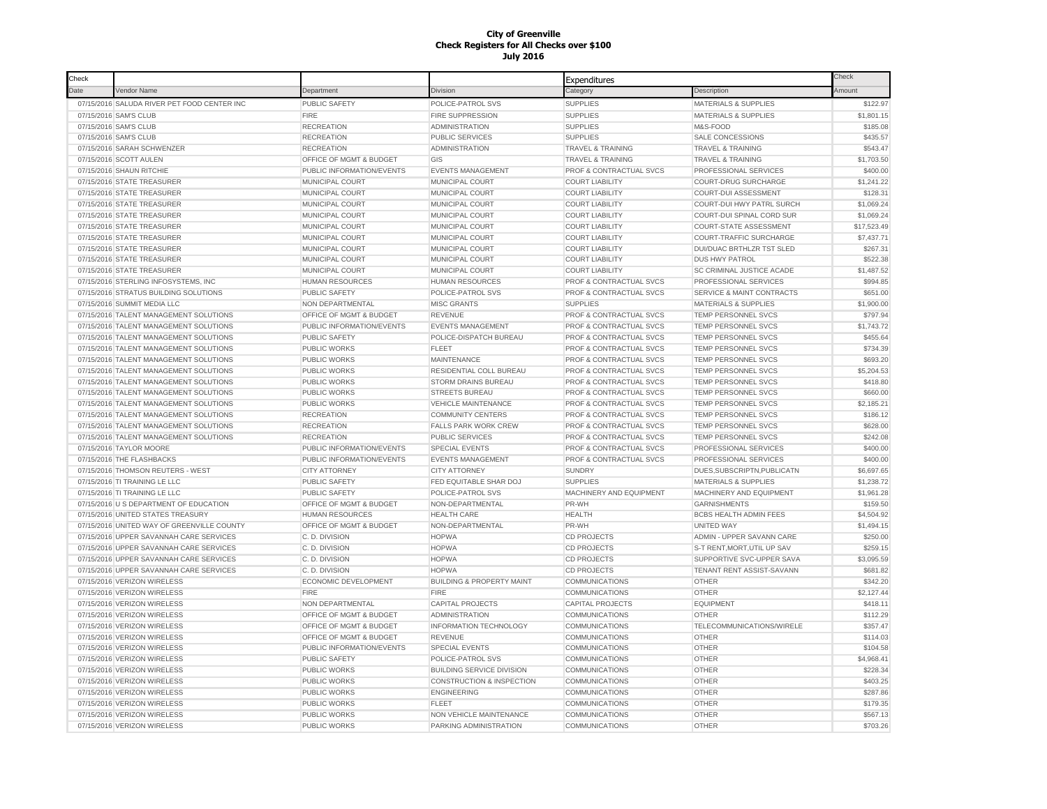| Check |                                             |                           |                                      | Expenditures                 |                                      | Check       |
|-------|---------------------------------------------|---------------------------|--------------------------------------|------------------------------|--------------------------------------|-------------|
| Date  | Vendor Name                                 | Department                | Division                             | Category                     | Description                          | Amount      |
|       | 07/15/2016 SALUDA RIVER PET FOOD CENTER INC | PUBLIC SAFETY             | POLICE-PATROL SVS                    | <b>SUPPLIES</b>              | <b>MATERIALS &amp; SUPPLIES</b>      | \$122.97    |
|       | 07/15/2016 SAM'S CLUB                       | <b>FIRE</b>               | <b>FIRE SUPPRESSION</b>              | <b>SUPPLIES</b>              | MATERIALS & SUPPLIES                 | \$1,801.15  |
|       | 07/15/2016 SAM'S CLUB                       | <b>RECREATION</b>         | <b>ADMINISTRATION</b>                | <b>SUPPLIES</b>              | M&S-FOOD                             | \$185.08    |
|       | 07/15/2016 SAM'S CLUB                       | <b>RECREATION</b>         | <b>PUBLIC SERVICES</b>               | <b>SUPPLIES</b>              | SALE CONCESSIONS                     | \$435.57    |
|       | 07/15/2016 SARAH SCHWENZER                  | <b>RECREATION</b>         | <b>ADMINISTRATION</b>                | <b>TRAVEL &amp; TRAINING</b> | <b>TRAVEL &amp; TRAINING</b>         | \$543.47    |
|       | 07/15/2016 SCOTT AULEN                      | OFFICE OF MGMT & BUDGET   | GIS                                  | <b>TRAVEL &amp; TRAINING</b> | <b>TRAVEL &amp; TRAINING</b>         | \$1,703.50  |
|       | 07/15/2016 SHAUN RITCHIE                    | PUBLIC INFORMATION/EVENTS | <b>EVENTS MANAGEMENT</b>             | PROF & CONTRACTUAL SVCS      | PROFESSIONAL SERVICES                | \$400.00    |
|       | 07/15/2016 STATE TREASURER                  | MUNICIPAL COURT           | MUNICIPAL COURT                      | <b>COURT LIABILITY</b>       | COURT-DRUG SURCHARGE                 | \$1,241.22  |
|       | 07/15/2016 STATE TREASURER                  | MUNICIPAL COURT           | MUNICIPAL COURT                      | <b>COURT LIABILITY</b>       | COURT-DUI ASSESSMENT                 | \$128.31    |
|       | 07/15/2016 STATE TREASURER                  | MUNICIPAL COURT           | MUNICIPAL COURT                      | <b>COURT LIABILITY</b>       | COURT-DUI HWY PATRL SURCH            | \$1,069.24  |
|       | 07/15/2016 STATE TREASURER                  | MUNICIPAL COURT           | MUNICIPAL COURT                      | <b>COURT LIABILITY</b>       | COURT-DUI SPINAL CORD SUR            | \$1,069.24  |
|       | 07/15/2016 STATE TREASURER                  | MUNICIPAL COURT           | MUNICIPAL COURT                      | <b>COURT LIABILITY</b>       | <b>COURT-STATE ASSESSMENT</b>        | \$17,523.49 |
|       | 07/15/2016 STATE TREASURER                  | MUNICIPAL COURT           | MUNICIPAL COURT                      | <b>COURT LIABILITY</b>       | <b>COURT-TRAFFIC SURCHARGE</b>       | \$7,437.71  |
|       | 07/15/2016 STATE TREASURER                  | MUNICIPAL COURT           | MUNICIPAL COURT                      | <b>COURT LIABILITY</b>       | <b>DUI/DUAC BRTHLZR TST SLED</b>     | \$267.31    |
|       | 07/15/2016 STATE TREASURER                  | MUNICIPAL COURT           | MUNICIPAL COURT                      | <b>COURT LIABILITY</b>       | <b>DUS HWY PATROL</b>                | \$522.38    |
|       | 07/15/2016 STATE TREASURER                  | MUNICIPAL COURT           | MUNICIPAL COURT                      | <b>COURT LIABILITY</b>       | SC CRIMINAL JUSTICE ACADE            | \$1,487.52  |
|       |                                             |                           |                                      | PROF & CONTRACTUAL SVCS      | PROFESSIONAL SERVICES                |             |
|       | 07/15/2016 STERLING INFOSYSTEMS, INC        | HUMAN RESOURCES           | <b>HUMAN RESOURCES</b>               |                              |                                      | \$994.85    |
|       | 07/15/2016 STRATUS BUILDING SOLUTIONS       | PUBLIC SAFETY             | POLICE-PATROL SVS                    | PROF & CONTRACTUAL SVCS      | <b>SERVICE &amp; MAINT CONTRACTS</b> | \$651.00    |
|       | 07/15/2016 SUMMIT MEDIA LLC                 | NON DEPARTMENTAL          | <b>MISC GRANTS</b>                   | <b>SUPPLIES</b>              | <b>MATERIALS &amp; SUPPLIES</b>      | \$1,900.00  |
|       | 07/15/2016 TALENT MANAGEMENT SOLUTIONS      | OFFICE OF MGMT & BUDGET   | <b>REVENUE</b>                       | PROF & CONTRACTUAL SVCS      | TEMP PERSONNEL SVCS                  | \$797.94    |
|       | 07/15/2016 TALENT MANAGEMENT SOLUTIONS      | PUBLIC INFORMATION/EVENTS | <b>EVENTS MANAGEMENT</b>             | PROF & CONTRACTUAL SVCS      | <b>TEMP PERSONNEL SVCS</b>           | \$1,743.72  |
|       | 07/15/2016 TALENT MANAGEMENT SOLUTIONS      | PUBLIC SAFETY             | POLICE-DISPATCH BUREAU               | PROF & CONTRACTUAL SVCS      | TEMP PERSONNEL SVCS                  | \$455.64    |
|       | 07/15/2016 TALENT MANAGEMENT SOLUTIONS      | PUBLIC WORKS              | <b>FLEET</b>                         | PROF & CONTRACTUAL SVCS      | TEMP PERSONNEL SVCS                  | \$734.39    |
|       | 07/15/2016 TALENT MANAGEMENT SOLUTIONS      | PUBLIC WORKS              | MAINTENANCE                          | PROF & CONTRACTUAL SVCS      | TEMP PERSONNEL SVCS                  | \$693.20    |
|       | 07/15/2016 TALENT MANAGEMENT SOLUTIONS      | PUBLIC WORKS              | RESIDENTIAL COLL BUREAU              | PROF & CONTRACTUAL SVCS      | <b>TEMP PERSONNEL SVCS</b>           | \$5,204.53  |
|       | 07/15/2016 TALENT MANAGEMENT SOLUTIONS      | PUBLIC WORKS              | <b>STORM DRAINS BUREAU</b>           | PROF & CONTRACTUAL SVCS      | TEMP PERSONNEL SVCS                  | \$418.80    |
|       | 07/15/2016 TALENT MANAGEMENT SOLUTIONS      | PUBLIC WORKS              | <b>STREETS BUREAU</b>                | PROF & CONTRACTUAL SVCS      | TEMP PERSONNEL SVCS                  | \$660.00    |
|       | 07/15/2016 TALENT MANAGEMENT SOLUTIONS      | PUBLIC WORKS              | <b>VEHICLE MAINTENANCE</b>           | PROF & CONTRACTUAL SVCS      | TEMP PERSONNEL SVCS                  | \$2,185.21  |
|       | 07/15/2016 TALENT MANAGEMENT SOLUTIONS      | <b>RECREATION</b>         | <b>COMMUNITY CENTERS</b>             | PROF & CONTRACTUAL SVCS      | TEMP PERSONNEL SVCS                  | \$186.12    |
|       | 07/15/2016 TALENT MANAGEMENT SOLUTIONS      | <b>RECREATION</b>         | <b>FALLS PARK WORK CREW</b>          | PROF & CONTRACTUAL SVCS      | TEMP PERSONNEL SVCS                  | \$628.00    |
|       | 07/15/2016 TALENT MANAGEMENT SOLUTIONS      | <b>RECREATION</b>         | <b>PUBLIC SERVICES</b>               | PROF & CONTRACTUAL SVCS      | TEMP PERSONNEL SVCS                  | \$242.08    |
|       | 07/15/2016 TAYLOR MOORE                     | PUBLIC INFORMATION/EVENTS | <b>SPECIAL EVENTS</b>                | PROF & CONTRACTUAL SVCS      | PROFESSIONAL SERVICES                | \$400.00    |
|       | 07/15/2016 THE FLASHBACKS                   | PUBLIC INFORMATION/EVENTS | <b>EVENTS MANAGEMENT</b>             | PROF & CONTRACTUAL SVCS      | PROFESSIONAL SERVICES                | \$400.00    |
|       | 07/15/2016 THOMSON REUTERS - WEST           | <b>CITY ATTORNEY</b>      | <b>CITY ATTORNEY</b>                 | <b>SUNDRY</b>                | DUES, SUBSCRIPTN, PUBLICATN          | \$6,697.65  |
|       | 07/15/2016 TI TRAINING LE LLC               | PUBLIC SAFETY             | FED EQUITABLE SHAR DOJ               | <b>SUPPLIES</b>              | <b>MATERIALS &amp; SUPPLIES</b>      | \$1,238.72  |
|       | 07/15/2016 TI TRAINING LE LLC               | PUBLIC SAFETY             | POLICE-PATROL SVS                    | MACHINERY AND EQUIPMENT      | MACHINERY AND EQUIPMENT              | \$1,961.28  |
|       | 07/15/2016 U S DEPARTMENT OF EDUCATION      | OFFICE OF MGMT & BUDGET   | NON-DEPARTMENTAL                     | PR-WH                        | <b>GARNISHMENTS</b>                  | \$159.50    |
|       | 07/15/2016 UNITED STATES TREASURY           | <b>HUMAN RESOURCES</b>    | <b>HEALTH CARE</b>                   | HEALTH                       | BCBS HEALTH ADMIN FEES               | \$4,504.92  |
|       | 07/15/2016 UNITED WAY OF GREENVILLE COUNTY  | OFFICE OF MGMT & BUDGET   | NON-DEPARTMENTAL                     | PR-WH                        | <b>UNITED WAY</b>                    | \$1,494.15  |
|       | 07/15/2016 UPPER SAVANNAH CARE SERVICES     | C.D. DIVISION             | <b>HOPWA</b>                         | <b>CD PROJECTS</b>           | ADMIN - UPPER SAVANN CARE            | \$250.00    |
|       | 07/15/2016 UPPER SAVANNAH CARE SERVICES     | C.D. DIVISION             | <b>HOPWA</b>                         | <b>CD PROJECTS</b>           | S-T RENT, MORT, UTIL UP SAV          | \$259.15    |
|       | 07/15/2016 UPPER SAVANNAH CARE SERVICES     | C.D. DIVISION             | <b>HOPWA</b>                         | <b>CD PROJECTS</b>           | SUPPORTIVE SVC-UPPER SAVA            | \$3,095.59  |
|       | 07/15/2016 UPPER SAVANNAH CARE SERVICES     | C.D. DIVISION             | <b>HOPWA</b>                         | <b>CD PROJECTS</b>           | TENANT RENT ASSIST-SAVANN            | \$681.82    |
|       | 07/15/2016 VERIZON WIRELESS                 | ECONOMIC DEVELOPMENT      | <b>BUILDING &amp; PROPERTY MAINT</b> | <b>COMMUNICATIONS</b>        | <b>OTHER</b>                         | \$342.20    |
|       | 07/15/2016 VERIZON WIRELESS                 | <b>FIRE</b>               | <b>FIRE</b>                          | <b>COMMUNICATIONS</b>        | <b>OTHER</b>                         | \$2,127.44  |
|       | 07/15/2016 VERIZON WIRELESS                 | NON DEPARTMENTAL          | <b>CAPITAL PROJECTS</b>              | <b>CAPITAL PROJECTS</b>      | <b>EQUIPMENT</b>                     | \$418.11    |
|       | 07/15/2016 VERIZON WIRELESS                 | OFFICE OF MGMT & BUDGET   | <b>ADMINISTRATION</b>                | <b>COMMUNICATIONS</b>        | <b>OTHER</b>                         | \$112.29    |
|       | 07/15/2016 VERIZON WIRELESS                 | OFFICE OF MGMT & BUDGET   | INFORMATION TECHNOLOGY               | <b>COMMUNICATIONS</b>        | TELECOMMUNICATIONS/WIRELE            | \$357.47    |
|       | 07/15/2016 VERIZON WIRELESS                 | OFFICE OF MGMT & BUDGET   | <b>REVENUE</b>                       | COMMUNICATIONS               | <b>OTHER</b>                         | \$114.03    |
|       | 07/15/2016 VERIZON WIRELESS                 | PUBLIC INFORMATION/EVENTS | <b>SPECIAL EVENTS</b>                | <b>COMMUNICATIONS</b>        | <b>OTHER</b>                         | \$104.58    |
|       | 07/15/2016 VERIZON WIRELESS                 | PUBLIC SAFETY             | POLICE-PATROL SVS                    | COMMUNICATIONS               | <b>OTHER</b>                         | \$4,968.41  |
|       | 07/15/2016 VERIZON WIRELESS                 | PUBLIC WORKS              | <b>BUILDING SERVICE DIVISION</b>     | COMMUNICATIONS               | <b>OTHER</b>                         | \$228.34    |
|       | 07/15/2016 VERIZON WIRELESS                 | PUBLIC WORKS              | CONSTRUCTION & INSPECTION            | <b>COMMUNICATIONS</b>        | OTHER                                | \$403.25    |
|       | 07/15/2016 VERIZON WIRELESS                 | PUBLIC WORKS              | <b>ENGINEERING</b>                   | <b>COMMUNICATIONS</b>        | <b>OTHER</b>                         | \$287.86    |
|       |                                             |                           |                                      |                              |                                      |             |
|       | 07/15/2016 VERIZON WIRELESS                 | PUBLIC WORKS              | FLEET                                | <b>COMMUNICATIONS</b>        | <b>OTHER</b>                         | \$179.35    |
|       | 07/15/2016 VERIZON WIRELESS                 | PUBLIC WORKS              | NON VEHICLE MAINTENANCE              | <b>COMMUNICATIONS</b>        | <b>OTHER</b>                         | \$567.13    |
|       | 07/15/2016 VERIZON WIRELESS                 | PUBLIC WORKS              | PARKING ADMINISTRATION               | <b>COMMUNICATIONS</b>        | <b>OTHER</b>                         | \$703.26    |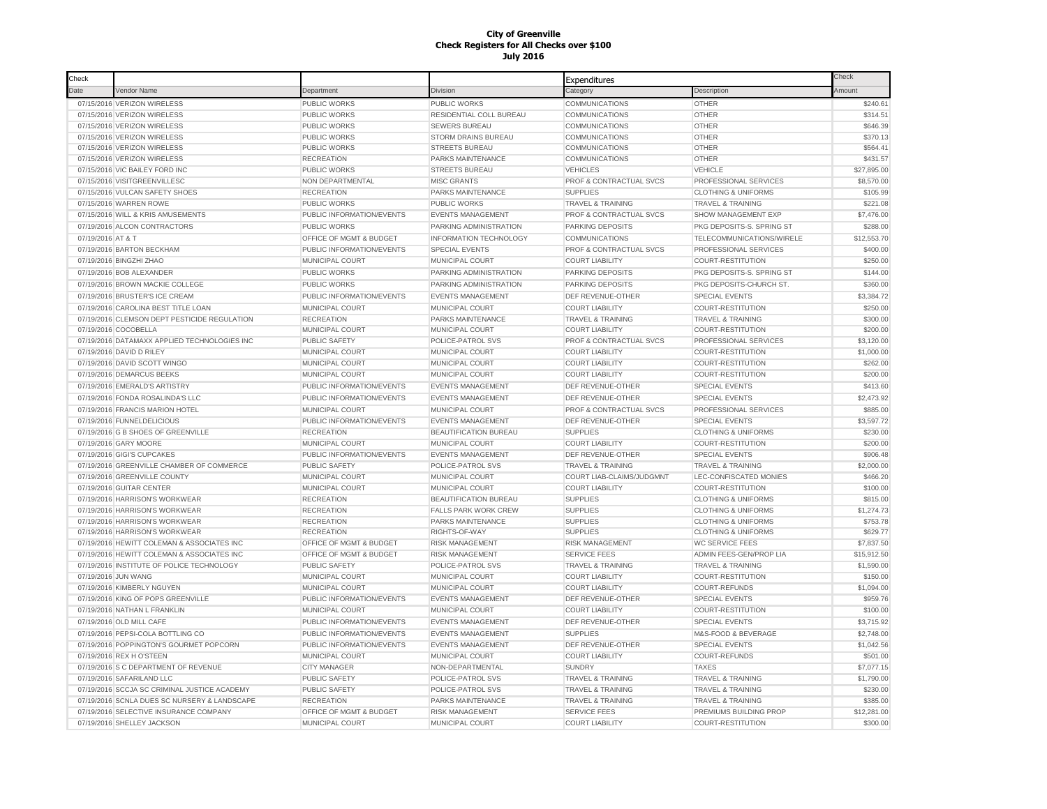| Check               |                                              |                           |                               | Expenditures                 |                                | Check       |
|---------------------|----------------------------------------------|---------------------------|-------------------------------|------------------------------|--------------------------------|-------------|
| Date                | Vendor Name                                  | Department                | Division                      | Category                     | Description                    | Amount      |
|                     | 07/15/2016 VERIZON WIRELESS                  | <b>PUBLIC WORKS</b>       | <b>PUBLIC WORKS</b>           | <b>COMMUNICATIONS</b>        | <b>OTHER</b>                   | \$240.61    |
|                     | 07/15/2016 VERIZON WIRELESS                  | PUBLIC WORKS              | RESIDENTIAL COLL BUREAU       | <b>COMMUNICATIONS</b>        | <b>OTHER</b>                   | \$314.51    |
|                     | 07/15/2016 VERIZON WIRELESS                  | PUBLIC WORKS              | SEWERS BUREAU                 | COMMUNICATIONS               | <b>OTHER</b>                   | \$646.39    |
|                     | 07/15/2016 VERIZON WIRELESS                  | PUBLIC WORKS              | STORM DRAINS BUREAU           | COMMUNICATIONS               | <b>OTHER</b>                   | \$370.13    |
|                     | 07/15/2016 VERIZON WIRELESS                  | PUBLIC WORKS              | <b>STREETS BUREAU</b>         | <b>COMMUNICATIONS</b>        | <b>OTHER</b>                   | \$564.41    |
|                     | 07/15/2016 VERIZON WIRELESS                  | <b>RECREATION</b>         | PARKS MAINTENANCE             | <b>COMMUNICATIONS</b>        | <b>OTHER</b>                   | \$431.57    |
|                     | 07/15/2016 VIC BAILEY FORD INC               | <b>PUBLIC WORKS</b>       | <b>STREETS BUREAU</b>         | <b>VEHICLES</b>              | <b>VEHICLE</b>                 | \$27,895.00 |
|                     | 07/15/2016 VISITGREENVILLESC                 | NON DEPARTMENTAL          | <b>MISC GRANTS</b>            | PROF & CONTRACTUAL SVCS      | PROFESSIONAL SERVICES          | \$8,570.00  |
|                     | 07/15/2016 VULCAN SAFETY SHOES               | <b>RECREATION</b>         | PARKS MAINTENANCE             | <b>SUPPLIES</b>              | <b>CLOTHING &amp; UNIFORMS</b> | \$105.99    |
|                     | 07/15/2016 WARREN ROWE                       | <b>PUBLIC WORKS</b>       | PUBLIC WORKS                  | <b>TRAVEL &amp; TRAINING</b> | <b>TRAVEL &amp; TRAINING</b>   | \$221.08    |
|                     | 07/15/2016 WILL & KRIS AMUSEMENTS            | PUBLIC INFORMATION/EVENTS | <b>EVENTS MANAGEMENT</b>      | PROF & CONTRACTUAL SVCS      | SHOW MANAGEMENT EXP            | \$7,476.00  |
|                     | 07/19/2016 ALCON CONTRACTORS                 | PUBLIC WORKS              | PARKING ADMINISTRATION        | PARKING DEPOSITS             | PKG DEPOSITS-S. SPRING ST      | \$288.00    |
| 07/19/2016 AT & T   |                                              | OFFICE OF MGMT & BUDGET   | <b>INFORMATION TECHNOLOGY</b> | <b>COMMUNICATIONS</b>        | TELECOMMUNICATIONS/WIRELE      | \$12,553.70 |
|                     | 07/19/2016 BARTON BECKHAM                    | PUBLIC INFORMATION/EVENTS | SPECIAL EVENTS                | PROF & CONTRACTUAL SVCS      | PROFESSIONAL SERVICES          | \$400.00    |
|                     | 07/19/2016 BINGZHI ZHAO                      | MUNICIPAL COURT           | MUNICIPAL COURT               | <b>COURT LIABILITY</b>       | <b>COURT-RESTITUTION</b>       | \$250.00    |
|                     | 07/19/2016 BOB ALEXANDER                     | <b>PUBLIC WORKS</b>       | PARKING ADMINISTRATION        | <b>PARKING DEPOSITS</b>      | PKG DEPOSITS-S, SPRING ST      | \$144.00    |
|                     | 07/19/2016 BROWN MACKIE COLLEGE              | <b>PUBLIC WORKS</b>       | PARKING ADMINISTRATION        | PARKING DEPOSITS             | PKG DEPOSITS-CHURCH ST.        | \$360.00    |
|                     | 07/19/2016 BRUSTER'S ICE CREAM               | PUBLIC INFORMATION/EVENTS | <b>EVENTS MANAGEMENT</b>      | DEF REVENUE-OTHER            | <b>SPECIAL EVENTS</b>          | \$3,384.72  |
|                     | 07/19/2016 CAROLINA BEST TITLE LOAN          | <b>MUNICIPAL COURT</b>    | <b>MUNICIPAL COURT</b>        | <b>COURT LIABILITY</b>       | <b>COURT-RESTITUTION</b>       | \$250.00    |
|                     | 07/19/2016 CLEMSON DEPT PESTICIDE REGULATION | <b>RECREATION</b>         | PARKS MAINTENANCE             | <b>TRAVEL &amp; TRAINING</b> | <b>TRAVEL &amp; TRAINING</b>   | \$300.00    |
|                     | 07/19/2016 COCOBELLA                         | MUNICIPAL COURT           | MUNICIPAL COURT               | <b>COURT LIABILITY</b>       | COURT-RESTITUTION              | \$200.00    |
|                     | 07/19/2016 DATAMAXX APPLIED TECHNOLOGIES INC | PUBLIC SAFETY             | POLICE-PATROL SVS             | PROF & CONTRACTUAL SVCS      | PROFESSIONAL SERVICES          | \$3,120.00  |
|                     | 07/19/2016 DAVID D RILEY                     | MUNICIPAL COURT           | MUNICIPAL COURT               | <b>COURT LIABILITY</b>       | COURT-RESTITUTION              | \$1,000.00  |
|                     | 07/19/2016 DAVID SCOTT WINGO                 | MUNICIPAL COURT           | MUNICIPAL COURT               | <b>COURT LIABILITY</b>       | <b>COURT-RESTITUTION</b>       | \$262.00    |
|                     | 07/19/2016 DEMARCUS BEEKS                    | MUNICIPAL COURT           | MUNICIPAL COURT               | <b>COURT LIABILITY</b>       | <b>COURT-RESTITUTION</b>       | \$200.00    |
|                     | 07/19/2016 EMERALD'S ARTISTRY                | PUBLIC INFORMATION/EVENTS | <b>EVENTS MANAGEMENT</b>      | DEF REVENUE-OTHER            | <b>SPECIAL EVENTS</b>          | \$413.60    |
|                     | 07/19/2016 FONDA ROSALINDA'S LLC             | PUBLIC INFORMATION/EVENTS | <b>EVENTS MANAGEMENT</b>      | DEF REVENUE-OTHER            | <b>SPECIAL EVENTS</b>          | \$2,473.92  |
|                     | 07/19/2016 FRANCIS MARION HOTEL              | MUNICIPAL COURT           | MUNICIPAL COURT               | PROF & CONTRACTUAL SVCS      | PROFESSIONAL SERVICES          | \$885.00    |
|                     | 07/19/2016 FUNNELDELICIOUS                   | PUBLIC INFORMATION/EVENTS | <b>EVENTS MANAGEMENT</b>      | DEF REVENUE-OTHER            | <b>SPECIAL EVENTS</b>          | \$3,597.72  |
|                     | 07/19/2016 G B SHOES OF GREENVILLE           | <b>RECREATION</b>         | <b>BEAUTIFICATION BUREAU</b>  | <b>SUPPLIES</b>              | <b>CLOTHING &amp; UNIFORMS</b> | \$230.00    |
|                     | 07/19/2016 GARY MOORE                        | MUNICIPAL COURT           | MUNICIPAL COURT               | <b>COURT LIABILITY</b>       | COURT-RESTITUTION              | \$200.00    |
|                     | 07/19/2016 GIGI'S CUPCAKES                   | PUBLIC INFORMATION/EVENTS | <b>EVENTS MANAGEMENT</b>      | DEF REVENUE-OTHER            | SPECIAL EVENTS                 | \$906.48    |
|                     | 07/19/2016 GREENVILLE CHAMBER OF COMMERCE    | PUBLIC SAFETY             | POLICE-PATROL SVS             | <b>TRAVEL &amp; TRAINING</b> | <b>TRAVEL &amp; TRAINING</b>   | \$2,000.00  |
|                     | 07/19/2016 GREENVILLE COUNTY                 | MUNICIPAL COURT           | MUNICIPAL COURT               | COURT LIAB-CLAIMS/JUDGMNT    | LEC-CONFISCATED MONIES         | \$466.20    |
|                     | 07/19/2016 GUITAR CENTER                     | MUNICIPAL COURT           | MUNICIPAL COURT               | <b>COURT LIABILITY</b>       | COURT-RESTITUTION              | \$100.00    |
|                     | 07/19/2016 HARRISON'S WORKWEAR               | <b>RECREATION</b>         | BEAUTIFICATION BUREAU         | <b>SUPPLIES</b>              | <b>CLOTHING &amp; UNIFORMS</b> | \$815.00    |
|                     | 07/19/2016 HARRISON'S WORKWEAR               | <b>RECREATION</b>         | FALLS PARK WORK CREW          | <b>SUPPLIES</b>              | <b>CLOTHING &amp; UNIFORMS</b> | \$1,274.73  |
|                     | 07/19/2016 HARRISON'S WORKWEAR               | <b>RECREATION</b>         | PARKS MAINTENANCE             | <b>SUPPLIES</b>              | <b>CLOTHING &amp; UNIFORMS</b> | \$753.78    |
|                     | 07/19/2016 HARRISON'S WORKWEAR               | <b>RECREATION</b>         | RIGHTS-OF-WAY                 | <b>SUPPLIES</b>              | <b>CLOTHING &amp; UNIFORMS</b> | \$629.77    |
|                     | 07/19/2016 HEWITT COLEMAN & ASSOCIATES INC   | OFFICE OF MGMT & BUDGET   | <b>RISK MANAGEMENT</b>        | <b>RISK MANAGEMENT</b>       | <b>WC SERVICE FEES</b>         | \$7,837.50  |
|                     | 07/19/2016 HEWITT COLEMAN & ASSOCIATES INC   | OFFICE OF MGMT & BUDGET   | <b>RISK MANAGEMENT</b>        | <b>SERVICE FEES</b>          | ADMIN FEES-GEN/PROP LIA        | \$15,912.50 |
|                     | 07/19/2016 INSTITUTE OF POLICE TECHNOLOGY    | PUBLIC SAFETY             | POLICE-PATROL SVS             | <b>TRAVEL &amp; TRAINING</b> | <b>TRAVEL &amp; TRAINING</b>   | \$1,590.00  |
| 07/19/2016 JUN WANG |                                              | MUNICIPAL COURT           | MUNICIPAL COURT               | <b>COURT LIABILITY</b>       | COURT-RESTITUTION              | \$150.00    |
|                     | 07/19/2016 KIMBERLY NGUYEN                   | MUNICIPAL COURT           | <b>MUNICIPAL COURT</b>        | <b>COURT LIABILITY</b>       | COURT-REFUNDS                  | \$1,094.00  |
|                     | 07/19/2016 KING OF POPS GREENVILLE           | PUBLIC INFORMATION/EVENTS | <b>EVENTS MANAGEMENT</b>      | DEF REVENUE-OTHER            | SPECIAL EVENTS                 | \$959.76    |
|                     | 07/19/2016 NATHAN L FRANKLIN                 | MUNICIPAL COURT           | MUNICIPAL COURT               | <b>COURT LIABILITY</b>       | COURT-RESTITUTION              | \$100.00    |
|                     | 07/19/2016 OLD MILL CAFE                     | PUBLIC INFORMATION/EVENTS | <b>EVENTS MANAGEMENT</b>      | DEF REVENUE-OTHER            | SPECIAL EVENTS                 | \$3,715.92  |
|                     | 07/19/2016 PEPSI-COLA BOTTLING CO            | PUBLIC INFORMATION/EVENTS | <b>EVENTS MANAGEMENT</b>      | <b>SUPPLIES</b>              | M&S-FOOD & BEVERAGE            | \$2,748.00  |
|                     | 07/19/2016 POPPINGTON'S GOURMET POPCORN      | PUBLIC INFORMATION/EVENTS | <b>EVENTS MANAGEMENT</b>      | DEF REVENUE-OTHER            | <b>SPECIAL EVENTS</b>          | \$1,042.56  |
|                     | 07/19/2016 REX H O'STEEN                     | MUNICIPAL COURT           | <b>MUNICIPAL COURT</b>        | <b>COURT LIABILITY</b>       | COURT-REFUNDS                  | \$501.00    |
|                     | 07/19/2016 S C DEPARTMENT OF REVENUE         | <b>CITY MANAGER</b>       | NON-DEPARTMENTAL              | <b>SUNDRY</b>                | <b>TAXES</b>                   | \$7,077.15  |
|                     | 07/19/2016 SAFARILAND LLC                    | <b>PUBLIC SAFETY</b>      | POLICE-PATROL SVS             | <b>TRAVEL &amp; TRAINING</b> | <b>TRAVEL &amp; TRAINING</b>   | \$1,790.00  |
|                     | 07/19/2016 SCCJA SC CRIMINAL JUSTICE ACADEMY | <b>PUBLIC SAFETY</b>      | POLICE-PATROL SVS             | <b>TRAVEL &amp; TRAINING</b> | TRAVEL & TRAINING              | \$230.00    |
|                     | 07/19/2016 SCNLA DUES SC NURSERY & LANDSCAPE | <b>RECREATION</b>         | PARKS MAINTENANCE             | <b>TRAVEL &amp; TRAINING</b> | <b>TRAVEL &amp; TRAINING</b>   | \$385.00    |
|                     | 07/19/2016 SELECTIVE INSURANCE COMPANY       | OFFICE OF MGMT & BUDGET   | <b>RISK MANAGEMENT</b>        | <b>SERVICE FEES</b>          | PREMIUMS BUILDING PROP         | \$12,281.00 |
|                     | 07/19/2016 SHELLEY JACKSON                   | MUNICIPAL COURT           | MUNICIPAL COURT               | <b>COURT LIABILITY</b>       | COURT-RESTITUTION              | \$300.00    |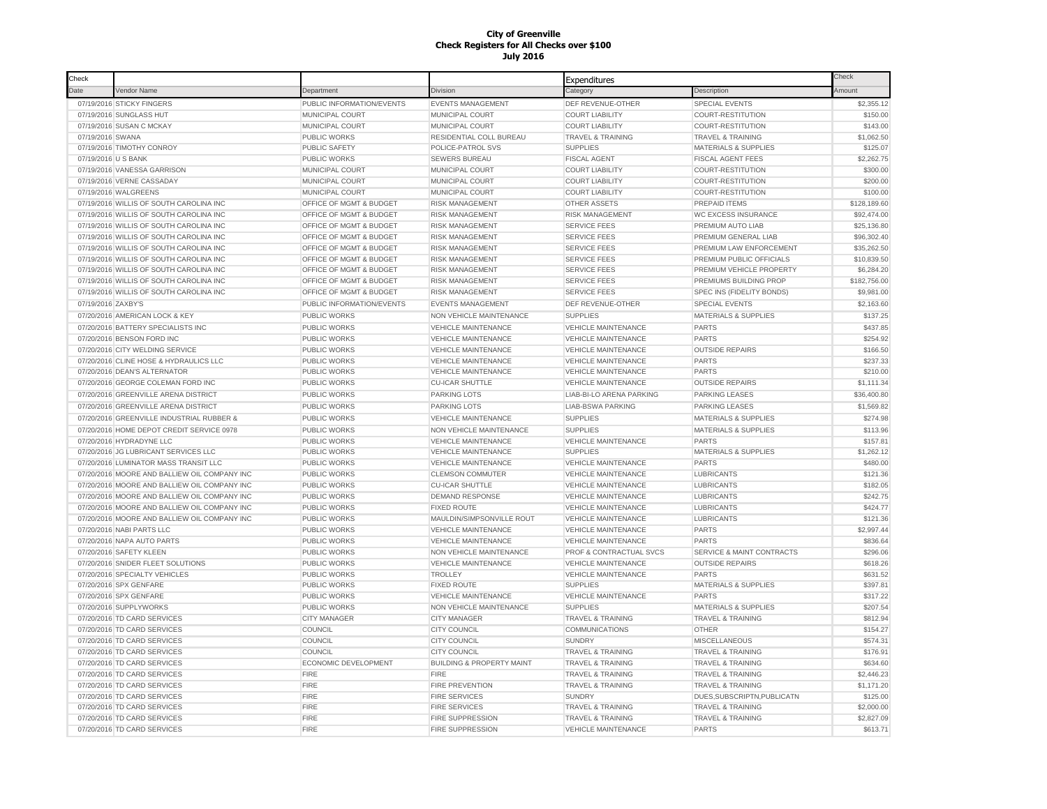| Check               |                                                                    |                           |                                                       | Expenditures                                  |                                 | Check        |
|---------------------|--------------------------------------------------------------------|---------------------------|-------------------------------------------------------|-----------------------------------------------|---------------------------------|--------------|
| Date                | Vendor Name                                                        | Department                | Division                                              | Category                                      | Description                     | Amount       |
|                     | 07/19/2016 STICKY FINGERS                                          | PUBLIC INFORMATION/EVENTS | <b>EVENTS MANAGEMENT</b>                              | DEF REVENUE-OTHER                             | <b>SPECIAL EVENTS</b>           | \$2,355.12   |
|                     | 07/19/2016 SUNGLASS HUT                                            | MUNICIPAL COURT           | MUNICIPAL COURT                                       | <b>COURT LIABILITY</b>                        | COURT-RESTITUTION               | \$150.00     |
|                     | 07/19/2016 SUSAN C MCKAY                                           | MUNICIPAL COURT           | MUNICIPAL COURT                                       | <b>COURT LIABILITY</b>                        | COURT-RESTITUTION               | \$143.00     |
| 07/19/2016 SWANA    |                                                                    | PUBLIC WORKS              | RESIDENTIAL COLL BUREAU                               | <b>TRAVEL &amp; TRAINING</b>                  | <b>TRAVEL &amp; TRAINING</b>    | \$1,062.50   |
|                     | 07/19/2016 TIMOTHY CONROY                                          | PUBLIC SAFETY             | POLICE-PATROL SVS                                     | <b>SUPPLIES</b>                               | <b>MATERIALS &amp; SUPPLIES</b> | \$125.07     |
| 07/19/2016 U S BANK |                                                                    | <b>PUBLIC WORKS</b>       | <b>SEWERS BUREAU</b>                                  | <b>FISCAL AGENT</b>                           | <b>FISCAL AGENT FEES</b>        | \$2,262.75   |
|                     | 07/19/2016 VANESSA GARRISON                                        | MUNICIPAL COURT           | MUNICIPAL COURT                                       | <b>COURT LIABILITY</b>                        | <b>COURT-RESTITUTION</b>        | \$300.00     |
|                     | 07/19/2016 VERNE CASSADAY                                          | MUNICIPAL COURT           | MUNICIPAL COURT                                       | <b>COURT LIABILITY</b>                        | COURT-RESTITUTION               | \$200.00     |
|                     | 07/19/2016 WALGREENS                                               | MUNICIPAL COURT           | MUNICIPAL COURT                                       | <b>COURT LIABILITY</b>                        | <b>COURT-RESTITUTION</b>        | \$100.00     |
|                     | 07/19/2016 WILLIS OF SOUTH CAROLINA INC                            | OFFICE OF MGMT & BUDGET   | <b>RISK MANAGEMENT</b>                                | <b>OTHER ASSETS</b>                           | PREPAID ITEMS                   | \$128,189.60 |
|                     | 07/19/2016 WILLIS OF SOUTH CAROLINA INC                            | OFFICE OF MGMT & BUDGET   | <b>RISK MANAGEMENT</b>                                | <b>RISK MANAGEMENT</b>                        | <b>WC EXCESS INSURANCE</b>      | \$92,474.00  |
|                     | 07/19/2016 WILLIS OF SOUTH CAROLINA INC                            | OFFICE OF MGMT & BUDGET   | <b>RISK MANAGEMENT</b>                                | <b>SERVICE FEES</b>                           | PREMIUM AUTO LIAB               | \$25,136.80  |
|                     | 07/19/2016 WILLIS OF SOUTH CAROLINA INC                            | OFFICE OF MGMT & BUDGET   | <b>RISK MANAGEMENT</b>                                | <b>SERVICE FEES</b>                           | PREMIUM GENERAL LIAB            | \$96,302.40  |
|                     | 07/19/2016 WILLIS OF SOUTH CAROLINA INC                            | OFFICE OF MGMT & BUDGET   | <b>RISK MANAGEMENT</b>                                | <b>SERVICE FEES</b>                           | PREMIUM LAW ENFORCEMENT         | \$35,262.50  |
|                     | 07/19/2016 WILLIS OF SOUTH CAROLINA INC                            | OFFICE OF MGMT & BUDGET   | <b>RISK MANAGEMENT</b>                                | <b>SERVICE FEES</b>                           | PREMIUM PUBLIC OFFICIALS        | \$10,839.50  |
|                     | 07/19/2016 WILLIS OF SOUTH CAROLINA INC                            | OFFICE OF MGMT & BUDGET   | <b>RISK MANAGEMENT</b>                                | <b>SERVICE FEES</b>                           | PREMIUM VEHICLE PROPERTY        | \$6,284.20   |
|                     | 07/19/2016 WILLIS OF SOUTH CAROLINA INC                            | OFFICE OF MGMT & BUDGET   | <b>RISK MANAGEMENT</b>                                | <b>SERVICE FEES</b>                           | PREMIUMS BUILDING PROP          | \$182,756.00 |
|                     | 07/19/2016 WILLIS OF SOUTH CAROLINA INC                            | OFFICE OF MGMT & BUDGET   | <b>RISK MANAGEMENT</b>                                | <b>SERVICE FEES</b>                           | SPEC INS (FIDELITY BONDS)       | \$9,981.00   |
| 07/19/2016 ZAXBY'S  |                                                                    | PUBLIC INFORMATION/EVENTS | <b>EVENTS MANAGEMENT</b>                              | DEF REVENUE-OTHER                             | SPECIAL EVENTS                  | \$2,163.60   |
|                     | 07/20/2016 AMERICAN LOCK & KEY                                     | PUBLIC WORKS              | NON VEHICLE MAINTENANCE                               | <b>SUPPLIES</b>                               | <b>MATERIALS &amp; SUPPLIES</b> | \$137.25     |
|                     | 07/20/2016 BATTERY SPECIALISTS INC                                 | PUBLIC WORKS              | <b>VEHICLE MAINTENANCE</b>                            | <b>VEHICLE MAINTENANCE</b>                    | <b>PARTS</b>                    | \$437.85     |
|                     | 07/20/2016 BENSON FORD INC                                         | PUBLIC WORKS              | <b>VEHICLE MAINTENANCE</b>                            | <b>VEHICLE MAINTENANCE</b>                    | PARTS                           | \$254.92     |
|                     | 07/20/2016 CITY WELDING SERVICE                                    | PUBLIC WORKS              | <b>VEHICLE MAINTENANCE</b>                            | VEHICLE MAINTENANCE                           | <b>OUTSIDE REPAIRS</b>          | \$166.50     |
|                     | 07/20/2016 CLINE HOSE & HYDRAULICS LLC                             | PUBLIC WORKS              | <b>VEHICLE MAINTENANCE</b>                            | <b>VEHICLE MAINTENANCE</b>                    | PARTS                           | \$237.33     |
|                     | 07/20/2016 DEAN'S ALTERNATOR                                       | PUBLIC WORKS              | <b>VEHICLE MAINTENANCE</b>                            | <b>VEHICLE MAINTENANCE</b>                    | PARTS                           | \$210.00     |
|                     | 07/20/2016 GEORGE COLEMAN FORD INC                                 | PUBLIC WORKS              | <b>CU-ICAR SHUTTLE</b>                                | <b>VEHICLE MAINTENANCE</b>                    | <b>OUTSIDE REPAIRS</b>          | \$1,111.34   |
|                     | 07/20/2016 GREENVILLE ARENA DISTRICT                               | PUBLIC WORKS              | PARKING LOTS                                          | LIAB-BI-LO ARENA PARKING                      | PARKING LEASES                  | \$36,400.80  |
|                     | 07/20/2016 GREENVILLE ARENA DISTRICT                               | PUBLIC WORKS              | <b>PARKING LOTS</b>                                   | <b>LIAB-BSWA PARKING</b>                      | <b>PARKING LEASES</b>           | \$1,569.82   |
|                     | 07/20/2016 GREENVILLE INDUSTRIAL RUBBER &                          |                           | <b>VEHICLE MAINTENANCE</b>                            | <b>SUPPLIES</b>                               | <b>MATERIALS &amp; SUPPLIES</b> | \$274.98     |
|                     |                                                                    | PUBLIC WORKS              |                                                       |                                               |                                 |              |
|                     | 07/20/2016 HOME DEPOT CREDIT SERVICE 0978                          | PUBLIC WORKS              | NON VEHICLE MAINTENANCE                               | <b>SUPPLIES</b>                               | <b>MATERIALS &amp; SUPPLIES</b> | \$113.96     |
|                     | 07/20/2016 HYDRADYNE LLC                                           | PUBLIC WORKS              | <b>VEHICLE MAINTENANCE</b>                            | <b>VEHICLE MAINTENANCE</b>                    | <b>PARTS</b>                    | \$157.81     |
|                     | 07/20/2016 JG LUBRICANT SERVICES LLC                               | PUBLIC WORKS              | <b>VEHICLE MAINTENANCE</b>                            | <b>SUPPLIES</b>                               | MATERIALS & SUPPLIES            | \$1,262.12   |
|                     | 07/20/2016 LUMINATOR MASS TRANSIT LLC                              | PUBLIC WORKS              | <b>VEHICLE MAINTENANCE</b>                            | <b>VEHICLE MAINTENANCE</b>                    | <b>PARTS</b>                    | \$480.00     |
|                     | 07/20/2016 MOORE AND BALLIEW OIL COMPANY INC                       | <b>PUBLIC WORKS</b>       | <b>CLEMSON COMMUTER</b>                               | <b>VEHICLE MAINTENANCE</b>                    | <b>LUBRICANTS</b>               | \$121.36     |
|                     | 07/20/2016 MOORE AND BALLIEW OIL COMPANY INC                       | PUBLIC WORKS              | <b>CU-ICAR SHUTTLE</b>                                | VEHICLE MAINTENANCE                           | <b>LUBRICANTS</b>               | \$182.05     |
|                     | 07/20/2016 MOORE AND BALLIEW OIL COMPANY INC                       | <b>PUBLIC WORKS</b>       | <b>DEMAND RESPONSE</b>                                | <b>VEHICLE MAINTENANCE</b>                    | <b>LUBRICANTS</b>               | \$242.75     |
|                     | 07/20/2016 MOORE AND BALLIEW OIL COMPANY INC                       | <b>PUBLIC WORKS</b>       | <b>FIXED ROUTE</b>                                    | <b>VEHICLE MAINTENANCE</b>                    | <b>LUBRICANTS</b>               | \$424.77     |
|                     | 07/20/2016 MOORE AND BALLIEW OIL COMPANY INC                       | PUBLIC WORKS              | MAULDIN/SIMPSONVILLE ROUT                             | <b>VEHICLE MAINTENANCE</b>                    | <b>LUBRICANTS</b>               | \$121.36     |
|                     | 07/20/2016 NABI PARTS LLC                                          | <b>PUBLIC WORKS</b>       | <b>VEHICLE MAINTENANCE</b>                            | <b>VEHICLE MAINTENANCE</b>                    | <b>PARTS</b>                    | \$2,997.44   |
|                     | 07/20/2016 NAPA AUTO PARTS                                         | PUBLIC WORKS              | <b>VEHICLE MAINTENANCE</b>                            | <b>VEHICLE MAINTENANCE</b>                    | PARTS                           | \$836.64     |
|                     | 07/20/2016 SAFETY KLEEN                                            | <b>PUBLIC WORKS</b>       | NON VEHICLE MAINTENANCE                               | PROF & CONTRACTUAL SVCS                       | SERVICE & MAINT CONTRACTS       | \$296.06     |
|                     | 07/20/2016 SNIDER FLEET SOLUTIONS<br>07/20/2016 SPECIALTY VEHICLES | <b>PUBLIC WORKS</b>       | <b>VEHICLE MAINTENANCE</b>                            | <b>VEHICLE MAINTENANCE</b>                    | <b>OUTSIDE REPAIRS</b>          | \$618.26     |
|                     |                                                                    | <b>PUBLIC WORKS</b>       | <b>TROLLEY</b>                                        | <b>VEHICLE MAINTENANCE</b>                    | <b>PARTS</b>                    | \$631.52     |
|                     | 07/20/2016 SPX GENFARE                                             | <b>PUBLIC WORKS</b>       | <b>FIXED ROUTE</b>                                    | <b>SUPPLIES</b>                               | <b>MATERIALS &amp; SUPPLIES</b> | \$397.81     |
|                     | 07/20/2016 SPX GENFARE                                             | <b>PUBLIC WORKS</b>       | <b>VEHICLE MAINTENANCE</b><br>NON VEHICLE MAINTENANCE | <b>VEHICLE MAINTENANCE</b><br><b>SUPPLIES</b> | <b>PARTS</b>                    | \$317.22     |
|                     | 07/20/2016 SUPPLYWORKS                                             | PUBLIC WORKS              |                                                       |                                               | MATERIALS & SUPPLIES            | \$207.54     |
|                     | 07/20/2016 TD CARD SERVICES                                        | <b>CITY MANAGER</b>       | <b>CITY MANAGER</b>                                   | <b>TRAVEL &amp; TRAINING</b>                  | <b>TRAVEL &amp; TRAINING</b>    | \$812.94     |
|                     | 07/20/2016 TD CARD SERVICES                                        | COUNCIL                   | <b>CITY COUNCIL</b>                                   | <b>COMMUNICATIONS</b>                         | <b>OTHER</b>                    | \$154.27     |
|                     | 07/20/2016 TD CARD SERVICES                                        | COUNCIL                   | <b>CITY COUNCIL</b>                                   | <b>SUNDRY</b>                                 | <b>MISCELLANEOUS</b>            | \$574.31     |
|                     | 07/20/2016 TD CARD SERVICES                                        | <b>COUNCIL</b>            | <b>CITY COUNCIL</b>                                   | <b>TRAVEL &amp; TRAINING</b>                  | <b>TRAVEL &amp; TRAINING</b>    | \$176.91     |
|                     | 07/20/2016 TD CARD SERVICES                                        | ECONOMIC DEVELOPMENT      | <b>BUILDING &amp; PROPERTY MAINT</b>                  | <b>TRAVEL &amp; TRAINING</b>                  | <b>TRAVEL &amp; TRAINING</b>    | \$634.60     |
|                     | 07/20/2016 TD CARD SERVICES                                        | <b>FIRE</b>               | <b>FIRE</b>                                           | TRAVEL & TRAINING                             | <b>TRAVEL &amp; TRAINING</b>    | \$2,446.23   |
|                     | 07/20/2016 TD CARD SERVICES                                        | <b>FIRE</b>               | FIRE PREVENTION                                       | <b>TRAVEL &amp; TRAINING</b>                  | <b>TRAVEL &amp; TRAINING</b>    | \$1,171.20   |
|                     | 07/20/2016 TD CARD SERVICES                                        | <b>FIRE</b>               | <b>FIRE SERVICES</b>                                  | <b>SUNDRY</b>                                 | DUES, SUBSCRIPTN, PUBLICATN     | \$125.00     |
|                     | 07/20/2016 TD CARD SERVICES                                        | <b>FIRE</b>               | <b>FIRE SERVICES</b>                                  | TRAVEL & TRAINING                             | TRAVEL & TRAINING               | \$2,000.00   |
|                     | 07/20/2016 TD CARD SERVICES                                        | <b>FIRE</b>               | <b>FIRE SUPPRESSION</b>                               | <b>TRAVEL &amp; TRAINING</b>                  | <b>TRAVEL &amp; TRAINING</b>    | \$2,827.09   |
|                     | 07/20/2016 TD CARD SERVICES                                        | <b>FIRE</b>               | FIRE SUPPRESSION                                      | <b>VEHICLE MAINTENANCE</b>                    | <b>PARTS</b>                    | \$613.71     |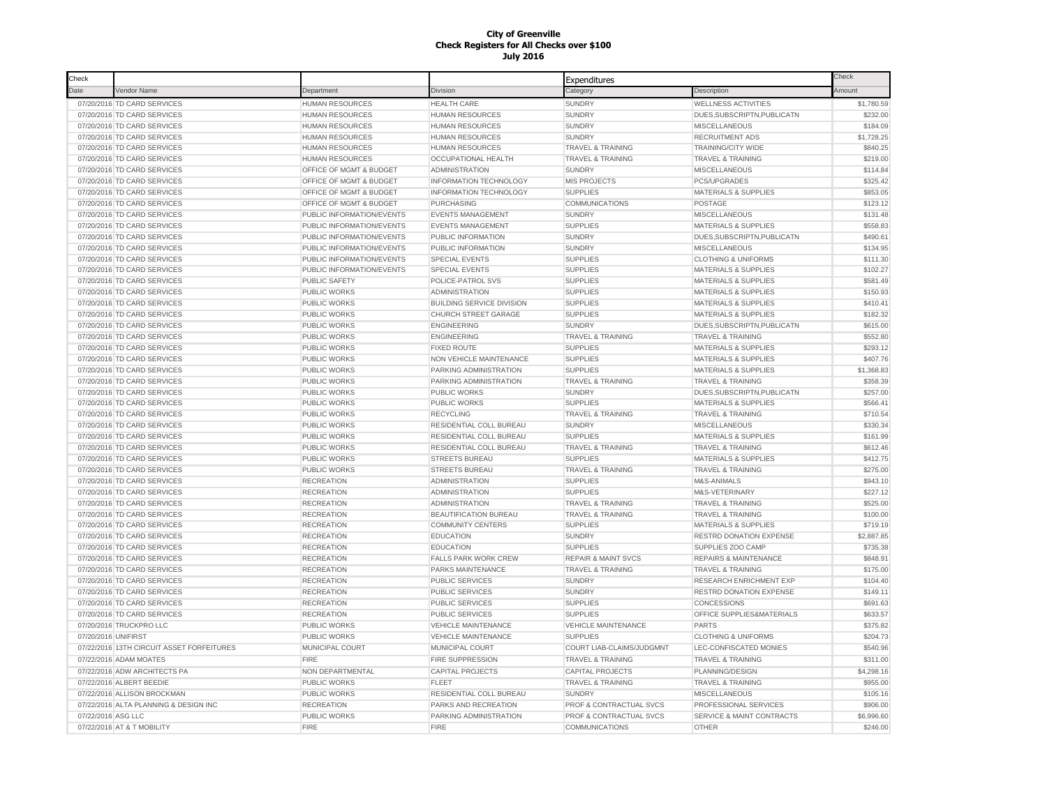| Check               |                                           |                           |                                  | Expenditures                       |                                      | Check      |
|---------------------|-------------------------------------------|---------------------------|----------------------------------|------------------------------------|--------------------------------------|------------|
| <b>Date</b>         | Vendor Name                               | Department                | Division                         | Category                           | Description                          | Amount     |
|                     | 07/20/2016 TD CARD SERVICES               | <b>HUMAN RESOURCES</b>    | <b>HEALTH CARE</b>               | <b>SUNDRY</b>                      | <b>WELLNESS ACTIVITIES</b>           | \$1,780.59 |
|                     | 07/20/2016 TD CARD SERVICES               | <b>HUMAN RESOURCES</b>    | <b>HUMAN RESOURCES</b>           | <b>SUNDRY</b>                      | DUES.SUBSCRIPTN.PUBLICATN            | \$232.00   |
|                     | 07/20/2016 TD CARD SERVICES               | <b>HUMAN RESOURCES</b>    | <b>HUMAN RESOURCES</b>           | <b>SUNDRY</b>                      | <b>MISCELLANEOUS</b>                 | \$184.09   |
|                     | 07/20/2016 TD CARD SERVICES               | <b>HUMAN RESOURCES</b>    | <b>HUMAN RESOURCES</b>           | <b>SUNDRY</b>                      | <b>RECRUITMENT ADS</b>               | \$1,728.25 |
|                     | 07/20/2016 TD CARD SERVICES               | <b>HUMAN RESOURCES</b>    | <b>HUMAN RESOURCES</b>           | <b>TRAVEL &amp; TRAINING</b>       | <b>TRAINING/CITY WIDE</b>            | \$840.25   |
|                     | 07/20/2016 TD CARD SERVICES               | <b>HUMAN RESOURCES</b>    | OCCUPATIONAL HEALTH              | <b>TRAVEL &amp; TRAINING</b>       | <b>TRAVEL &amp; TRAINING</b>         | \$219.00   |
|                     | 07/20/2016 TD CARD SERVICES               | OFFICE OF MGMT & BUDGET   | <b>ADMINISTRATION</b>            | <b>SUNDRY</b>                      | <b>MISCELLANEOUS</b>                 | \$114.84   |
|                     | 07/20/2016 TD CARD SERVICES               | OFFICE OF MGMT & BUDGET   | INFORMATION TECHNOLOGY           | <b>MIS PROJECTS</b>                | PCS/UPGRADES                         | \$325.42   |
|                     | 07/20/2016 TD CARD SERVICES               | OFFICE OF MGMT & BUDGET   | INFORMATION TECHNOLOGY           | <b>SUPPLIES</b>                    | MATERIALS & SUPPLIES                 | \$853.05   |
|                     | 07/20/2016 TD CARD SERVICES               | OFFICE OF MGMT & BUDGET   | <b>PURCHASING</b>                | <b>COMMUNICATIONS</b>              | <b>POSTAGE</b>                       | \$123.12   |
|                     | 07/20/2016 TD CARD SERVICES               | PUBLIC INFORMATION/EVENTS | <b>EVENTS MANAGEMENT</b>         | <b>SUNDRY</b>                      | <b>MISCELLANEOUS</b>                 | \$131.48   |
|                     | 07/20/2016 TD CARD SERVICES               | PUBLIC INFORMATION/EVENTS | <b>EVENTS MANAGEMENT</b>         | <b>SUPPLIES</b>                    | <b>MATERIALS &amp; SUPPLIES</b>      | \$558.83   |
|                     | 07/20/2016 TD CARD SERVICES               | PUBLIC INFORMATION/EVENTS | PUBLIC INFORMATION               | <b>SUNDRY</b>                      | DUES, SUBSCRIPTN, PUBLICATN          | \$490.61   |
|                     | 07/20/2016 TD CARD SERVICES               | PUBLIC INFORMATION/EVENTS | PUBLIC INFORMATION               | <b>SUNDRY</b>                      | <b>MISCELLANEOUS</b>                 | \$134.95   |
|                     | 07/20/2016 TD CARD SERVICES               | PUBLIC INFORMATION/EVENTS | <b>SPECIAL EVENTS</b>            | <b>SUPPLIES</b>                    | <b>CLOTHING &amp; UNIFORMS</b>       | \$111.30   |
|                     | 07/20/2016 TD CARD SERVICES               | PUBLIC INFORMATION/EVENTS | <b>SPECIAL EVENTS</b>            | <b>SUPPLIES</b>                    | <b>MATERIALS &amp; SUPPLIES</b>      | \$102.27   |
|                     | 07/20/2016 TD CARD SERVICES               | <b>PUBLIC SAFETY</b>      | POLICE-PATROL SVS                | <b>SUPPLIES</b>                    | <b>MATERIALS &amp; SUPPLIES</b>      | \$581.49   |
|                     | 07/20/2016 TD CARD SERVICES               | <b>PUBLIC WORKS</b>       | <b>ADMINISTRATION</b>            | <b>SUPPLIES</b>                    | <b>MATERIALS &amp; SUPPLIES</b>      | \$150.93   |
|                     | 07/20/2016 TD CARD SERVICES               | PUBLIC WORKS              | <b>BUILDING SERVICE DIVISION</b> | <b>SUPPLIES</b>                    | MATERIALS & SUPPLIES                 | \$410.41   |
|                     | 07/20/2016 TD CARD SERVICES               | PUBLIC WORKS              | CHURCH STREET GARAGE             | <b>SUPPLIES</b>                    | <b>MATERIALS &amp; SUPPLIES</b>      | \$182.32   |
|                     | 07/20/2016 TD CARD SERVICES               | <b>PUBLIC WORKS</b>       | <b>ENGINEERING</b>               | <b>SUNDRY</b>                      | DUES, SUBSCRIPTN, PUBLICATN          | \$615.00   |
|                     | 07/20/2016 TD CARD SERVICES               | PUBLIC WORKS              | <b>ENGINEERING</b>               | <b>TRAVEL &amp; TRAINING</b>       | <b>TRAVEL &amp; TRAINING</b>         | \$552.80   |
|                     | 07/20/2016 TD CARD SERVICES               | PUBLIC WORKS              | <b>FIXED ROUTE</b>               | <b>SUPPLIES</b>                    | <b>MATERIALS &amp; SUPPLIES</b>      | \$293.12   |
|                     | 07/20/2016 TD CARD SERVICES               | PUBLIC WORKS              | NON VEHICLE MAINTENANCE          | <b>SUPPLIES</b>                    | <b>MATERIALS &amp; SUPPLIES</b>      | \$407.76   |
|                     | 07/20/2016 TD CARD SERVICES               | <b>PUBLIC WORKS</b>       | PARKING ADMINISTRATION           | <b>SUPPLIES</b>                    | <b>MATERIALS &amp; SUPPLIES</b>      | \$1,368.83 |
|                     | 07/20/2016 TD CARD SERVICES               | PUBLIC WORKS              | PARKING ADMINISTRATION           | <b>TRAVEL &amp; TRAINING</b>       | <b>TRAVEL &amp; TRAINING</b>         | \$358.39   |
|                     | 07/20/2016 TD CARD SERVICES               | PUBLIC WORKS              | PUBLIC WORKS                     | <b>SUNDRY</b>                      | DUES, SUBSCRIPTN, PUBLICATN          | \$257.00   |
|                     | 07/20/2016 TD CARD SERVICES               | PUBLIC WORKS              | PUBLIC WORKS                     | <b>SUPPLIES</b>                    | <b>MATERIALS &amp; SUPPLIES</b>      | \$566.41   |
|                     | 07/20/2016 TD CARD SERVICES               | PUBLIC WORKS              | <b>RECYCLING</b>                 | <b>TRAVEL &amp; TRAINING</b>       | <b>TRAVEL &amp; TRAINING</b>         | \$710.54   |
|                     | 07/20/2016 TD CARD SERVICES               | PUBLIC WORKS              | <b>RESIDENTIAL COLL BUREAU</b>   | <b>SUNDRY</b>                      | <b>MISCELLANEOUS</b>                 | \$330.34   |
|                     | 07/20/2016 TD CARD SERVICES               | PUBLIC WORKS              | <b>RESIDENTIAL COLL BUREAU</b>   | <b>SUPPLIES</b>                    | MATERIALS & SUPPLIES                 | \$161.99   |
|                     | 07/20/2016 TD CARD SERVICES               | PUBLIC WORKS              | RESIDENTIAL COLL BUREAU          | TRAVEL & TRAINING                  | <b>TRAVEL &amp; TRAINING</b>         | \$612.46   |
|                     | 07/20/2016 TD CARD SERVICES               | PUBLIC WORKS              | <b>STREETS BUREAU</b>            | <b>SUPPLIES</b>                    | MATERIALS & SUPPLIES                 | \$412.75   |
|                     | 07/20/2016 TD CARD SERVICES               | PUBLIC WORKS              | <b>STREETS BUREAU</b>            | TRAVEL & TRAINING                  | <b>TRAVEL &amp; TRAINING</b>         | \$275.00   |
|                     | 07/20/2016 TD CARD SERVICES               | <b>RECREATION</b>         | <b>ADMINISTRATION</b>            | <b>SUPPLIES</b>                    | M&S-ANIMALS                          | \$943.10   |
|                     | 07/20/2016 TD CARD SERVICES               | <b>RECREATION</b>         | <b>ADMINISTRATION</b>            | <b>SUPPLIES</b>                    | M&S-VETERINARY                       | \$227.12   |
|                     | 07/20/2016 TD CARD SERVICES               | <b>RECREATION</b>         | <b>ADMINISTRATION</b>            | <b>TRAVEL &amp; TRAINING</b>       | <b>TRAVEL &amp; TRAINING</b>         | \$525.00   |
|                     | 07/20/2016 TD CARD SERVICES               | <b>RECREATION</b>         | BEAUTIFICATION BUREAU            | TRAVEL & TRAINING                  | <b>TRAVEL &amp; TRAINING</b>         | \$100.00   |
|                     | 07/20/2016 TD CARD SERVICES               | <b>RECREATION</b>         | <b>COMMUNITY CENTERS</b>         | <b>SUPPLIES</b>                    | MATERIALS & SUPPLIES                 | \$719.19   |
|                     | 07/20/2016 TD CARD SERVICES               | <b>RECREATION</b>         | <b>EDUCATION</b>                 | <b>SUNDRY</b>                      | RESTRD DONATION EXPENSE              | \$2,887.85 |
|                     | 07/20/2016 TD CARD SERVICES               | <b>RECREATION</b>         | <b>EDUCATION</b>                 | <b>SUPPLIES</b>                    | SUPPLIES ZOO CAMP                    | \$735.38   |
|                     | 07/20/2016 TD CARD SERVICES               | <b>RECREATION</b>         | <b>FALLS PARK WORK CREW</b>      | <b>REPAIR &amp; MAINT SVCS</b>     | <b>REPAIRS &amp; MAINTENANCE</b>     | \$848.91   |
|                     | 07/20/2016 TD CARD SERVICES               | <b>RECREATION</b>         | PARKS MAINTENANCE                | <b>TRAVEL &amp; TRAINING</b>       | <b>TRAVEL &amp; TRAINING</b>         | \$175.00   |
|                     | 07/20/2016 TD CARD SERVICES               | <b>RECREATION</b>         | PUBLIC SERVICES                  | <b>SUNDRY</b>                      | RESEARCH ENRICHMENT EXP              | \$104.40   |
|                     | 07/20/2016 TD CARD SERVICES               | <b>RECREATION</b>         | PUBLIC SERVICES                  | <b>SUNDRY</b>                      | RESTRD DONATION EXPENSE              | \$149.11   |
|                     | 07/20/2016 TD CARD SERVICES               | <b>RECREATION</b>         | PUBLIC SERVICES                  | <b>SUPPLIES</b>                    | CONCESSIONS                          | \$691.63   |
|                     | 07/20/2016 TD CARD SERVICES               | <b>RECREATION</b>         | PUBLIC SERVICES                  | <b>SUPPLIES</b>                    | OFFICE SUPPLIES&MATERIALS            | \$633.57   |
|                     | 07/20/2016 TRUCKPRO LLC                   | PUBLIC WORKS              | <b>VEHICLE MAINTENANCE</b>       | VEHICLE MAINTENANCE                | <b>PARTS</b>                         | \$375.82   |
| 07/20/2016 UNIFIRST |                                           | <b>PUBLIC WORKS</b>       | <b>VEHICLE MAINTENANCE</b>       | <b>SUPPLIES</b>                    | <b>CLOTHING &amp; UNIFORMS</b>       | \$204.73   |
|                     | 07/22/2016 13TH CIRCUIT ASSET FORFEITURES | MUNICIPAL COURT           | MUNICIPAL COURT                  | COURT LIAB-CLAIMS/JUDGMNT          | LEC-CONFISCATED MONIES               | \$540.96   |
|                     | 07/22/2016 ADAM MOATES                    | <b>FIRE</b>               | FIRE SUPPRESSION                 | <b>TRAVEL &amp; TRAINING</b>       | TRAVEL & TRAINING                    | \$311.00   |
|                     | 07/22/2016 ADW ARCHITECTS PA              | NON DEPARTMENTAL          | <b>CAPITAL PROJECTS</b>          | <b>CAPITAL PROJECTS</b>            | PLANNING/DESIGN                      | \$4,298.16 |
|                     | 07/22/2016 ALBERT BEEDIE                  | PUBLIC WORKS              | <b>FLEET</b>                     | <b>TRAVEL &amp; TRAINING</b>       | <b>TRAVEL &amp; TRAINING</b>         | \$955.00   |
|                     | 07/22/2016 ALLISON BROCKMAN               | PUBLIC WORKS              | RESIDENTIAL COLL BUREAU          | <b>SUNDRY</b>                      | <b>MISCELLANEOUS</b>                 | \$105.16   |
|                     | 07/22/2016 ALTA PLANNING & DESIGN INC     | <b>RECREATION</b>         | PARKS AND RECREATION             | <b>PROF &amp; CONTRACTUAL SVCS</b> | PROFESSIONAL SERVICES                | \$906.00   |
| 07/22/2016 ASG LLC  |                                           | PUBLIC WORKS              | PARKING ADMINISTRATION           | PROF & CONTRACTUAL SVCS            | <b>SERVICE &amp; MAINT CONTRACTS</b> | \$6,996.60 |
|                     | 07/22/2016 AT & T MOBILITY                | <b>FIRE</b>               | <b>FIRE</b>                      | <b>COMMUNICATIONS</b>              | <b>OTHER</b>                         | \$246.00   |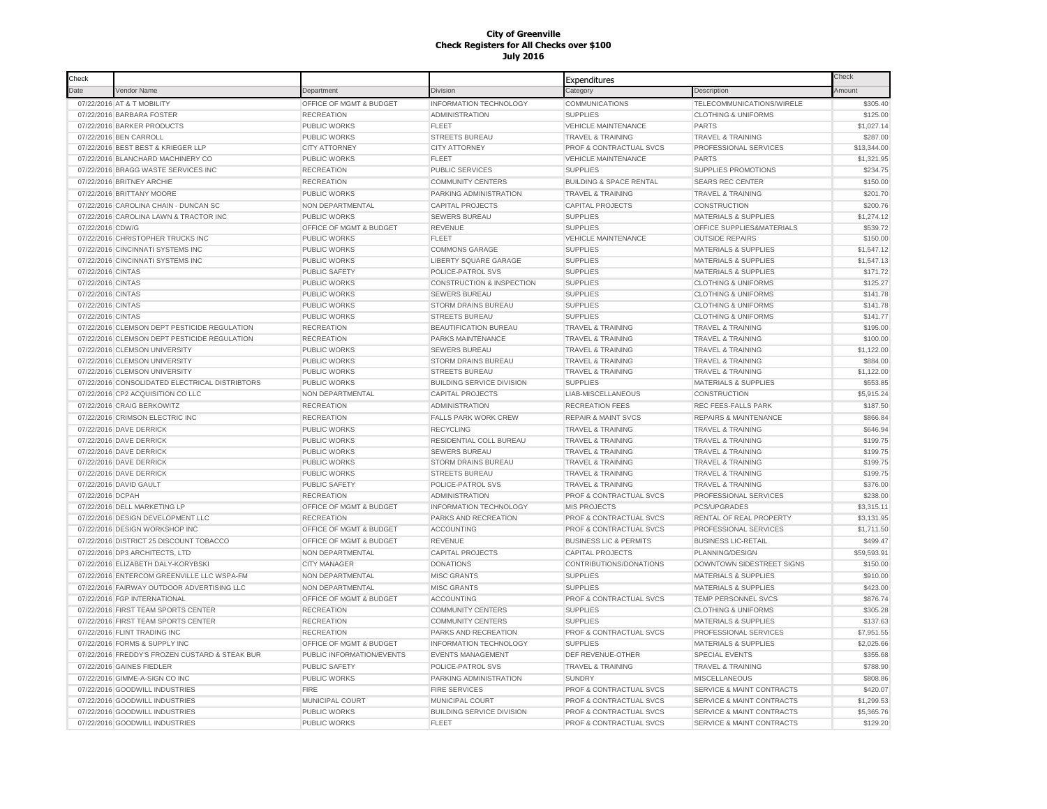| Check             |                                                |                           |                                      | Expenditures                       |                                      | Check       |
|-------------------|------------------------------------------------|---------------------------|--------------------------------------|------------------------------------|--------------------------------------|-------------|
| Date              | Vendor Name                                    | Department                | Division                             | Category                           | <b>Description</b>                   | Amount      |
|                   | 07/22/2016 AT & T MOBILITY                     | OFFICE OF MGMT & BUDGET   | <b>INFORMATION TECHNOLOGY</b>        | <b>COMMUNICATIONS</b>              | TELECOMMUNICATIONS/WIRELE            | \$305.40    |
|                   | 07/22/2016 BARBARA FOSTER                      | <b>RECREATION</b>         | <b>ADMINISTRATION</b>                | <b>SUPPLIES</b>                    | <b>CLOTHING &amp; UNIFORMS</b>       | \$125.00    |
|                   | 07/22/2016 BARKER PRODUCTS                     | PUBLIC WORKS              | <b>FLEET</b>                         | <b>VEHICLE MAINTENANCE</b>         | <b>PARTS</b>                         | \$1,027.14  |
|                   | 07/22/2016 BEN CARROLL                         | <b>PUBLIC WORKS</b>       | <b>STREETS BUREAU</b>                | <b>TRAVEL &amp; TRAINING</b>       | <b>TRAVEL &amp; TRAINING</b>         | \$287.00    |
|                   | 07/22/2016 BEST BEST & KRIEGER LLP             | <b>CITY ATTORNEY</b>      | <b>CITY ATTORNEY</b>                 | PROF & CONTRACTUAL SVCS            | PROFESSIONAL SERVICES                | \$13,344.00 |
|                   | 07/22/2016 BLANCHARD MACHINERY CO              | PUBLIC WORKS              | <b>FLEET</b>                         | <b>VEHICLE MAINTENANCE</b>         | <b>PARTS</b>                         | \$1,321.95  |
|                   | 07/22/2016 BRAGG WASTE SERVICES INC            | <b>RECREATION</b>         | PUBLIC SERVICES                      | <b>SUPPLIES</b>                    | SUPPLIES PROMOTIONS                  | \$234.75    |
|                   | 07/22/2016 BRITNEY ARCHIE                      | <b>RECREATION</b>         | <b>COMMUNITY CENTERS</b>             | <b>BUILDING &amp; SPACE RENTAL</b> | <b>SEARS REC CENTER</b>              | \$150.00    |
|                   | 07/22/2016 BRITTANY MOORE                      | PUBLIC WORKS              | PARKING ADMINISTRATION               | <b>TRAVEL &amp; TRAINING</b>       | <b>TRAVEL &amp; TRAINING</b>         | \$201.70    |
|                   | 07/22/2016 CAROLINA CHAIN - DUNCAN SC          | NON DEPARTMENTAL          | <b>CAPITAL PROJECTS</b>              | <b>CAPITAL PROJECTS</b>            | <b>CONSTRUCTION</b>                  | \$200.76    |
|                   | 07/22/2016 CAROLINA LAWN & TRACTOR INC         | PUBLIC WORKS              | <b>SEWERS BUREAU</b>                 | <b>SUPPLIES</b>                    | <b>MATERIALS &amp; SUPPLIES</b>      | \$1,274.12  |
| 07/22/2016 CDW/G  |                                                | OFFICE OF MGMT & BUDGET   | REVENUE                              | <b>SUPPLIES</b>                    | OFFICE SUPPLIES&MATERIALS            | \$539.72    |
|                   | 07/22/2016 CHRISTOPHER TRUCKS INC              | PUBLIC WORKS              | <b>FLEET</b>                         | VEHICLE MAINTENANCE                | <b>OUTSIDE REPAIRS</b>               | \$150.00    |
|                   | 07/22/2016 CINCINNATI SYSTEMS INC              | <b>PUBLIC WORKS</b>       | <b>COMMONS GARAGE</b>                | <b>SUPPLIES</b>                    | MATERIALS & SUPPLIES                 | \$1,547.12  |
|                   | 07/22/2016 CINCINNATI SYSTEMS INC              | <b>PUBLIC WORKS</b>       | LIBERTY SQUARE GARAGE                | <b>SUPPLIES</b>                    | <b>MATERIALS &amp; SUPPLIES</b>      | \$1,547.13  |
| 07/22/2016 CINTAS |                                                | PUBLIC SAFETY             | POLICE-PATROL SVS                    | <b>SUPPLIES</b>                    | <b>MATERIALS &amp; SUPPLIES</b>      | \$171.72    |
| 07/22/2016 CINTAS |                                                | PUBLIC WORKS              | <b>CONSTRUCTION &amp; INSPECTION</b> | <b>SUPPLIES</b>                    | <b>CLOTHING &amp; UNIFORMS</b>       | \$125.27    |
| 07/22/2016 CINTAS |                                                | <b>PUBLIC WORKS</b>       | <b>SEWERS BUREAU</b>                 | <b>SUPPLIES</b>                    | <b>CLOTHING &amp; UNIFORMS</b>       | \$141.78    |
| 07/22/2016 CINTAS |                                                | PUBLIC WORKS              | <b>STORM DRAINS BUREAU</b>           | <b>SUPPLIES</b>                    | <b>CLOTHING &amp; UNIFORMS</b>       | \$141.78    |
| 07/22/2016 CINTAS |                                                | PUBLIC WORKS              | <b>STREETS BUREAU</b>                | <b>SUPPLIES</b>                    | <b>CLOTHING &amp; UNIFORMS</b>       | \$141.77    |
|                   | 07/22/2016 CLEMSON DEPT PESTICIDE REGULATION   | <b>RECREATION</b>         | BEAUTIFICATION BUREAU                | <b>TRAVEL &amp; TRAINING</b>       | <b>TRAVEL &amp; TRAINING</b>         | \$195.00    |
|                   | 07/22/2016 CLEMSON DEPT PESTICIDE REGULATION   | <b>RECREATION</b>         | PARKS MAINTENANCE                    | <b>TRAVEL &amp; TRAINING</b>       | <b>TRAVEL &amp; TRAINING</b>         | \$100.00    |
|                   | 07/22/2016 CLEMSON UNIVERSITY                  | PUBLIC WORKS              | <b>SEWERS BUREAU</b>                 | <b>TRAVEL &amp; TRAINING</b>       | <b>TRAVEL &amp; TRAINING</b>         | \$1,122.00  |
|                   | 07/22/2016 CLEMSON UNIVERSITY                  | PUBLIC WORKS              | STORM DRAINS BUREAU                  | <b>TRAVEL &amp; TRAINING</b>       | <b>TRAVEL &amp; TRAINING</b>         | \$884.00    |
|                   | 07/22/2016 CLEMSON UNIVERSITY                  | PUBLIC WORKS              | <b>STREETS BUREAU</b>                | <b>TRAVEL &amp; TRAINING</b>       | <b>TRAVEL &amp; TRAINING</b>         | \$1,122.00  |
|                   | 07/22/2016 CONSOLIDATED ELECTRICAL DISTRIBTORS | PUBLIC WORKS              | <b>BUILDING SERVICE DIVISION</b>     | <b>SUPPLIES</b>                    | MATERIALS & SUPPLIES                 | \$553.85    |
|                   | 07/22/2016 CP2 ACQUISITION CO LLC              | NON DEPARTMENTAL          | <b>CAPITAL PROJECTS</b>              | LIAB-MISCELLANEOUS                 | CONSTRUCTION                         | \$5,915.24  |
|                   | 07/22/2016 CRAIG BERKOWITZ                     | <b>RECREATION</b>         | <b>ADMINISTRATION</b>                | <b>RECREATION FEES</b>             | REC FEES-FALLS PARK                  | \$187.50    |
|                   | 07/22/2016 CRIMSON ELECTRIC INC                | <b>RECREATION</b>         | <b>FALLS PARK WORK CREW</b>          | <b>REPAIR &amp; MAINT SVCS</b>     | <b>REPAIRS &amp; MAINTENANCE</b>     | \$866.84    |
|                   | 07/22/2016 DAVE DERRICK                        | PUBLIC WORKS              | <b>RECYCLING</b>                     | <b>TRAVEL &amp; TRAINING</b>       | <b>TRAVEL &amp; TRAINING</b>         | \$646.94    |
|                   | 07/22/2016 DAVE DERRICK                        | PUBLIC WORKS              | RESIDENTIAL COLL BUREAU              | <b>TRAVEL &amp; TRAINING</b>       | <b>TRAVEL &amp; TRAINING</b>         | \$199.75    |
|                   | 07/22/2016 DAVE DERRICK                        | <b>PUBLIC WORKS</b>       | <b>SEWERS BUREAU</b>                 | <b>TRAVEL &amp; TRAINING</b>       | <b>TRAVEL &amp; TRAINING</b>         | \$199.75    |
|                   | 07/22/2016 DAVE DERRICK                        | PUBLIC WORKS              | STORM DRAINS BUREAU                  | <b>TRAVEL &amp; TRAINING</b>       | <b>TRAVEL &amp; TRAINING</b>         | \$199.75    |
|                   | 07/22/2016 DAVE DERRICK                        | PUBLIC WORKS              | <b>STREETS BUREAU</b>                | <b>TRAVEL &amp; TRAINING</b>       | TRAVEL & TRAINING                    | \$199.75    |
|                   | 07/22/2016 DAVID GAULT                         | PUBLIC SAFETY             | POLICE-PATROL SVS                    | <b>TRAVEL &amp; TRAINING</b>       | <b>TRAVEL &amp; TRAINING</b>         | \$376.00    |
| 07/22/2016 DCPAH  |                                                | <b>RECREATION</b>         | <b>ADMINISTRATION</b>                | PROF & CONTRACTUAL SVCS            | PROFESSIONAL SERVICES                | \$238.00    |
|                   | 07/22/2016 DELL MARKETING LP                   | OFFICE OF MGMT & BUDGET   | INFORMATION TECHNOLOGY               | <b>MIS PROJECTS</b>                | PCS/UPGRADES                         | \$3,315.11  |
|                   | 07/22/2016 DESIGN DEVELOPMENT LLC              | <b>RECREATION</b>         | PARKS AND RECREATION                 | <b>PROF &amp; CONTRACTUAL SVCS</b> | RENTAL OF REAL PROPERTY              | \$3,131.95  |
|                   | 07/22/2016 DESIGN WORKSHOP INC                 | OFFICE OF MGMT & BUDGET   | ACCOUNTING                           | <b>PROF &amp; CONTRACTUAL SVCS</b> | PROFESSIONAL SERVICES                | \$1,711.50  |
|                   | 07/22/2016 DISTRICT 25 DISCOUNT TOBACCO        | OFFICE OF MGMT & BUDGET   | REVENUE                              | <b>BUSINESS LIC &amp; PERMITS</b>  | <b>BUSINESS LIC-RETAIL</b>           | \$499.47    |
|                   | 07/22/2016 DP3 ARCHITECTS, LTD                 | NON DEPARTMENTAL          | CAPITAL PROJECTS                     | <b>CAPITAL PROJECTS</b>            | PLANNING/DESIGN                      | \$59,593.91 |
|                   | 07/22/2016 ELIZABETH DALY-KORYBSKI             | <b>CITY MANAGER</b>       | <b>DONATIONS</b>                     | CONTRIBUTIONS/DONATIONS            | DOWNTOWN SIDESTREET SIGNS            | \$150.00    |
|                   | 07/22/2016 ENTERCOM GREENVILLE LLC WSPA-FM     | NON DEPARTMENTAL          | <b>MISC GRANTS</b>                   | <b>SUPPLIES</b>                    | <b>MATERIALS &amp; SUPPLIES</b>      | \$910.00    |
|                   | 07/22/2016 FAIRWAY OUTDOOR ADVERTISING LLC     | NON DEPARTMENTAL          | <b>MISC GRANTS</b>                   | <b>SUPPLIES</b>                    | <b>MATERIALS &amp; SUPPLIES</b>      | \$423.00    |
|                   | 07/22/2016 FGP INTERNATIONAL                   | OFFICE OF MGMT & BUDGET   | ACCOUNTING                           | PROF & CONTRACTUAL SVCS            | TEMP PERSONNEL SVCS                  | \$876.74    |
|                   | 07/22/2016 FIRST TEAM SPORTS CENTER            | <b>RECREATION</b>         | <b>COMMUNITY CENTERS</b>             | <b>SUPPLIES</b>                    | <b>CLOTHING &amp; UNIFORMS</b>       | \$305.28    |
|                   | 07/22/2016 FIRST TEAM SPORTS CENTER            | <b>RECREATION</b>         | <b>COMMUNITY CENTERS</b>             | <b>SUPPLIES</b>                    | <b>MATERIALS &amp; SUPPLIES</b>      | \$137.63    |
|                   | 07/22/2016 FLINT TRADING INC                   | <b>RECREATION</b>         | PARKS AND RECREATION                 | PROF & CONTRACTUAL SVCS            | PROFESSIONAL SERVICES                | \$7,951.55  |
|                   | 07/22/2016 FORMS & SUPPLY INC                  | OFFICE OF MGMT & BUDGET   | <b>INFORMATION TECHNOLOGY</b>        | <b>SUPPLIES</b>                    | MATERIALS & SUPPLIES                 | \$2,025.66  |
|                   | 07/22/2016 FREDDY'S FROZEN CUSTARD & STEAK BUR | PUBLIC INFORMATION/EVENTS | <b>EVENTS MANAGEMENT</b>             | DEF REVENUE-OTHER                  | <b>SPECIAL EVENTS</b>                | \$355.68    |
|                   |                                                |                           |                                      |                                    |                                      |             |
|                   | 07/22/2016 GAINES FIEDLER                      | PUBLIC SAFETY             | POLICE-PATROL SVS                    | <b>TRAVEL &amp; TRAINING</b>       | <b>TRAVEL &amp; TRAINING</b>         | \$788.90    |
|                   | 07/22/2016 GIMME-A-SIGN CO INC                 | PUBLIC WORKS              | PARKING ADMINISTRATION               | SUNDRY                             | <b>MISCELLANEOUS</b>                 | \$808.86    |
|                   | 07/22/2016 GOODWILL INDUSTRIES                 | <b>FIRE</b>               | <b>FIRE SERVICES</b>                 | PROF & CONTRACTUAL SVCS            | <b>SERVICE &amp; MAINT CONTRACTS</b> | \$420.07    |
|                   | 07/22/2016 GOODWILL INDUSTRIES                 | MUNICIPAL COURT           | <b>MUNICIPAL COURT</b>               | PROF & CONTRACTUAL SVCS            | <b>SERVICE &amp; MAINT CONTRACTS</b> | \$1,299.53  |
|                   | 07/22/2016 GOODWILL INDUSTRIES                 | PUBLIC WORKS              | <b>BUILDING SERVICE DIVISION</b>     | PROF & CONTRACTUAL SVCS            | <b>SERVICE &amp; MAINT CONTRACTS</b> | \$5,365.76  |
|                   | 07/22/2016 GOODWILL INDUSTRIES                 | <b>PUBLIC WORKS</b>       | <b>FLEET</b>                         | PROF & CONTRACTUAL SVCS            | <b>SERVICE &amp; MAINT CONTRACTS</b> | \$129.20    |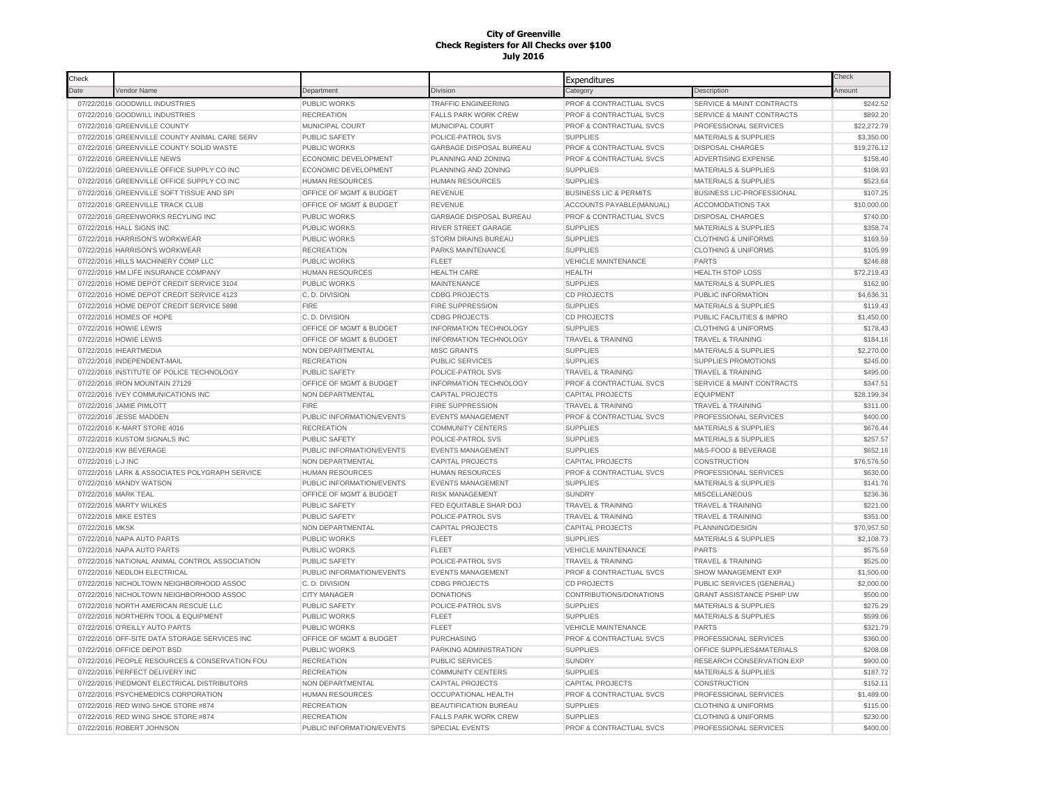| Check              |                                                |                           |                                | Expenditures                       |                                      | Check       |
|--------------------|------------------------------------------------|---------------------------|--------------------------------|------------------------------------|--------------------------------------|-------------|
| Date               | Vendor Name                                    | Department                | <b>Division</b>                | Category                           | Description                          | Amount      |
|                    | 07/22/2016 GOODWILL INDUSTRIES                 | PUBLIC WORKS              | <b>TRAFFIC ENGINEERING</b>     | PROF & CONTRACTUAL SVCS            | SERVICE & MAINT CONTRACTS            | \$242.52    |
|                    | 07/22/2016 GOODWILL INDUSTRIES                 | <b>RECREATION</b>         | <b>FALLS PARK WORK CREW</b>    | <b>PROF &amp; CONTRACTUAL SVCS</b> | <b>SERVICE &amp; MAINT CONTRACTS</b> | \$892.20    |
|                    | 07/22/2016 GREENVILLE COUNTY                   | MUNICIPAL COURT           | MUNICIPAL COURT                | <b>PROF &amp; CONTRACTUAL SVCS</b> | PROFESSIONAL SERVICES                | \$22,272.79 |
|                    | 07/22/2016 GREENVILLE COUNTY ANIMAL CARE SERV  | PUBLIC SAFETY             | POLICE-PATROL SVS              | <b>SUPPLIES</b>                    | <b>MATERIALS &amp; SUPPLIES</b>      | \$3,350.00  |
|                    | 07/22/2016 GREENVILLE COUNTY SOLID WASTE       | PUBLIC WORKS              | GARBAGE DISPOSAL BUREAU        | PROF & CONTRACTUAL SVCS            | <b>DISPOSAL CHARGES</b>              | \$19,276.12 |
|                    | 07/22/2016 GREENVILLE NEWS                     | ECONOMIC DEVELOPMENT      | PLANNING AND ZONING            | PROF & CONTRACTUAL SVCS            | ADVERTISING EXPENSE                  | \$158.40    |
|                    | 07/22/2016 GREENVILLE OFFICE SUPPLY CO INC     | ECONOMIC DEVELOPMENT      | PLANNING AND ZONING            | <b>SUPPLIES</b>                    | <b>MATERIALS &amp; SUPPLIES</b>      | \$108.93    |
|                    | 07/22/2016 GREENVILLE OFFICE SUPPLY CO INC     | <b>HUMAN RESOURCES</b>    | <b>HUMAN RESOURCES</b>         | <b>SUPPLIES</b>                    | <b>MATERIALS &amp; SUPPLIES</b>      | \$523.64    |
|                    | 07/22/2016 GREENVILLE SOFT TISSUE AND SPI      | OFFICE OF MGMT & BUDGET   | <b>REVENUE</b>                 | <b>BUSINESS LIC &amp; PERMITS</b>  | <b>BUSINESS LIC-PROFESSIONAL</b>     | \$107.25    |
|                    | 07/22/2016 GREENVILLE TRACK CLUB               | OFFICE OF MGMT & BUDGET   | <b>REVENUE</b>                 | ACCOUNTS PAYABLE(MANUAL)           | <b>ACCOMODATIONS TAX</b>             | \$10,000.00 |
|                    | 07/22/2016 GREENWORKS RECYLING INC             | PUBLIC WORKS              | <b>GARBAGE DISPOSAL BUREAU</b> | PROF & CONTRACTUAL SVCS            | <b>DISPOSAL CHARGES</b>              | \$740.00    |
|                    | 07/22/2016 HALL SIGNS INC                      | PUBLIC WORKS              | RIVER STREET GARAGE            | <b>SUPPLIES</b>                    | <b>MATERIALS &amp; SUPPLIES</b>      | \$358.74    |
|                    | 07/22/2016 HARRISON'S WORKWEAR                 | PUBLIC WORKS              | STORM DRAINS BUREAU            | <b>SUPPLIES</b>                    | <b>CLOTHING &amp; UNIFORMS</b>       | \$169.59    |
|                    | 07/22/2016 HARRISON'S WORKWEAR                 | <b>RECREATION</b>         | PARKS MAINTENANCE              | <b>SUPPLIES</b>                    | <b>CLOTHING &amp; UNIFORMS</b>       | \$105.99    |
|                    | 07/22/2016 HILLS MACHINERY COMP LLC            | PUBLIC WORKS              | <b>FLEET</b>                   | <b>VEHICLE MAINTENANCE</b>         | <b>PARTS</b>                         | \$246.88    |
|                    | 07/22/2016 HM LIFE INSURANCE COMPANY           | HUMAN RESOURCES           | <b>HEALTH CARE</b>             | <b>HEALTH</b>                      | <b>HEALTH STOP LOSS</b>              | \$72,219.43 |
|                    | 07/22/2016 HOME DEPOT CREDIT SERVICE 3104      | <b>PUBLIC WORKS</b>       | <b>MAINTENANCE</b>             | <b>SUPPLIES</b>                    | <b>MATERIALS &amp; SUPPLIES</b>      | \$162.90    |
|                    | 07/22/2016 HOME DEPOT CREDIT SERVICE 4123      | C.D. DIVISION             | <b>CDBG PROJECTS</b>           | <b>CD PROJECTS</b>                 | PUBLIC INFORMATION                   | \$4,636.31  |
|                    | 07/22/2016 HOME DEPOT CREDIT SERVICE 5898      | <b>FIRE</b>               | <b>FIRE SUPPRESSION</b>        | <b>SUPPLIES</b>                    | <b>MATERIALS &amp; SUPPLIES</b>      | \$119.43    |
|                    | 07/22/2016 HOMES OF HOPE                       | C.D. DIVISION             | <b>CDBG PROJECTS</b>           | <b>CD PROJECTS</b>                 | PUBLIC FACILITIES & IMPRO            | \$1,450.00  |
|                    | 07/22/2016 HOWIE LEWIS                         | OFFICE OF MGMT & BUDGET   | INFORMATION TECHNOLOGY         | <b>SUPPLIES</b>                    | <b>CLOTHING &amp; UNIFORMS</b>       | \$178.43    |
|                    | 07/22/2016 HOWIE LEWIS                         | OFFICE OF MGMT & BUDGET   | INFORMATION TECHNOLOGY         | TRAVEL & TRAINING                  | <b>TRAVEL &amp; TRAINING</b>         | \$184.16    |
|                    | 07/22/2016 IHEARTMEDIA                         | NON DEPARTMENTAL          | <b>MISC GRANTS</b>             | <b>SUPPLIES</b>                    | <b>MATERIALS &amp; SUPPLIES</b>      | \$2,270.00  |
|                    | 07/22/2016 INDEPENDENT-MAIL                    | <b>RECREATION</b>         | PUBLIC SERVICES                | <b>SUPPLIES</b>                    | SUPPLIES PROMOTIONS                  | \$245.00    |
|                    | 07/22/2016 INSTITUTE OF POLICE TECHNOLOGY      | <b>PUBLIC SAFETY</b>      | POLICE-PATROL SVS              | <b>TRAVEL &amp; TRAINING</b>       | <b>TRAVEL &amp; TRAINING</b>         | \$495.00    |
|                    | 07/22/2016 IRON MOUNTAIN 27129                 | OFFICE OF MGMT & BUDGET   | INFORMATION TECHNOLOGY         | PROF & CONTRACTUAL SVCS            | SERVICE & MAINT CONTRACTS            | \$347.51    |
|                    | 07/22/2016 IVEY COMMUNICATIONS INC             | NON DEPARTMENTAL          | <b>CAPITAL PROJECTS</b>        | <b>CAPITAL PROJECTS</b>            | <b>EQUIPMENT</b>                     | \$28,199.34 |
|                    | 07/22/2016 JAMIE PIMLOTT                       | <b>FIRE</b>               | FIRE SUPPRESSION               | <b>TRAVEL &amp; TRAINING</b>       | <b>TRAVEL &amp; TRAINING</b>         | \$311.00    |
|                    | 07/22/2016 JESSE MADDEN                        | PUBLIC INFORMATION/EVENTS | <b>EVENTS MANAGEMENT</b>       | PROF & CONTRACTUAL SVCS            | PROFESSIONAL SERVICES                | \$400.00    |
|                    | 07/22/2016 K-MART STORE 4016                   | <b>RECREATION</b>         | <b>COMMUNITY CENTERS</b>       | <b>SUPPLIES</b>                    | <b>MATERIALS &amp; SUPPLIES</b>      | \$676.44    |
|                    | 07/22/2016 KUSTOM SIGNALS INC                  | <b>PUBLIC SAFETY</b>      | POLICE-PATROL SVS              | <b>SUPPLIES</b>                    | <b>MATERIALS &amp; SUPPLIES</b>      | \$257.57    |
|                    | 07/22/2016 KW BEVERAGE                         | PUBLIC INFORMATION/EVENTS | <b>EVENTS MANAGEMENT</b>       | <b>SUPPLIES</b>                    | M&S-FOOD & BEVERAGE                  | \$652.16    |
| 07/22/2016 L-J INC |                                                | NON DEPARTMENTAL          | <b>CAPITAL PROJECTS</b>        | <b>CAPITAL PROJECTS</b>            | <b>CONSTRUCTION</b>                  | \$76,576.50 |
|                    | 07/22/2016 LARK & ASSOCIATES POLYGRAPH SERVICE | <b>HUMAN RESOURCES</b>    | <b>HUMAN RESOURCES</b>         | PROF & CONTRACTUAL SVCS            | PROFESSIONAL SERVICES                | \$630.00    |
|                    | 07/22/2016 MANDY WATSON                        | PUBLIC INFORMATION/EVENTS | <b>EVENTS MANAGEMENT</b>       | <b>SUPPLIES</b>                    | <b>MATERIALS &amp; SUPPLIES</b>      | \$141.76    |
|                    | 07/22/2016 MARK TEAL                           | OFFICE OF MGMT & BUDGET   | <b>RISK MANAGEMENT</b>         | SUNDRY                             | <b>MISCELLANEOUS</b>                 | \$236.36    |
|                    | 07/22/2016 MARTY WILKES                        | PUBLIC SAFETY             | FED EQUITABLE SHAR DOJ         | TRAVEL & TRAINING                  | <b>TRAVEL &amp; TRAINING</b>         | \$221.00    |
|                    | 07/22/2016 MIKE ESTES                          | <b>PUBLIC SAFETY</b>      | POLICE-PATROL SVS              | TRAVEL & TRAINING                  | TRAVEL & TRAINING                    | \$351.00    |
| 07/22/2016 MKSK    |                                                | NON DEPARTMENTAL          | <b>CAPITAL PROJECTS</b>        | <b>CAPITAL PROJECTS</b>            | PLANNING/DESIGN                      | \$70,957.50 |
|                    | 07/22/2016 NAPA AUTO PARTS                     | <b>PUBLIC WORKS</b>       | <b>FLEET</b>                   | <b>SUPPLIES</b>                    | MATERIALS & SUPPLIES                 | \$2,108.73  |
|                    | 07/22/2016 NAPA AUTO PARTS                     | PUBLIC WORKS              | <b>FLEET</b>                   | VEHICLE MAINTENANCE                | <b>PARTS</b>                         | \$575.59    |
|                    | 07/22/2016 NATIONAL ANIMAL CONTROL ASSOCIATION | <b>PUBLIC SAFETY</b>      | POLICE-PATROL SVS              | TRAVEL & TRAINING                  | <b>TRAVEL &amp; TRAINING</b>         | \$525.00    |
|                    | 07/22/2016 NEDLOH ELECTRICAL                   | PUBLIC INFORMATION/EVENTS | <b>EVENTS MANAGEMENT</b>       | PROF & CONTRACTUAL SVCS            | SHOW MANAGEMENT EXP                  | \$1,500.00  |
|                    | 07/22/2016 NICHOLTOWN NEIGHBORHOOD ASSOC       | C.D. DIVISION             | <b>CDBG PROJECTS</b>           | <b>CD PROJECTS</b>                 | PUBLIC SERVICES (GENERAL)            | \$2,000.00  |
|                    | 07/22/2016 NICHOLTOWN NEIGHBORHOOD ASSOC       | <b>CITY MANAGER</b>       | <b>DONATIONS</b>               | CONTRIBUTIONS/DONATIONS            | GRANT ASSISTANCE PSHIP UW            | \$500.00    |
|                    | 07/22/2016 NORTH AMERICAN RESCUE LLC           | <b>PUBLIC SAFETY</b>      | POLICE-PATROL SVS              | <b>SUPPLIES</b>                    | <b>MATERIALS &amp; SUPPLIES</b>      | \$275.29    |
|                    | 07/22/2016 NORTHERN TOOL & EQUIPMENT           | <b>PUBLIC WORKS</b>       | <b>FLEET</b>                   | <b>SUPPLIES</b>                    | <b>MATERIALS &amp; SUPPLIES</b>      | \$599.06    |
|                    | 07/22/2016 O'REILLY AUTO PARTS                 | PUBLIC WORKS              | FLEET                          | <b>VEHICLE MAINTENANCE</b>         | <b>PARTS</b>                         | \$321.79    |
|                    | 07/22/2016 OFF-SITE DATA STORAGE SERVICES INC  | OFFICE OF MGMT & BUDGET   | <b>PURCHASING</b>              | PROF & CONTRACTUAL SVCS            | PROFESSIONAL SERVICES                | \$360.00    |
|                    | 07/22/2016 OFFICE DEPOT BSD                    | PUBLIC WORKS              | PARKING ADMINISTRATION         | <b>SUPPLIES</b>                    | OFFICE SUPPLIES&MATERIALS            | \$208.08    |
|                    | 07/22/2016 PEOPLE RESOURCES & CONSERVATION FOU | <b>RECREATION</b>         | <b>PUBLIC SERVICES</b>         | <b>SUNDRY</b>                      | RESEARCH CONSERVATION EXP            | \$900.00    |
|                    | 07/22/2016 PERFECT DELIVERY INC                | <b>RECREATION</b>         | <b>COMMUNITY CENTERS</b>       | <b>SUPPLIES</b>                    | <b>MATERIALS &amp; SUPPLIES</b>      | \$187.72    |
|                    | 07/22/2016 PIEDMONT ELECTRICAL DISTRIBUTORS    | NON DEPARTMENTAL          | <b>CAPITAL PROJECTS</b>        | <b>CAPITAL PROJECTS</b>            | <b>CONSTRUCTION</b>                  | \$152.11    |
|                    | 07/22/2016 PSYCHEMEDICS CORPORATION            | HUMAN RESOURCES           | OCCUPATIONAL HEALTH            | PROF & CONTRACTUAL SVCS            | PROFESSIONAL SERVICES                | \$1,489.00  |
|                    | 07/22/2016 RED WING SHOE STORE #874            | <b>RECREATION</b>         | <b>BEAUTIFICATION BUREAU</b>   | <b>SUPPLIES</b>                    | <b>CLOTHING &amp; UNIFORMS</b>       | \$115.00    |
|                    | 07/22/2016 RED WING SHOE STORE #874            | <b>RECREATION</b>         | <b>FALLS PARK WORK CREW</b>    | <b>SUPPLIES</b>                    | <b>CLOTHING &amp; UNIFORMS</b>       | \$230.00    |
|                    | 07/22/2016 ROBERT JOHNSON                      | PUBLIC INFORMATION/EVENTS | <b>SPECIAL EVENTS</b>          | PROF & CONTRACTUAL SVCS            | PROFESSIONAL SERVICES                | \$400.00    |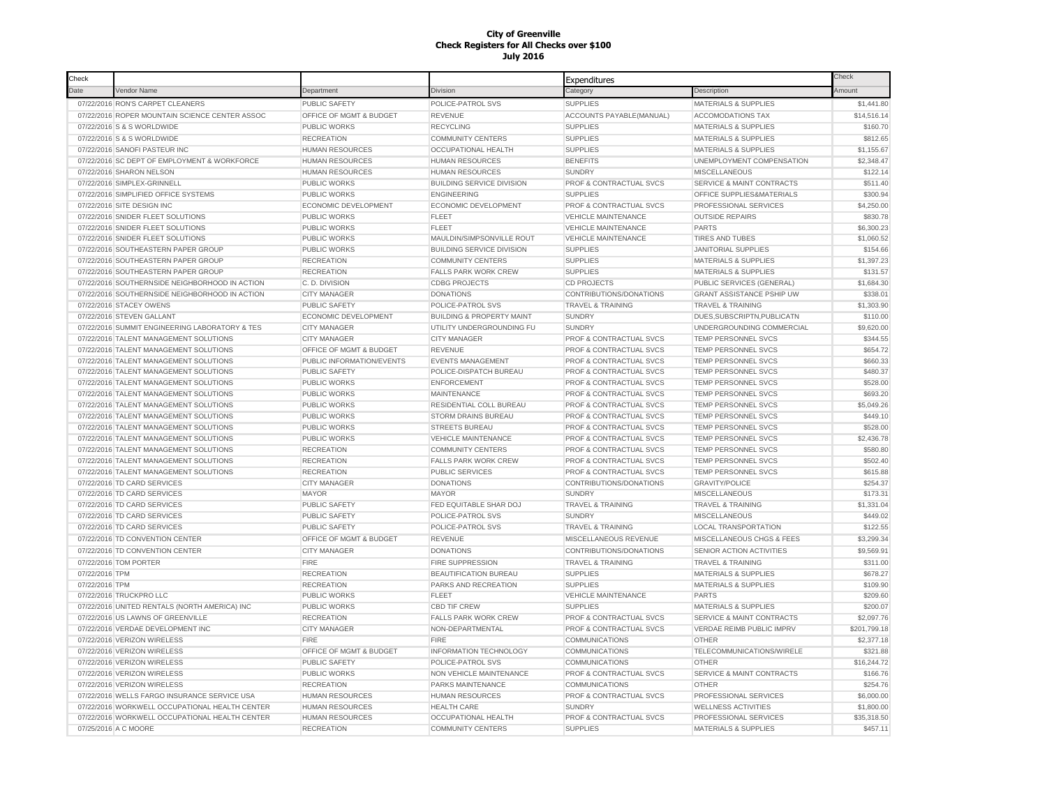| Check          |                                                                        |                                    |                                      | Expenditures                                       |                                                        | Check                      |
|----------------|------------------------------------------------------------------------|------------------------------------|--------------------------------------|----------------------------------------------------|--------------------------------------------------------|----------------------------|
| Date           | Vendor Name                                                            | Department                         | Division                             | Category                                           | Description                                            | Amount                     |
|                | 07/22/2016 RON'S CARPET CLEANERS                                       | PUBLIC SAFETY                      | POLICE-PATROL SVS                    | <b>SUPPLIES</b>                                    | MATERIALS & SUPPLIES                                   | \$1,441.80                 |
|                | 07/22/2016 ROPER MOUNTAIN SCIENCE CENTER ASSOC                         | OFFICE OF MGMT & BUDGET            | <b>REVENUE</b>                       | ACCOUNTS PAYABLE(MANUAL)                           | <b>ACCOMODATIONS TAX</b>                               | \$14,516.14                |
|                | 07/22/2016 S & S WORLDWIDE                                             | <b>PUBLIC WORKS</b>                | <b>RECYCLING</b>                     | <b>SUPPLIES</b>                                    | <b>MATERIALS &amp; SUPPLIES</b>                        | \$160.70                   |
|                | 07/22/2016 S & S WORLDWIDE                                             | <b>RECREATION</b>                  | <b>COMMUNITY CENTERS</b>             | <b>SUPPLIES</b>                                    | <b>MATERIALS &amp; SUPPLIES</b>                        | \$812.65                   |
|                | 07/22/2016 SANOFI PASTEUR INC                                          | <b>HUMAN RESOURCES</b>             | <b>OCCUPATIONAL HEALTH</b>           | <b>SUPPLIES</b>                                    | <b>MATERIALS &amp; SUPPLIES</b>                        | \$1,155.67                 |
|                | 07/22/2016 SC DEPT OF EMPLOYMENT & WORKFORCE                           | <b>HUMAN RESOURCES</b>             | <b>HUMAN RESOURCES</b>               | <b>BENEFITS</b>                                    | UNEMPLOYMENT COMPENSATION                              | \$2,348.47                 |
|                | 07/22/2016 SHARON NELSON                                               | HUMAN RESOURCES                    | HUMAN RESOURCES                      | <b>SUNDRY</b>                                      | <b>MISCELLANEOUS</b>                                   | \$122.14                   |
|                | 07/22/2016 SIMPLEX-GRINNELL                                            | PUBLIC WORKS                       | <b>BUILDING SERVICE DIVISION</b>     | PROF & CONTRACTUAL SVCS                            | SERVICE & MAINT CONTRACTS                              | \$511.40                   |
|                | 07/22/2016 SIMPLIFIED OFFICE SYSTEMS                                   | <b>PUBLIC WORKS</b>                | <b>ENGINEERING</b>                   | <b>SUPPLIES</b>                                    | OFFICE SUPPLIES&MATERIALS                              | \$300.94                   |
|                | 07/22/2016 SITE DESIGN INC                                             | ECONOMIC DEVELOPMENT               | ECONOMIC DEVELOPMENT                 | PROF & CONTRACTUAL SVCS                            | PROFESSIONAL SERVICES                                  | \$4,250.00                 |
|                | 07/22/2016 SNIDER FLEET SOLUTIONS                                      | PUBLIC WORKS                       | <b>FLEET</b>                         | <b>VEHICLE MAINTENANCE</b>                         | <b>OUTSIDE REPAIRS</b>                                 | \$830.78                   |
|                | 07/22/2016 SNIDER FLEET SOLUTIONS                                      | PUBLIC WORKS                       | FLEET                                | <b>VEHICLE MAINTENANCE</b>                         | <b>PARTS</b>                                           | \$6,300.23                 |
|                | 07/22/2016 SNIDER FLEET SOLUTIONS                                      | <b>PUBLIC WORKS</b>                | MAULDIN/SIMPSONVILLE ROUT            | <b>VEHICLE MAINTENANCE</b>                         | <b>TIRES AND TUBES</b>                                 | \$1,060.52                 |
|                | 07/22/2016 SOUTHEASTERN PAPER GROUP                                    | <b>PUBLIC WORKS</b>                | <b>BUILDING SERVICE DIVISION</b>     | <b>SUPPLIES</b>                                    | <b>JANITORIAL SUPPLIES</b>                             | \$154.66                   |
|                | 07/22/2016 SOUTHEASTERN PAPER GROUP                                    | <b>RECREATION</b>                  | <b>COMMUNITY CENTERS</b>             | <b>SUPPLIES</b>                                    | <b>MATERIALS &amp; SUPPLIES</b>                        | \$1,397.23                 |
|                | 07/22/2016 SOUTHEASTERN PAPER GROUP                                    | <b>RECREATION</b>                  | FALLS PARK WORK CREW                 | <b>SUPPLIES</b>                                    | <b>MATERIALS &amp; SUPPLIES</b>                        | \$131.57                   |
|                | 07/22/2016 SOUTHERNSIDE NEIGHBORHOOD IN ACTION                         | C.D. DIVISION                      | <b>CDBG PROJECTS</b>                 | <b>CD PROJECTS</b>                                 | PUBLIC SERVICES (GENERAL)                              | \$1,684.30                 |
|                | 07/22/2016 SOUTHERNSIDE NEIGHBORHOOD IN ACTION                         | <b>CITY MANAGER</b>                | <b>DONATIONS</b>                     | CONTRIBUTIONS/DONATIONS                            | <b>GRANT ASSISTANCE PSHIP UW</b>                       | \$338.01                   |
|                | 07/22/2016 STACEY OWENS                                                | PUBLIC SAFETY                      | POLICE-PATROL SVS                    | <b>TRAVEL &amp; TRAINING</b>                       | <b>TRAVEL &amp; TRAINING</b>                           | \$1,303.90                 |
|                | 07/22/2016 STEVEN GALLANT                                              | ECONOMIC DEVELOPMENT               | <b>BUILDING &amp; PROPERTY MAINT</b> | <b>SUNDRY</b>                                      | DUES, SUBSCRIPTN, PUBLICATN                            | \$110.00                   |
|                | 07/22/2016 SUMMIT ENGINEERING LABORATORY & TES                         | <b>CITY MANAGER</b>                | UTILITY UNDERGROUNDING FU            | <b>SUNDRY</b>                                      | UNDERGROUNDING COMMERCIAL                              | \$9,620.00                 |
|                | 07/22/2016 TALENT MANAGEMENT SOLUTIONS                                 | <b>CITY MANAGER</b>                | <b>CITY MANAGER</b>                  | <b>PROF &amp; CONTRACTUAL SVCS</b>                 | <b>TEMP PERSONNEL SVCS</b>                             | \$344.55                   |
|                | 07/22/2016 TALENT MANAGEMENT SOLUTIONS                                 | OFFICE OF MGMT & BUDGET            | <b>REVENUE</b>                       | PROF & CONTRACTUAL SVCS                            | <b>TEMP PERSONNEL SVCS</b>                             | \$654.72                   |
|                | 07/22/2016 TALENT MANAGEMENT SOLUTIONS                                 | PUBLIC INFORMATION/EVENTS          | <b>EVENTS MANAGEMENT</b>             | PROF & CONTRACTUAL SVCS                            | TEMP PERSONNEL SVCS                                    | \$660.33                   |
|                | 07/22/2016 TALENT MANAGEMENT SOLUTIONS                                 | PUBLIC SAFETY                      | POLICE-DISPATCH BUREAU               | PROF & CONTRACTUAL SVCS                            | <b>TEMP PERSONNEL SVCS</b>                             | \$480.37                   |
|                | 07/22/2016 TALENT MANAGEMENT SOLUTIONS                                 | PUBLIC WORKS                       | <b>ENFORCEMENT</b>                   | PROF & CONTRACTUAL SVCS                            | <b>TEMP PERSONNEL SVCS</b>                             | \$528.00                   |
|                | 07/22/2016 TALENT MANAGEMENT SOLUTIONS                                 | PUBLIC WORKS                       | <b>MAINTENANCE</b>                   | PROF & CONTRACTUAL SVCS                            | <b>TEMP PERSONNEL SVCS</b>                             | \$693.20                   |
|                | 07/22/2016 TALENT MANAGEMENT SOLUTIONS                                 | PUBLIC WORKS                       | RESIDENTIAL COLL BUREAU              | PROF & CONTRACTUAL SVCS                            | TEMP PERSONNEL SVCS                                    | \$5,049.26                 |
|                | 07/22/2016 TALENT MANAGEMENT SOLUTIONS                                 | PUBLIC WORKS                       | STORM DRAINS BUREAU                  | <b>PROF &amp; CONTRACTUAL SVCS</b>                 | TEMP PERSONNEL SVCS                                    | \$449.10                   |
|                | 07/22/2016 TALENT MANAGEMENT SOLUTIONS                                 | PUBLIC WORKS                       | <b>STREETS BUREAU</b>                | <b>PROF &amp; CONTRACTUAL SVCS</b>                 | <b>TEMP PERSONNEL SVCS</b>                             | \$528.00                   |
|                | 07/22/2016 TALENT MANAGEMENT SOLUTIONS                                 | PUBLIC WORKS                       | VEHICLE MAINTENANCE                  | PROF & CONTRACTUAL SVCS                            | <b>TEMP PERSONNEL SVCS</b>                             | \$2,436.78                 |
|                | 07/22/2016 TALENT MANAGEMENT SOLUTIONS                                 | <b>RECREATION</b>                  | <b>COMMUNITY CENTERS</b>             | <b>PROF &amp; CONTRACTUAL SVCS</b>                 | TEMP PERSONNEL SVCS                                    | \$580.80                   |
|                | 07/22/2016 TALENT MANAGEMENT SOLUTIONS                                 | <b>RECREATION</b>                  | <b>FALLS PARK WORK CREW</b>          | <b>PROF &amp; CONTRACTUAL SVCS</b>                 | TEMP PERSONNEL SVCS                                    | \$502.40                   |
|                | 07/22/2016 TALENT MANAGEMENT SOLUTIONS                                 | <b>RECREATION</b>                  | PUBLIC SERVICES                      | PROF & CONTRACTUAL SVCS                            | TEMP PERSONNEL SVCS                                    | \$615.88                   |
|                | 07/22/2016 TD CARD SERVICES                                            | <b>CITY MANAGER</b>                | <b>DONATIONS</b>                     | CONTRIBUTIONS/DONATIONS                            | <b>GRAVITY/POLICE</b>                                  | \$254.37                   |
|                | 07/22/2016 TD CARD SERVICES                                            | <b>MAYOR</b>                       | <b>MAYOR</b>                         | <b>SUNDRY</b>                                      | MISCELLANEOUS                                          | \$173.31                   |
|                | 07/22/2016 TD CARD SERVICES                                            | PUBLIC SAFETY                      | FED EQUITABLE SHAR DOJ               | <b>TRAVEL &amp; TRAINING</b>                       | <b>TRAVEL &amp; TRAINING</b>                           | \$1,331.04                 |
|                | 07/22/2016 TD CARD SERVICES                                            | <b>PUBLIC SAFETY</b>               | POLICE-PATROL SVS                    | <b>SUNDRY</b>                                      | <b>MISCELLANEOUS</b>                                   | \$449.02                   |
|                | 07/22/2016 TD CARD SERVICES                                            | PUBLIC SAFETY                      | POLICE-PATROL SVS                    | TRAVEL & TRAINING                                  | LOCAL TRANSPORTATION                                   | \$122.55                   |
|                | 07/22/2016 TD CONVENTION CENTER                                        | OFFICE OF MGMT & BUDGET            | <b>REVENUE</b>                       | MISCELLANEOUS REVENUE                              | MISCELLANEOUS CHGS & FEES                              | \$3,299.34                 |
|                | 07/22/2016 TD CONVENTION CENTER                                        | <b>CITY MANAGER</b>                | <b>DONATIONS</b>                     | CONTRIBUTIONS/DONATIONS                            | SENIOR ACTION ACTIVITIES                               | \$9,569.91                 |
|                | 07/22/2016 TOM PORTER                                                  | <b>FIRE</b>                        | <b>FIRE SUPPRESSION</b>              | TRAVEL & TRAINING                                  | <b>TRAVEL &amp; TRAINING</b>                           | \$311.00                   |
| 07/22/2016 TPM |                                                                        | <b>RECREATION</b>                  | BEAUTIFICATION BUREAU                | <b>SUPPLIES</b>                                    | <b>MATERIALS &amp; SUPPLIES</b>                        | \$678.27                   |
| 07/22/2016 TPM |                                                                        | <b>RECREATION</b>                  | PARKS AND RECREATION                 | <b>SUPPLIES</b>                                    | <b>MATERIALS &amp; SUPPLIES</b>                        | \$109.90                   |
|                | 07/22/2016 TRUCKPRO LLC                                                | PUBLIC WORKS                       | <b>FLEET</b>                         | <b>VEHICLE MAINTENANCE</b>                         | PARTS                                                  | \$209.60                   |
|                | 07/22/2016 UNITED RENTALS (NORTH AMERICA) INC                          | PUBLIC WORKS                       | <b>CBD TIF CREW</b>                  | <b>SUPPLIES</b>                                    | <b>MATERIALS &amp; SUPPLIES</b>                        | \$200.07                   |
|                | 07/22/2016 US LAWNS OF GREENVILLE<br>07/22/2016 VERDAE DEVELOPMENT INC | <b>RECREATION</b>                  | <b>FALLS PARK WORK CREW</b>          | PROF & CONTRACTUAL SVCS<br>PROF & CONTRACTUAL SVCS | SERVICE & MAINT CONTRACTS<br>VERDAE REIMB PUBLIC IMPRV | \$2,097.76<br>\$201,799.18 |
|                | 07/22/2016 VERIZON WIRELESS                                            | <b>CITY MANAGER</b><br><b>FIRE</b> | NON-DEPARTMENTAL<br><b>FIRE</b>      |                                                    | <b>OTHER</b>                                           | \$2,377.18                 |
|                | 07/22/2016 VERIZON WIRELESS                                            | OFFICE OF MGMT & BUDGET            | INFORMATION TECHNOLOGY               | COMMUNICATIONS<br><b>COMMUNICATIONS</b>            | TELECOMMUNICATIONS/WIRELE                              | \$321.88                   |
|                | 07/22/2016 VERIZON WIRELESS                                            | <b>PUBLIC SAFETY</b>               | POLICE-PATROL SVS                    | <b>COMMUNICATIONS</b>                              | <b>OTHER</b>                                           | \$16,244.72                |
|                | 07/22/2016 VERIZON WIRELESS                                            | PUBLIC WORKS                       | NON VEHICLE MAINTENANCE              | PROF & CONTRACTUAL SVCS                            | SERVICE & MAINT CONTRACTS                              | \$166.76                   |
|                | 07/22/2016 VERIZON WIRELESS                                            | <b>RECREATION</b>                  | PARKS MAINTENANCE                    | <b>COMMUNICATIONS</b>                              | <b>OTHER</b>                                           | \$254.76                   |
|                | 07/22/2016 WELLS FARGO INSURANCE SERVICE USA                           | <b>HUMAN RESOURCES</b>             | <b>HUMAN RESOURCES</b>               | PROF & CONTRACTUAL SVCS                            | PROFESSIONAL SERVICES                                  | \$6,000.00                 |
|                | 07/22/2016 WORKWELL OCCUPATIONAL HEALTH CENTER                         | <b>HUMAN RESOURCES</b>             | <b>HEALTH CARE</b>                   | <b>SUNDRY</b>                                      | <b>WELLNESS ACTIVITIES</b>                             | \$1,800.00                 |
|                | 07/22/2016 WORKWELL OCCUPATIONAL HEALTH CENTER                         | <b>HUMAN RESOURCES</b>             | <b>OCCUPATIONAL HEALTH</b>           | PROF & CONTRACTUAL SVCS                            | PROFESSIONAL SERVICES                                  | \$35,318.50                |
|                | 07/25/2016 A C MOORE                                                   | <b>RECREATION</b>                  | <b>COMMUNITY CENTERS</b>             | <b>SUPPLIES</b>                                    | <b>MATERIALS &amp; SUPPLIES</b>                        | \$457.11                   |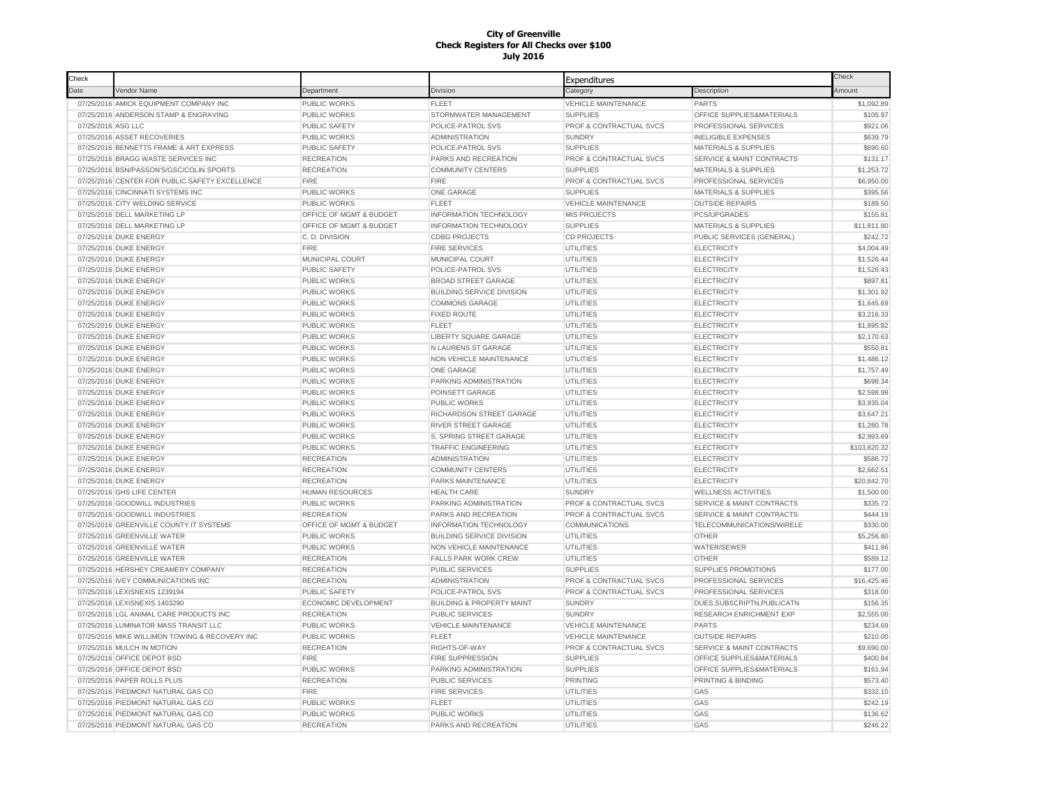| Check              |                                                |                                 |                                              | Expenditures                             |                                      | Check        |
|--------------------|------------------------------------------------|---------------------------------|----------------------------------------------|------------------------------------------|--------------------------------------|--------------|
| Date               | Vendor Name                                    | Department                      | Division                                     | Category                                 | Description                          | Amount       |
|                    | 07/25/2016 AMICK EQUIPMENT COMPANY INC         | <b>PUBLIC WORKS</b>             | <b>FLEET</b>                                 | <b>VEHICLE MAINTENANCE</b>               | <b>PARTS</b>                         | \$1,092.89   |
|                    | 07/25/2016 ANDERSON STAMP & ENGRAVING          | PUBLIC WORKS                    | STORMWATER MANAGEMENT                        | <b>SUPPLIES</b>                          | OFFICE SUPPLIES&MATERIALS            | \$105.97     |
| 07/25/2016 ASG LLC |                                                | PUBLIC SAFETY                   | POLICE-PATROL SVS                            | PROF & CONTRACTUAL SVCS                  | PROFESSIONAL SERVICES                | \$921.06     |
|                    | 07/25/2016 ASSET RECOVERIES                    | PUBLIC WORKS                    | <b>ADMINISTRATION</b>                        | <b>SUNDRY</b>                            | <b>INELIGIBLE EXPENSES</b>           | \$639.79     |
|                    | 07/25/2016 BENNETTS FRAME & ART EXPRESS        | PUBLIC SAFETY                   | POLICE-PATROL SVS                            | <b>SUPPLIES</b>                          | <b>MATERIALS &amp; SUPPLIES</b>      | \$690.60     |
|                    | 07/25/2016 BRAGG WASTE SERVICES INC            | <b>RECREATION</b>               | PARKS AND RECREATION                         | PROF & CONTRACTUAL SVCS                  | SERVICE & MAINT CONTRACTS            | \$131.17     |
|                    | 07/25/2016 BSN/PASSON'S/GSC/COLIN SPORTS       | <b>RECREATION</b>               | <b>COMMUNITY CENTERS</b>                     | <b>SUPPLIES</b>                          | <b>MATERIALS &amp; SUPPLIES</b>      | \$1,253.72   |
|                    | 07/25/2016 CENTER FOR PUBLIC SAFETY EXCELLENCE | <b>FIRE</b>                     | <b>FIRE</b>                                  | PROF & CONTRACTUAL SVCS                  | PROFESSIONAL SERVICES                | \$6,950.00   |
|                    | 07/25/2016 CINCINNATI SYSTEMS INC              | PUBLIC WORKS                    | ONE GARAGE                                   | <b>SUPPLIES</b>                          | <b>MATERIALS &amp; SUPPLIES</b>      | \$395.56     |
|                    | 07/25/2016 CITY WELDING SERVICE                | <b>PUBLIC WORKS</b>             | <b>FLEET</b>                                 | <b>VEHICLE MAINTENANCE</b>               | <b>OUTSIDE REPAIRS</b>               | \$189.50     |
|                    | 07/25/2016 DELL MARKETING LP                   | OFFICE OF MGMT & BUDGET         | <b>INFORMATION TECHNOLOGY</b>                | <b>MIS PROJECTS</b>                      | PCS/UPGRADES                         | \$155.81     |
|                    | 07/25/2016 DELL MARKETING LP                   | OFFICE OF MGMT & BUDGET         | INFORMATION TECHNOLOGY                       | <b>SUPPLIES</b>                          | MATERIALS & SUPPLIES                 | \$11,811.80  |
|                    | 07/25/2016 DUKE ENERGY                         | C.D. DIVISION                   | <b>CDBG PROJECTS</b>                         | CD PROJECTS                              | PUBLIC SERVICES (GENERAL)            | \$242.72     |
|                    | 07/25/2016 DUKE ENERGY                         | <b>FIRE</b>                     | <b>FIRE SERVICES</b>                         | UTILITIES                                | <b>ELECTRICITY</b>                   | \$4,004.49   |
|                    | 07/25/2016 DUKE ENERGY                         | MUNICIPAL COURT                 | MUNICIPAL COURT                              | <b>UTILITIES</b>                         | <b>ELECTRICITY</b>                   | \$1,526.44   |
|                    | 07/25/2016 DUKE ENERGY                         | PUBLIC SAFETY                   | POLICE-PATROL SVS                            | <b>UTILITIES</b>                         | <b>ELECTRICITY</b>                   | \$1,526.43   |
|                    | 07/25/2016 DUKE ENERGY                         | PUBLIC WORKS                    | <b>BROAD STREET GARAGE</b>                   | UTILITIES                                | <b>ELECTRICITY</b>                   | \$897.81     |
|                    | 07/25/2016 DUKE ENERGY                         | PUBLIC WORKS                    | <b>BUILDING SERVICE DIVISION</b>             | UTILITIES                                | <b>ELECTRICITY</b>                   | \$1,301.92   |
|                    | 07/25/2016 DUKE ENERGY                         | PUBLIC WORKS                    | <b>COMMONS GARAGE</b>                        | UTILITIES                                | <b>ELECTRICITY</b>                   | \$1,645.69   |
|                    | 07/25/2016 DUKE ENERGY                         | PUBLIC WORKS                    | <b>FIXED ROUTE</b>                           | <b>UTILITIES</b>                         | <b>ELECTRICITY</b>                   | \$3,216.33   |
|                    | 07/25/2016 DUKE ENERGY                         | PUBLIC WORKS                    | <b>FLEET</b>                                 | UTILITIES                                | <b>ELECTRICITY</b>                   | \$1,895.82   |
|                    | 07/25/2016 DUKE ENERGY                         | PUBLIC WORKS                    | LIBERTY SQUARE GARAGE                        | UTILITIES                                | <b>ELECTRICITY</b>                   | \$2,170.63   |
|                    | 07/25/2016 DUKE ENERGY                         | PUBLIC WORKS                    | N LAURENS ST GARAGE                          | UTILITIES                                | <b>ELECTRICITY</b>                   | \$550.81     |
|                    | 07/25/2016 DUKE ENERGY                         | PUBLIC WORKS                    | NON VEHICLE MAINTENANCE                      | UTILITIES                                | <b>ELECTRICITY</b>                   | \$1,486.12   |
|                    | 07/25/2016 DUKE ENERGY                         | PUBLIC WORKS                    | ONE GARAGE                                   | <b>UTILITIES</b>                         | <b>ELECTRICITY</b>                   | \$1,757.49   |
|                    | 07/25/2016 DUKE ENERGY                         | PUBLIC WORKS                    | PARKING ADMINISTRATION                       | <b>UTILITIES</b>                         | <b>ELECTRICITY</b>                   | \$698.34     |
|                    | 07/25/2016 DUKE ENERGY                         | PUBLIC WORKS                    | POINSETT GARAGE                              | UTILITIES                                | <b>ELECTRICITY</b>                   | \$2,598.98   |
|                    | 07/25/2016 DUKE ENERGY                         | PUBLIC WORKS                    | PUBLIC WORKS                                 | UTILITIES                                | <b>ELECTRICITY</b>                   | \$3,935.04   |
|                    | 07/25/2016 DUKE ENERGY                         | PUBLIC WORKS                    | RICHARDSON STREET GARAGE                     | <b>UTILITIES</b>                         | <b>ELECTRICITY</b>                   | \$3,647.21   |
|                    | 07/25/2016 DUKE ENERGY                         | PUBLIC WORKS                    | RIVER STREET GARAGE                          | <b>UTILITIES</b>                         | <b>ELECTRICITY</b>                   | \$1,280.78   |
|                    | 07/25/2016 DUKE ENERGY                         | PUBLIC WORKS                    | S. SPRING STREET GARAGE                      | UTILITIES                                | <b>ELECTRICITY</b>                   | \$2,993.69   |
|                    | 07/25/2016 DUKE ENERGY                         | PUBLIC WORKS                    | <b>TRAFFIC ENGINEERING</b>                   | UTILITIES                                | <b>ELECTRICITY</b>                   | \$103,820.32 |
|                    | 07/25/2016 DUKE ENERGY                         | <b>RECREATION</b>               | <b>ADMINISTRATION</b>                        | <b>UTILITIES</b>                         | <b>ELECTRICITY</b>                   | \$586.72     |
|                    | 07/25/2016 DUKE ENERGY                         | <b>RECREATION</b>               | <b>COMMUNITY CENTERS</b>                     | UTILITIES                                | <b>ELECTRICITY</b>                   | \$2,662.51   |
|                    | 07/25/2016 DUKE ENERGY                         | <b>RECREATION</b>               | PARKS MAINTENANCE                            | UTILITIES                                | <b>ELECTRICITY</b>                   | \$20,842.70  |
|                    | 07/25/2016 GHS LIFE CENTER                     |                                 |                                              |                                          | <b>WELLNESS ACTIVITIES</b>           | \$1,500.00   |
|                    | 07/25/2016 GOODWILL INDUSTRIES                 | HUMAN RESOURCES<br>PUBLIC WORKS | <b>HEALTH CARE</b><br>PARKING ADMINISTRATION | <b>SUNDRY</b><br>PROF & CONTRACTUAL SVCS | SERVICE & MAINT CONTRACTS            | \$335.72     |
|                    | 07/25/2016 GOODWILL INDUSTRIES                 |                                 |                                              | PROF & CONTRACTUAL SVCS                  | SERVICE & MAINT CONTRACTS            |              |
|                    |                                                | <b>RECREATION</b>               | PARKS AND RECREATION                         |                                          |                                      | \$444.19     |
|                    | 07/25/2016 GREENVILLE COUNTY IT SYSTEMS        | OFFICE OF MGMT & BUDGET         | <b>INFORMATION TECHNOLOGY</b>                | <b>COMMUNICATIONS</b>                    | TELECOMMUNICATIONS/WIRELE            | \$330.00     |
|                    | 07/25/2016 GREENVILLE WATER                    | <b>PUBLIC WORKS</b>             | <b>BUILDING SERVICE DIVISION</b>             | <b>UTILITIES</b>                         | <b>OTHER</b>                         | \$5,256.80   |
|                    | 07/25/2016 GREENVILLE WATER                    | PUBLIC WORKS                    | NON VEHICLE MAINTENANCE                      | <b>UTILITIES</b>                         | WATER/SEWER                          | \$411.96     |
|                    | 07/25/2016 GREENVILLE WATER                    | <b>RECREATION</b>               | <b>FALLS PARK WORK CREW</b>                  | UTILITIES                                | <b>OTHER</b>                         | \$589.12     |
|                    | 07/25/2016 HERSHEY CREAMERY COMPANY            | <b>RECREATION</b>               | PUBLIC SERVICES                              | <b>SUPPLIES</b>                          | SUPPLIES PROMOTIONS                  | \$177.00     |
|                    | 07/25/2016 IVEY COMMUNICATIONS INC             | <b>RECREATION</b>               | <b>ADMINISTRATION</b>                        | PROF & CONTRACTUAL SVCS                  | PROFESSIONAL SERVICES                | \$16,425.46  |
|                    | 07/25/2016 LEXISNEXIS 1239194                  | PUBLIC SAFETY                   | POLICE-PATROL SVS                            | PROF & CONTRACTUAL SVCS                  | PROFESSIONAL SERVICES                | \$318.00     |
|                    | 07/25/2016 LEXISNEXIS 1403290                  | ECONOMIC DEVELOPMENT            | <b>BUILDING &amp; PROPERTY MAINT</b>         | <b>SUNDRY</b>                            | DUES, SUBSCRIPTN, PUBLICATN          | \$156.35     |
|                    | 07/25/2016 LGL ANIMAL CARE PRODUCTS INC        | <b>RECREATION</b>               | <b>PUBLIC SERVICES</b>                       | <b>SUNDRY</b>                            | RESEARCH ENRICHMENT EXP              | \$2,555.00   |
|                    | 07/25/2016 LUMINATOR MASS TRANSIT LLC          | <b>PUBLIC WORKS</b>             | <b>VEHICLE MAINTENANCE</b>                   | <b>VEHICLE MAINTENANCE</b>               | <b>PARTS</b>                         | \$234.69     |
|                    | 07/25/2016 MIKE WILLIMON TOWING & RECOVERY INC | PUBLIC WORKS                    | <b>FLEET</b>                                 | <b>VEHICLE MAINTENANCE</b>               | <b>OUTSIDE REPAIRS</b>               | \$210.00     |
|                    | 07/25/2016 MULCH IN MOTION                     | <b>RECREATION</b>               | RIGHTS-OF-WAY                                | PROF & CONTRACTUAL SVCS                  | <b>SERVICE &amp; MAINT CONTRACTS</b> | \$9,690.00   |
|                    | 07/25/2016 OFFICE DEPOT BSD                    | <b>FIRE</b>                     | FIRE SUPPRESSION                             | <b>SUPPLIES</b>                          | OFFICE SUPPLIES&MATERIALS            | \$400.84     |
|                    | 07/25/2016 OFFICE DEPOT BSD                    | PUBLIC WORKS                    | PARKING ADMINISTRATION                       | <b>SUPPLIES</b>                          | OFFICE SUPPLIES&MATERIALS            | \$161.94     |
|                    | 07/25/2016 PAPER ROLLS PLUS                    | <b>RECREATION</b>               | PUBLIC SERVICES                              | <b>PRINTING</b>                          | PRINTING & BINDING                   | \$573.40     |
|                    | 07/25/2016 PIEDMONT NATURAL GAS CO             | <b>FIRE</b>                     | <b>FIRE SERVICES</b>                         | UTILITIES                                | GAS                                  | \$332.10     |
|                    | 07/25/2016 PIEDMONT NATURAL GAS CO             | PUBLIC WORKS                    | FLEET                                        | <b>UTILITIES</b>                         | GAS                                  | \$242.19     |
|                    | 07/25/2016 PIEDMONT NATURAL GAS CO             | PUBLIC WORKS                    | <b>PUBLIC WORKS</b>                          | <b>UTILITIES</b>                         | GAS                                  | \$136.62     |
|                    | 07/25/2016 PIEDMONT NATURAL GAS CO             | <b>RECREATION</b>               | PARKS AND RECREATION                         | <b>UTILITIES</b>                         | GAS                                  | \$246.22     |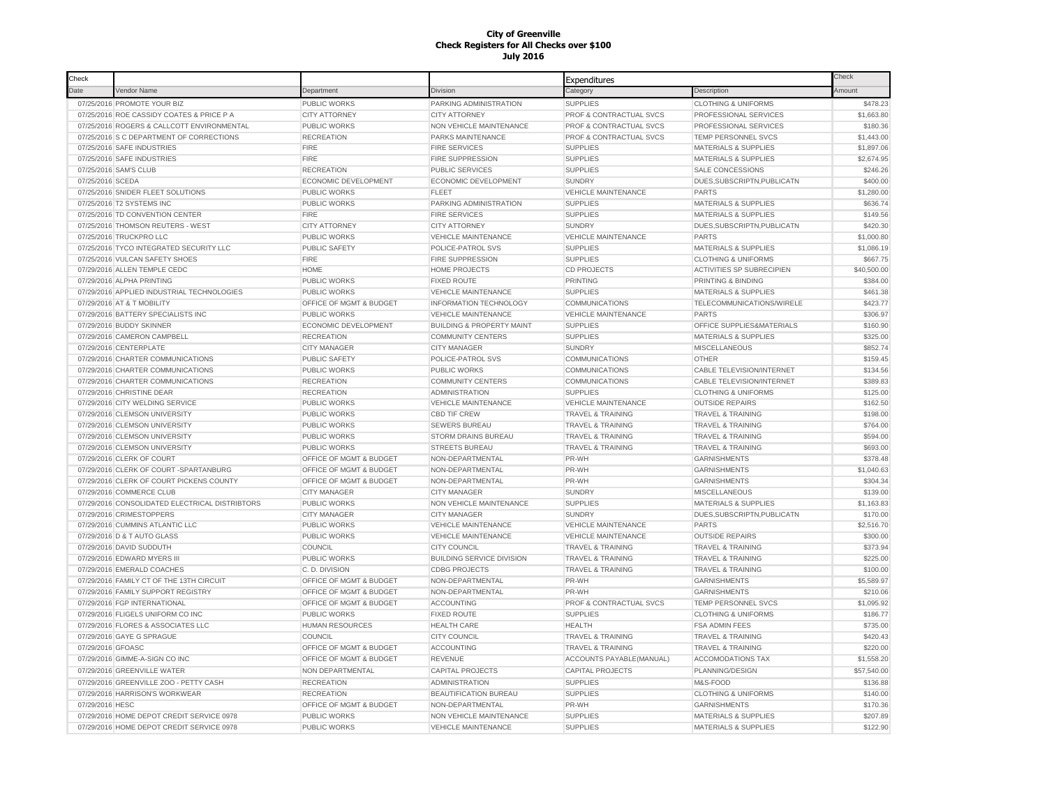| Check             |                                                |                         |                                      | Expenditures                 |                                  | Check       |
|-------------------|------------------------------------------------|-------------------------|--------------------------------------|------------------------------|----------------------------------|-------------|
| Date              | Vendor Name                                    | Department              | Division                             | Category                     | Description                      | Amount      |
|                   | 07/25/2016 PROMOTE YOUR BIZ                    | PUBLIC WORKS            | PARKING ADMINISTRATION               | <b>SUPPLIES</b>              | <b>CLOTHING &amp; UNIFORMS</b>   | \$478.23    |
|                   | 07/25/2016 ROE CASSIDY COATES & PRICE P A      | <b>CITY ATTORNEY</b>    | <b>CITY ATTORNEY</b>                 | PROF & CONTRACTUAL SVCS      | PROFESSIONAL SERVICES            | \$1,663.80  |
|                   | 07/25/2016 ROGERS & CALLCOTT ENVIRONMENTAL     | PUBLIC WORKS            | NON VEHICLE MAINTENANCE              | PROF & CONTRACTUAL SVCS      | PROFESSIONAL SERVICES            | \$180.36    |
|                   | 07/25/2016 S C DEPARTMENT OF CORRECTIONS       | <b>RECREATION</b>       | PARKS MAINTENANCE                    | PROF & CONTRACTUAL SVCS      | TEMP PERSONNEL SVCS              | \$1,443.00  |
|                   | 07/25/2016 SAFE INDUSTRIES                     | <b>FIRE</b>             | <b>FIRE SERVICES</b>                 | <b>SUPPLIES</b>              | <b>MATERIALS &amp; SUPPLIES</b>  | \$1,897.06  |
|                   | 07/25/2016 SAFE INDUSTRIES                     | <b>FIRE</b>             | FIRE SUPPRESSION                     | <b>SUPPLIES</b>              | MATERIALS & SUPPLIES             | \$2,674.95  |
|                   | 07/25/2016 SAM'S CLUB                          | <b>RECREATION</b>       | PUBLIC SERVICES                      | <b>SUPPLIES</b>              | SALE CONCESSIONS                 | \$246.26    |
| 07/25/2016 SCEDA  |                                                | ECONOMIC DEVELOPMENT    | ECONOMIC DEVELOPMENT                 | <b>SUNDRY</b>                | DUES, SUBSCRIPTN, PUBLICATN      | \$400.00    |
|                   | 07/25/2016 SNIDER FLEET SOLUTIONS              | <b>PUBLIC WORKS</b>     | <b>FLEET</b>                         | <b>VEHICLE MAINTENANCE</b>   | <b>PARTS</b>                     | \$1,280.00  |
|                   | 07/25/2016 T2 SYSTEMS INC                      | PUBLIC WORKS            | PARKING ADMINISTRATION               | <b>SUPPLIES</b>              | MATERIALS & SUPPLIES             | \$636.74    |
|                   | 07/25/2016 TD CONVENTION CENTER                | <b>FIRE</b>             | <b>FIRE SERVICES</b>                 | <b>SUPPLIES</b>              | <b>MATERIALS &amp; SUPPLIES</b>  | \$149.56    |
|                   | 07/25/2016 THOMSON REUTERS - WEST              | <b>CITY ATTORNEY</b>    | <b>CITY ATTORNEY</b>                 | <b>SUNDRY</b>                | DUES, SUBSCRIPTN, PUBLICATN      | \$420.30    |
|                   | 07/25/2016 TRUCKPRO LLC                        | PUBLIC WORKS            | <b>VEHICLE MAINTENANCE</b>           | <b>VEHICLE MAINTENANCE</b>   | <b>PARTS</b>                     | \$1,000.80  |
|                   | 07/25/2016 TYCO INTEGRATED SECURITY LLC        | PUBLIC SAFETY           | POLICE-PATROL SVS                    | <b>SUPPLIES</b>              | MATERIALS & SUPPLIES             | \$1,086.19  |
|                   | 07/25/2016 VULCAN SAFETY SHOES                 | <b>FIRE</b>             | FIRE SUPPRESSION                     | <b>SUPPLIES</b>              | <b>CLOTHING &amp; UNIFORMS</b>   | \$667.75    |
|                   | 07/29/2016 ALLEN TEMPLE CEDC                   | <b>HOME</b>             | <b>HOME PROJECTS</b>                 | CD PROJECTS                  | <b>ACTIVITIES SP SUBRECIPIEN</b> | \$40,500.00 |
|                   | 07/29/2016 ALPHA PRINTING                      | PUBLIC WORKS            | <b>FIXED ROUTE</b>                   | <b>PRINTING</b>              | PRINTING & BINDING               | \$384.00    |
|                   | 07/29/2016 APPLIED INDUSTRIAL TECHNOLOGIES     | PUBLIC WORKS            | <b>VEHICLE MAINTENANCE</b>           | <b>SUPPLIES</b>              | <b>MATERIALS &amp; SUPPLIES</b>  | \$461.38    |
|                   | 07/29/2016 AT & T MOBILITY                     | OFFICE OF MGMT & BUDGET | INFORMATION TECHNOLOGY               | COMMUNICATIONS               | TELECOMMUNICATIONS/WIRELE        | \$423.77    |
|                   | 07/29/2016 BATTERY SPECIALISTS INC             | PUBLIC WORKS            | <b>VEHICLE MAINTENANCE</b>           | <b>VEHICLE MAINTENANCE</b>   | <b>PARTS</b>                     | \$306.97    |
|                   | 07/29/2016 BUDDY SKINNER                       | ECONOMIC DEVELOPMENT    | <b>BUILDING &amp; PROPERTY MAINT</b> | <b>SUPPLIES</b>              | OFFICE SUPPLIES&MATERIALS        | \$160.90    |
|                   | 07/29/2016 CAMERON CAMPBELL                    | <b>RECREATION</b>       | <b>COMMUNITY CENTERS</b>             | <b>SUPPLIES</b>              | <b>MATERIALS &amp; SUPPLIES</b>  | \$325.00    |
|                   | 07/29/2016 CENTERPLATE                         | <b>CITY MANAGER</b>     | <b>CITY MANAGER</b>                  | <b>SUNDRY</b>                | <b>MISCELLANEOUS</b>             | \$852.74    |
|                   | 07/29/2016 CHARTER COMMUNICATIONS              | PUBLIC SAFETY           | POLICE-PATROL SVS                    | COMMUNICATIONS               | OTHER                            | \$159.45    |
|                   | 07/29/2016 CHARTER COMMUNICATIONS              | PUBLIC WORKS            | <b>PUBLIC WORKS</b>                  | <b>COMMUNICATIONS</b>        | <b>CABLE TELEVISION/INTERNET</b> | \$134.56    |
|                   | 07/29/2016 CHARTER COMMUNICATIONS              | <b>RECREATION</b>       | <b>COMMUNITY CENTERS</b>             | <b>COMMUNICATIONS</b>        | CABLE TELEVISION/INTERNET        | \$389.83    |
|                   | 07/29/2016 CHRISTINE DEAR                      | <b>RECREATION</b>       | <b>ADMINISTRATION</b>                | <b>SUPPLIES</b>              | <b>CLOTHING &amp; UNIFORMS</b>   | \$125.00    |
|                   | 07/29/2016 CITY WELDING SERVICE                | PUBLIC WORKS            | <b>VEHICLE MAINTENANCE</b>           | VEHICLE MAINTENANCE          | <b>OUTSIDE REPAIRS</b>           | \$162.50    |
|                   | 07/29/2016 CLEMSON UNIVERSITY                  | <b>PUBLIC WORKS</b>     | <b>CBD TIF CREW</b>                  | <b>TRAVEL &amp; TRAINING</b> | <b>TRAVEL &amp; TRAINING</b>     | \$198.00    |
|                   | 07/29/2016 CLEMSON UNIVERSITY                  | PUBLIC WORKS            | <b>SEWERS BUREAU</b>                 | <b>TRAVEL &amp; TRAINING</b> | <b>TRAVEL &amp; TRAINING</b>     | \$764.00    |
|                   | 07/29/2016 CLEMSON UNIVERSITY                  | PUBLIC WORKS            | STORM DRAINS BUREAU                  | <b>TRAVEL &amp; TRAINING</b> | <b>TRAVEL &amp; TRAINING</b>     | \$594.00    |
|                   | 07/29/2016 CLEMSON UNIVERSITY                  | PUBLIC WORKS            | <b>STREETS BUREAU</b>                | TRAVEL & TRAINING            | TRAVEL & TRAINING                | \$693.00    |
|                   | 07/29/2016 CLERK OF COURT                      | OFFICE OF MGMT & BUDGET | NON-DEPARTMENTAL                     | PR-WH                        | <b>GARNISHMENTS</b>              | \$378.48    |
|                   | 07/29/2016 CLERK OF COURT -SPARTANBURG         | OFFICE OF MGMT & BUDGET | NON-DEPARTMENTAL                     | PR-WH                        | GARNISHMENTS                     | \$1,040.63  |
|                   | 07/29/2016 CLERK OF COURT PICKENS COUNTY       | OFFICE OF MGMT & BUDGET | NON-DEPARTMENTAL                     | PR-WH                        | <b>GARNISHMENTS</b>              | \$304.34    |
|                   | 07/29/2016 COMMERCE CLUB                       | <b>CITY MANAGER</b>     | <b>CITY MANAGER</b>                  | <b>SUNDRY</b>                | <b>MISCELLANEOUS</b>             | \$139.00    |
|                   | 07/29/2016 CONSOLIDATED ELECTRICAL DISTRIBTORS | PUBLIC WORKS            | NON VEHICLE MAINTENANCE              | <b>SUPPLIES</b>              | MATERIALS & SUPPLIES             | \$1,163.83  |
|                   | 07/29/2016 CRIMESTOPPERS                       | <b>CITY MANAGER</b>     | <b>CITY MANAGER</b>                  | <b>SUNDRY</b>                | DUES, SUBSCRIPTN, PUBLICATN      | \$170.00    |
|                   | 07/29/2016 CUMMINS ATLANTIC LLC                | PUBLIC WORKS            | <b>VEHICLE MAINTENANCE</b>           | <b>VEHICLE MAINTENANCE</b>   | PARTS                            | \$2,516.70  |
|                   | 07/29/2016 D & T AUTO GLASS                    | PUBLIC WORKS            | <b>VEHICLE MAINTENANCE</b>           | <b>VEHICLE MAINTENANCE</b>   | <b>OUTSIDE REPAIRS</b>           | \$300.00    |
|                   | 07/29/2016 DAVID SUDDUTH                       | COUNCIL                 | CITY COUNCIL                         | <b>TRAVEL &amp; TRAINING</b> | TRAVEL & TRAINING                | \$373.94    |
|                   | 07/29/2016 EDWARD MYERS III                    | <b>PUBLIC WORKS</b>     | <b>BUILDING SERVICE DIVISION</b>     | <b>TRAVEL &amp; TRAINING</b> | <b>TRAVEL &amp; TRAINING</b>     | \$225.00    |
|                   | 07/29/2016 EMERALD COACHES                     | C.D. DIVISION           | <b>CDBG PROJECTS</b>                 | <b>TRAVEL &amp; TRAINING</b> | <b>TRAVEL &amp; TRAINING</b>     | \$100.00    |
|                   | 07/29/2016 FAMILY CT OF THE 13TH CIRCUIT       | OFFICE OF MGMT & BUDGET | NON-DEPARTMENTAL                     | PR-WH                        | <b>GARNISHMENTS</b>              | \$5,589.97  |
|                   | 07/29/2016 FAMILY SUPPORT REGISTRY             | OFFICE OF MGMT & BUDGET | NON-DEPARTMENTAL                     | PR-WH                        | <b>GARNISHMENTS</b>              | \$210.06    |
|                   | 07/29/2016 FGP INTERNATIONAL                   | OFFICE OF MGMT & BUDGET | ACCOUNTING                           | PROF & CONTRACTUAL SVCS      | TEMP PERSONNEL SVCS              | \$1,095.92  |
|                   | 07/29/2016 FLIGELS UNIFORM CO INC              | <b>PUBLIC WORKS</b>     | <b>FIXED ROUTE</b>                   | <b>SUPPLIES</b>              | <b>CLOTHING &amp; UNIFORMS</b>   | \$186.77    |
|                   | 07/29/2016 FLORES & ASSOCIATES LLC             | HUMAN RESOURCES         | <b>HEALTH CARE</b>                   | <b>HEALTH</b>                | <b>FSA ADMIN FEES</b>            | \$735.00    |
|                   | 07/29/2016 GAYE G SPRAGUE                      | COUNCIL                 | <b>CITY COUNCIL</b>                  | <b>TRAVEL &amp; TRAINING</b> | <b>TRAVEL &amp; TRAINING</b>     | \$420.43    |
| 07/29/2016 GFOASC |                                                | OFFICE OF MGMT & BUDGET | <b>ACCOUNTING</b>                    | <b>TRAVEL &amp; TRAINING</b> | <b>TRAVEL &amp; TRAINING</b>     | \$220.00    |
|                   |                                                | OFFICE OF MGMT & BUDGET |                                      |                              |                                  | \$1,558.20  |
|                   | 07/29/2016 GIMME-A-SIGN CO INC                 |                         | <b>REVENUE</b>                       | ACCOUNTS PAYABLE(MANUAL)     | ACCOMODATIONS TAX                |             |
|                   | 07/29/2016 GREENVILLE WATER                    | NON DEPARTMENTAL        | <b>CAPITAL PROJECTS</b>              | <b>CAPITAL PROJECTS</b>      | PLANNING/DESIGN                  | \$57,540.00 |
|                   | 07/29/2016 GREENVILLE ZOO - PETTY CASH         | <b>RECREATION</b>       | <b>ADMINISTRATION</b>                | <b>SUPPLIES</b>              | M&S-FOOD                         | \$136.88    |
|                   | 07/29/2016 HARRISON'S WORKWEAR                 | <b>RECREATION</b>       | BEAUTIFICATION BUREAU                | <b>SUPPLIES</b>              | <b>CLOTHING &amp; UNIFORMS</b>   | \$140.00    |
| 07/29/2016 HESC   |                                                | OFFICE OF MGMT & BUDGET | NON-DEPARTMENTAL                     | PR-WH                        | <b>GARNISHMENTS</b>              | \$170.36    |
|                   | 07/29/2016 HOME DEPOT CREDIT SERVICE 0978      | PUBLIC WORKS            | NON VEHICLE MAINTENANCE              | <b>SUPPLIES</b>              | <b>MATERIALS &amp; SUPPLIES</b>  | \$207.89    |
|                   | 07/29/2016 HOME DEPOT CREDIT SERVICE 0978      | PUBLIC WORKS            | <b>VEHICLE MAINTENANCE</b>           | <b>SUPPLIES</b>              | <b>MATERIALS &amp; SUPPLIES</b>  | \$122.90    |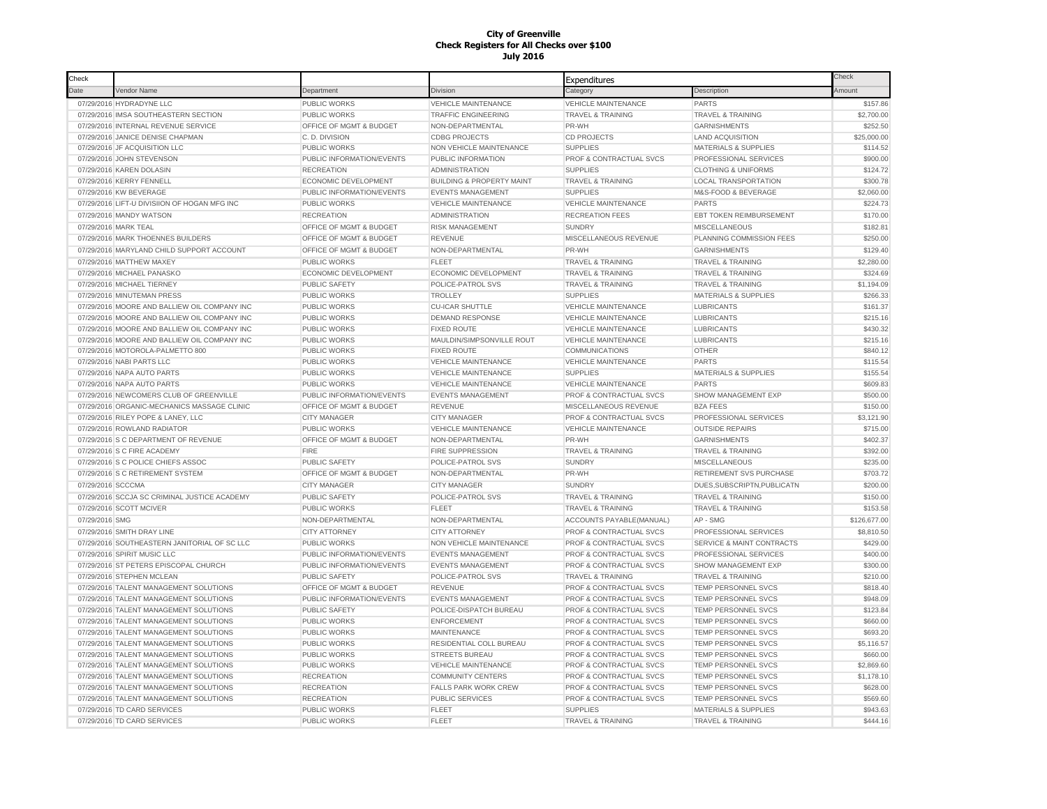| Check             |                                              |                           |                                      | Expenditures                       |                                      | Check        |
|-------------------|----------------------------------------------|---------------------------|--------------------------------------|------------------------------------|--------------------------------------|--------------|
| Date              | Vendor Name                                  | Department                | <b>Division</b>                      | Category                           | Description                          | Amount       |
|                   | 07/29/2016 HYDRADYNE LLC                     | <b>PUBLIC WORKS</b>       | <b>VEHICLE MAINTENANCE</b>           | <b>VEHICLE MAINTENANCE</b>         | <b>PARTS</b>                         | \$157.86     |
|                   | 07/29/2016 IMSA SOUTHEASTERN SECTION         | PUBLIC WORKS              | <b>TRAFFIC ENGINEERING</b>           | <b>TRAVEL &amp; TRAINING</b>       | <b>TRAVEL &amp; TRAINING</b>         | \$2,700.00   |
|                   | 07/29/2016 INTERNAL REVENUE SERVICE          | OFFICE OF MGMT & BUDGET   | NON-DEPARTMENTAL                     | PR-WH                              | <b>GARNISHMENTS</b>                  | \$252.50     |
|                   | 07/29/2016 JANICE DENISE CHAPMAN             | C.D. DIVISION             | <b>CDBG PROJECTS</b>                 | <b>CD PROJECTS</b>                 | <b>LAND ACQUISITION</b>              | \$25,000.00  |
|                   | 07/29/2016 JF ACQUISITION LLC                | PUBLIC WORKS              | NON VEHICLE MAINTENANCE              | <b>SUPPLIES</b>                    | <b>MATERIALS &amp; SUPPLIES</b>      | \$114.52     |
|                   | 07/29/2016 JOHN STEVENSON                    | PUBLIC INFORMATION/EVENTS | PUBLIC INFORMATION                   | PROF & CONTRACTUAL SVCS            | PROFESSIONAL SERVICES                | \$900.00     |
|                   | 07/29/2016 KAREN DOLASIN                     | <b>RECREATION</b>         | <b>ADMINISTRATION</b>                | <b>SUPPLIES</b>                    | <b>CLOTHING &amp; UNIFORMS</b>       | \$124.72     |
|                   | 07/29/2016 KERRY FENNELL                     | ECONOMIC DEVELOPMENT      | <b>BUILDING &amp; PROPERTY MAINT</b> | <b>TRAVEL &amp; TRAINING</b>       | <b>LOCAL TRANSPORTATION</b>          | \$300.78     |
|                   | 07/29/2016 KW BEVERAGE                       | PUBLIC INFORMATION/EVENTS | <b>EVENTS MANAGEMENT</b>             | <b>SUPPLIES</b>                    | M&S-FOOD & BEVERAGE                  | \$2,060.00   |
|                   | 07/29/2016 LIFT-U DIVISIION OF HOGAN MFG INC | PUBLIC WORKS              | <b>VEHICLE MAINTENANCE</b>           | <b>VEHICLE MAINTENANCE</b>         | <b>PARTS</b>                         | \$224.73     |
|                   | 07/29/2016 MANDY WATSON                      | <b>RECREATION</b>         | <b>ADMINISTRATION</b>                | <b>RECREATION FEES</b>             | <b>EBT TOKEN REIMBURSEMENT</b>       | \$170.00     |
|                   | 07/29/2016 MARK TEAL                         | OFFICE OF MGMT & BUDGET   | <b>RISK MANAGEMENT</b>               | <b>SUNDRY</b>                      | <b>MISCELLANEOUS</b>                 | \$182.81     |
|                   | 07/29/2016 MARK THOENNES BUILDERS            | OFFICE OF MGMT & BUDGET   | <b>REVENUE</b>                       | MISCELLANEOUS REVENUE              | PLANNING COMMISSION FEES             | \$250.00     |
|                   | 07/29/2016 MARYLAND CHILD SUPPORT ACCOUNT    | OFFICE OF MGMT & BUDGET   | NON-DEPARTMENTAL                     | PR-WH                              | <b>GARNISHMENTS</b>                  | \$129.40     |
|                   | 07/29/2016 MATTHEW MAXEY                     | PUBLIC WORKS              | <b>FLEET</b>                         | <b>TRAVEL &amp; TRAINING</b>       | <b>TRAVEL &amp; TRAINING</b>         | \$2,280.00   |
|                   | 07/29/2016 MICHAEL PANASKO                   | ECONOMIC DEVELOPMENT      | ECONOMIC DEVELOPMENT                 | <b>TRAVEL &amp; TRAINING</b>       | <b>TRAVEL &amp; TRAINING</b>         | \$324.69     |
|                   | 07/29/2016 MICHAEL TIERNEY                   | PUBLIC SAFETY             | POLICE-PATROL SVS                    | <b>TRAVEL &amp; TRAINING</b>       | <b>TRAVEL &amp; TRAINING</b>         | \$1,194.09   |
|                   | 07/29/2016 MINUTEMAN PRESS                   | PUBLIC WORKS              | <b>TROLLEY</b>                       | <b>SUPPLIES</b>                    | <b>MATERIALS &amp; SUPPLIES</b>      | \$266.33     |
|                   | 07/29/2016 MOORE AND BALLIEW OIL COMPANY INC | PUBLIC WORKS              | <b>CU-ICAR SHUTTLE</b>               | <b>VEHICLE MAINTENANCE</b>         | <b>LUBRICANTS</b>                    | \$161.37     |
|                   | 07/29/2016 MOORE AND BALLIEW OIL COMPANY INC | PUBLIC WORKS              | <b>DEMAND RESPONSE</b>               | <b>VEHICLE MAINTENANCE</b>         | <b>LUBRICANTS</b>                    | \$215.16     |
|                   | 07/29/2016 MOORE AND BALLIEW OIL COMPANY INC | PUBLIC WORKS              | <b>FIXED ROUTE</b>                   | <b>VEHICLE MAINTENANCE</b>         | LUBRICANTS                           | \$430.32     |
|                   | 07/29/2016 MOORE AND BALLIEW OIL COMPANY INC | PUBLIC WORKS              | MAULDIN/SIMPSONVILLE ROUT            | <b>VEHICLE MAINTENANCE</b>         | LUBRICANTS                           | \$215.16     |
|                   | 07/29/2016 MOTOROLA-PALMETTO 800             | PUBLIC WORKS              | <b>FIXED ROUTE</b>                   | <b>COMMUNICATIONS</b>              | <b>OTHER</b>                         | \$840.12     |
|                   | 07/29/2016 NABI PARTS LLC                    | PUBLIC WORKS              | <b>VEHICLE MAINTENANCE</b>           | <b>VEHICLE MAINTENANCE</b>         | <b>PARTS</b>                         | \$115.54     |
|                   | 07/29/2016 NAPA AUTO PARTS                   | PUBLIC WORKS              | <b>VEHICLE MAINTENANCE</b>           | <b>SUPPLIES</b>                    | <b>MATERIALS &amp; SUPPLIES</b>      | \$155.54     |
|                   | 07/29/2016 NAPA AUTO PARTS                   | <b>PUBLIC WORKS</b>       | <b>VEHICLE MAINTENANCE</b>           | <b>VEHICLE MAINTENANCE</b>         | <b>PARTS</b>                         | \$609.83     |
|                   | 07/29/2016 NEWCOMERS CLUB OF GREENVILLE      | PUBLIC INFORMATION/EVENTS | <b>EVENTS MANAGEMENT</b>             | PROF & CONTRACTUAL SVCS            | SHOW MANAGEMENT EXP                  | \$500.00     |
|                   | 07/29/2016 ORGANIC-MECHANICS MASSAGE CLINIC  | OFFICE OF MGMT & BUDGET   | <b>REVENUE</b>                       | MISCELLANEOUS REVENUE              | <b>BZA FEES</b>                      | \$150.00     |
|                   | 07/29/2016 RILEY POPE & LANEY, LLC           | <b>CITY MANAGER</b>       | <b>CITY MANAGER</b>                  | PROF & CONTRACTUAL SVCS            | PROFESSIONAL SERVICES                | \$3,121.90   |
|                   | 07/29/2016 ROWLAND RADIATOR                  | PUBLIC WORKS              | <b>VEHICLE MAINTENANCE</b>           | <b>VEHICLE MAINTENANCE</b>         | <b>OUTSIDE REPAIRS</b>               | \$715.00     |
|                   | 07/29/2016 S C DEPARTMENT OF REVENUE         | OFFICE OF MGMT & BUDGET   | NON-DEPARTMENTAL                     | PR-WH                              | <b>GARNISHMENTS</b>                  | \$402.37     |
|                   | 07/29/2016 S C FIRE ACADEMY                  | <b>FIRE</b>               | FIRE SUPPRESSION                     | <b>TRAVEL &amp; TRAINING</b>       | TRAVEL & TRAINING                    | \$392.00     |
|                   | 07/29/2016 S C POLICE CHIEFS ASSOC           | <b>PUBLIC SAFETY</b>      | POLICE-PATROL SVS                    | <b>SUNDRY</b>                      | <b>MISCELLANEOUS</b>                 | \$235.00     |
|                   | 07/29/2016 S C RETIREMENT SYSTEM             | OFFICE OF MGMT & BUDGET   | NON-DEPARTMENTAL                     | PR-WH                              | RETIREMENT SVS PURCHASE              | \$703.72     |
| 07/29/2016 SCCCMA |                                              | <b>CITY MANAGER</b>       | <b>CITY MANAGER</b>                  | <b>SUNDRY</b>                      | DUES, SUBSCRIPTN, PUBLICATN          | \$200.00     |
|                   | 07/29/2016 SCCJA SC CRIMINAL JUSTICE ACADEMY | PUBLIC SAFETY             | POLICE-PATROL SVS                    | <b>TRAVEL &amp; TRAINING</b>       | <b>TRAVEL &amp; TRAINING</b>         | \$150.00     |
|                   | 07/29/2016 SCOTT MCIVER                      | <b>PUBLIC WORKS</b>       | <b>FLEET</b>                         | <b>TRAVEL &amp; TRAINING</b>       | <b>TRAVEL &amp; TRAINING</b>         | \$153.58     |
|                   |                                              |                           |                                      |                                    |                                      |              |
| 07/29/2016 SMG    |                                              | NON-DEPARTMENTAL          | NON-DEPARTMENTAL                     | ACCOUNTS PAYABLE(MANUAL)           | AP - SMG                             | \$126,677.00 |
|                   | 07/29/2016 SMITH DRAY LINE                   | <b>CITY ATTORNEY</b>      | <b>CITY ATTORNEY</b>                 | PROF & CONTRACTUAL SVCS            | PROFESSIONAL SERVICES                | \$8,810.50   |
|                   | 07/29/2016 SOUTHEASTERN JANITORIAL OF SC LLC | <b>PUBLIC WORKS</b>       | NON VEHICLE MAINTENANCE              | PROF & CONTRACTUAL SVCS            | <b>SERVICE &amp; MAINT CONTRACTS</b> | \$429.00     |
|                   | 07/29/2016 SPIRIT MUSIC LLC                  | PUBLIC INFORMATION/EVENTS | <b>EVENTS MANAGEMENT</b>             | PROF & CONTRACTUAL SVCS            | PROFESSIONAL SERVICES                | \$400.00     |
|                   | 07/29/2016 ST PETERS EPISCOPAL CHURCH        | PUBLIC INFORMATION/EVENTS | <b>EVENTS MANAGEMENT</b>             | PROF & CONTRACTUAL SVCS            | SHOW MANAGEMENT EXP                  | \$300.00     |
|                   | 07/29/2016 STEPHEN MCLEAN                    | PUBLIC SAFETY             | POLICE-PATROL SVS                    | <b>TRAVEL &amp; TRAINING</b>       | <b>TRAVEL &amp; TRAINING</b>         | \$210.00     |
|                   | 07/29/2016 TALENT MANAGEMENT SOLUTIONS       | OFFICE OF MGMT & BUDGET   | <b>REVENUE</b>                       | PROF & CONTRACTUAL SVCS            | <b>TEMP PERSONNEL SVCS</b>           | \$818.40     |
|                   | 07/29/2016 TALENT MANAGEMENT SOLUTIONS       | PUBLIC INFORMATION/EVENTS | <b>EVENTS MANAGEMENT</b>             | PROF & CONTRACTUAL SVCS            | <b>TEMP PERSONNEL SVCS</b>           | \$948.09     |
|                   | 07/29/2016 TALENT MANAGEMENT SOLUTIONS       | PUBLIC SAFETY             | POLICE-DISPATCH BUREAU               | PROF & CONTRACTUAL SVCS            | TEMP PERSONNEL SVCS                  | \$123.84     |
|                   | 07/29/2016 TALENT MANAGEMENT SOLUTIONS       | PUBLIC WORKS              | <b>ENFORCEMENT</b>                   | PROF & CONTRACTUAL SVCS            | TEMP PERSONNEL SVCS                  | \$660.00     |
|                   | 07/29/2016 TALENT MANAGEMENT SOLUTIONS       | <b>PUBLIC WORKS</b>       | MAINTENANCE                          | PROF & CONTRACTUAL SVCS            | TEMP PERSONNEL SVCS                  | \$693.20     |
|                   | 07/29/2016 TALENT MANAGEMENT SOLUTIONS       | <b>PUBLIC WORKS</b>       | RESIDENTIAL COLL BUREAU              | PROF & CONTRACTUAL SVCS            | TEMP PERSONNEL SVCS                  | \$5,116.57   |
|                   | 07/29/2016 TALENT MANAGEMENT SOLUTIONS       | <b>PUBLIC WORKS</b>       | <b>STREETS BUREAU</b>                | PROF & CONTRACTUAL SVCS            | TEMP PERSONNEL SVCS                  | \$660.00     |
|                   | 07/29/2016 TALENT MANAGEMENT SOLUTIONS       | PUBLIC WORKS              | <b>VEHICLE MAINTENANCE</b>           | PROF & CONTRACTUAL SVCS            | <b>TEMP PERSONNEL SVCS</b>           | \$2,869.60   |
|                   | 07/29/2016 TALENT MANAGEMENT SOLUTIONS       | <b>RECREATION</b>         | <b>COMMUNITY CENTERS</b>             | PROF & CONTRACTUAL SVCS            | TEMP PERSONNEL SVCS                  | \$1,178.10   |
|                   | 07/29/2016 TALENT MANAGEMENT SOLUTIONS       | <b>RECREATION</b>         | <b>FALLS PARK WORK CREW</b>          | <b>PROF &amp; CONTRACTUAL SVCS</b> | <b>TEMP PERSONNEL SVCS</b>           | \$628.00     |
|                   | 07/29/2016 TALENT MANAGEMENT SOLUTIONS       | <b>RECREATION</b>         | <b>PUBLIC SERVICES</b>               | PROF & CONTRACTUAL SVCS            | <b>TEMP PERSONNEL SVCS</b>           | \$569.60     |
|                   | 07/29/2016 TD CARD SERVICES                  | PUBLIC WORKS              | <b>FLEET</b>                         | <b>SUPPLIES</b>                    | <b>MATERIALS &amp; SUPPLIES</b>      | \$943.63     |
|                   | 07/29/2016 TD CARD SERVICES                  | PUBLIC WORKS              | <b>FLEET</b>                         | <b>TRAVEL &amp; TRAINING</b>       | <b>TRAVEL &amp; TRAINING</b>         | \$444.16     |